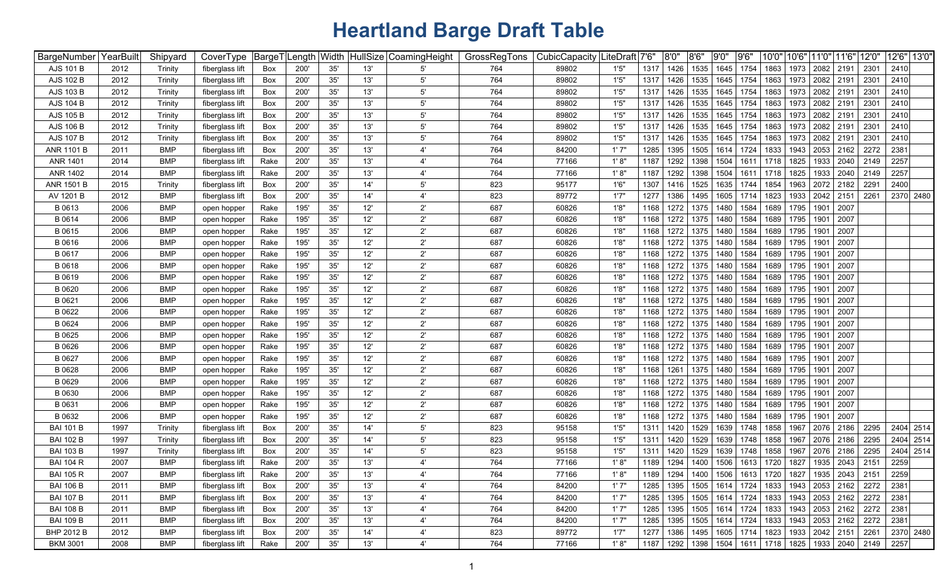| BargeNumber       | YearBuilt | Shipyard   | CoverType       | BargeT | Length | Width |     | HullSize CoamingHeight | GrossRegTons | CubicCapacity   L | .iteDraft│7'6" |      | 8'0'' | 8'6"           | 9'0'' | 9'6''     | 10'0"                                          |      | 10'6" 11'0" 11'6" |                                  | 12'0" | 12'6" 13'0" |
|-------------------|-----------|------------|-----------------|--------|--------|-------|-----|------------------------|--------------|-------------------|----------------|------|-------|----------------|-------|-----------|------------------------------------------------|------|-------------------|----------------------------------|-------|-------------|
| AJS 101 B         | 2012      | Trinity    | fiberglass lift | Box    | 200'   | 35'   | 13' | 5'                     | 764          | 89802             | 1'5''          | 1317 | 1426  | 1535           | 1645  | 1754      | 1863                                           | 1973 | 2082              | 2191                             | 2301  | 2410        |
| AJS 102 B         | 2012      | Trinity    | fiberglass lift | Box    | 200'   | 35'   | 13' | 5'                     | 764          | 89802             | 1'5''          | 1317 | 1426  | 1535           | 1645  | 1754      | 1863                                           | 1973 | 2082              | 2191                             | 2301  | 2410        |
| AJS 103 B         | 2012      | Trinity    | fiberglass lift | Box    | 200'   | 35'   | 13' | 5'                     | 764          | 89802             | 1'5'           | 1317 | 1426  | 1535           | 1645  | 1754      | 1863                                           | 1973 | 2082              | 2191                             | 2301  | 2410        |
| <b>AJS 104 B</b>  | 2012      | Trinity    | fiberglass lift | Box    | 200'   | 35'   | 13' | 5'                     | 764          | 89802             | 1'5''          | 1317 | 1426  | 1535           | 1645  | 1754      | 1863                                           | 1973 | 2082              | 2191                             | 2301  | 2410        |
| AJS 105 B         | 2012      | Trinity    | fiberglass lift | Box    | 200'   | 35'   | 13' | $5^{\circ}$            | 764          | 89802             | 1'5''          | 1317 | 1426  | 1535           | 1645  | 1754      | 1863                                           | 1973 | 2082              | 2191                             | 230   | 2410        |
| AJS 106 B         | 2012      | Trinity    | fiberglass lift | Box    | 200'   | 35'   | 13' | $5^{\circ}$            | 764          | 89802             | 1'5''          | 1317 | 1426  | 1535           | 1645  | 1754      | 1863                                           | 1973 | 2082              | 2191                             | 230   | 2410        |
| <b>AJS 107 B</b>  | 2012      | Trinity    | fiberglass lift | Box    | 200'   | 35'   | 13' | $5^{\circ}$            | 764          | 89802             | 1'5''          | 1317 | 1426  | 1535           | 1645  | 1754      | 1863                                           | 1973 | 2082              | 2191                             | 2301  | 2410        |
| <b>ANR 1101 B</b> | 2011      | <b>BMP</b> | fiberglass lift | Box    | 200    | 35'   | 13' | 4'                     | 764          | 84200             | 1'7''          | 1285 | 1395  | 1505           | 1614  | 1724      | 1833                                           | 1943 | 2053              | 2162                             | 2272  | 2381        |
| <b>ANR 1401</b>   | 2014      | <b>BMP</b> | fiberglass lift | Rake   | 200    | 35'   | 13' | 4'                     | 764          | 77166             | 1'8"           | 1187 | 1292  | 1398           | 1504  | 1611      | 1718                                           | 1825 | 1933              | 2040                             | 2149  | 2257        |
| ANR 1402          | 2014      | <b>BMP</b> | fiberglass lift | Rake   | 200    | 35'   | 13' | 4'                     | 764          | 77166             | 1'8"           | 1187 | 1292  | 1398           | 1504  | 1611      | 1718                                           | 1825 | 1933              | 2040                             | 2149  | 2257        |
| <b>ANR 1501 B</b> | 2015      | Trinity    | fiberglass lift | Box    | 200    | 35'   | 14' | 5'                     | 823          | 95177             | 1'6'           | 1307 | 1416  | 1525           | 1635  | 1744      | 1854                                           | 1963 | 2072              | 2182                             | 2291  | 2400        |
| AV 1201 B         | 2012      | <b>BMP</b> | fiberglass lift | Box    | 200    | 35'   | 14' | 4'                     | 823          | 89772             | 1'7'           | 1277 | 1386  | 1495           | 1605  | 1714      | 1823                                           | 1933 | 2042              | 2151                             | 2261  | 2370 2480   |
| B 0613            | 2006      | <b>BMP</b> | open hopper     | Rake   | 195'   | 35'   | 12' | $2^{\prime}$           | 687          | 60826             | 1'8'           | 1168 | 1272  | 1375           | 1480  | 1584      | 1689                                           | 1795 | 1901              | 2007                             |       |             |
| B 0614            | 2006      | <b>BMP</b> | open hopper     | Rake   | 195'   | 35'   | 12' | $2^{\prime}$           | 687          | 60826             | 1'8'           | 1168 | 1272  | 1375           | 1480  | 1584      | 1689                                           | 1795 | 1901              | 2007                             |       |             |
| B 0615            | 2006      | <b>BMP</b> | open hopper     | Rake   | 195'   | 35'   | 12' | $2^{\prime}$           | 687          | 60826             | 1'8'           | 1168 | 1272  | 1375           | 1480  | 1584      | 1689                                           | 1795 | 1901              | 2007                             |       |             |
| B 0616            | 2006      | <b>BMP</b> | open hopper     | Rake   | 195'   | 35'   | 12' | $2^{\prime}$           | 687          | 60826             | 1'8'           | 1168 | 1272  | 1375           | 1480  | 1584      | 1689                                           | 1795 | 1901              | 2007                             |       |             |
| B 0617            | 2006      | <b>BMP</b> | open hopper     | Rake   | 195'   | 35'   | 12' | $2^{\prime}$           | 687          | 60826             | 1'8"           | 1168 | 1272  | 1375           | 1480  | 1584      | 1689                                           | 1795 | 1901              | 2007                             |       |             |
| B 0618            | 2006      | <b>BMP</b> | open hopper     | Rake   | 195'   | 35'   | 12' | $2^{\prime}$           | 687          | 60826             | 1'8"           | 1168 | 1272  | 1375           | 1480  | 1584      | 1689                                           | 1795 | 1901              | 2007                             |       |             |
| B 0619            | 2006      | <b>BMP</b> | open hopper     | Rake   | 195'   | 35'   | 12' | $2^{\prime}$           | 687          | 60826             | 1'8"           | 1168 | 1272  | 1375           | 1480  | 1584      | 1689                                           | 1795 | 1901              | 2007                             |       |             |
| B 0620            | 2006      | <b>BMP</b> | open hopper     | Rake   | 195'   | 35'   | 12' | $2^{\prime}$           | 687          | 60826             | 1'8'           | 1168 | 1272  | 1375           | 1480  | 1584      | 1689                                           | 1795 | 1901              | 2007                             |       |             |
| B 0621            | 2006      | <b>BMP</b> | open hopper     | Rake   | 195'   | 35'   | 12' | $2^{\prime}$           | 687          | 60826             | 1'8"           | 1168 | 1272  | 1375           | 1480  | 1584      | 1689                                           | 1795 | 1901              | 2007                             |       |             |
| B 0622            | 2006      | <b>BMP</b> | open hopper     | Rake   | 195    | 35'   | 12' | $2^{\prime}$           | 687          | 60826             | 1'8'           | 1168 | 1272  | 1375           | 1480  | 1584      | 1689                                           | 1795 | 1901              | 2007                             |       |             |
| B 0624            | 2006      | <b>BMP</b> | open hopper     | Rake   | 195'   | 35'   | 12' | $2^{\prime}$           | 687          | 60826             | 1'8'           | 1168 | 1272  | 1375           | 1480  | 1584      | 1689                                           | 1795 | 1901              | 2007                             |       |             |
| B 0625            | 2006      | <b>BMP</b> | open hopper     | Rake   | 195'   | 35'   | 12' | $2^{\prime}$           | 687          | 60826             | 1'8"           | 1168 | 1272  | 1375           | 1480  | 1584      | 1689                                           | 1795 | 1901              | 2007                             |       |             |
| B 0626            | 2006      | <b>BMP</b> | open hopper     | Rake   | 195'   | 35'   | 12' | $2^{\prime}$           | 687          | 60826             | 1'8"           | 1168 | 1272  | 1375           | 1480  | 1584      | 1689                                           | 1795 | 1901              | 2007                             |       |             |
| B 0627            | 2006      | <b>BMP</b> | open hopper     | Rake   | 195    | 35'   | 12' | $2^{\prime}$           | 687          | 60826             | 1'8'           | 1168 | 1272  | 1375           | 1480  | 1584      | 1689                                           | 1795 | 1901              | 2007                             |       |             |
| B 0628            | 2006      | <b>BMP</b> | open hopper     | Rake   | 195    | 35'   | 12' | $2^{\prime}$           | 687          | 60826             | 1'8'           | 1168 | 1261  | 1375           | 1480  | 1584      | 1689                                           | 1795 | 1901              | 2007                             |       |             |
| B 0629            | 2006      | <b>BMP</b> | open hopper     | Rake   | 195'   | 35'   | 12' | $2^{\prime}$           | 687          | 60826             | 1'8'           | 1168 | 1272  | 1375           | 1480  | 1584      | 1689                                           | 1795 | 1901              | 2007                             |       |             |
| B 0630            | 2006      | <b>BMP</b> | open hopper     | Rake   | 195'   | 35'   | 12' | $2^{\prime}$           | 687          | 60826             | 1'8'           | 1168 | 1272  | 1375           | 1480  | 1584      | 1689                                           | 1795 | 1901              | 2007                             |       |             |
| B 0631            | 2006      | <b>BMP</b> | open hopper     | Rake   | 195'   | 35'   | 12' | $2^{\prime}$           | 687          | 60826             | 1'8'           | 1168 | 1272  | 1375           | 1480  | 1584      | 1689                                           | 1795 | 1901              | 2007                             |       |             |
| B 0632            | 2006      | <b>BMP</b> | open hopper     | Rake   | 195'   | 35'   | 12' | $2^{\prime}$           | 687          | 60826             | 1'8'           | 1168 | 1272  | 1375           | 1480  | 1584      | 1689                                           | 1795 | 1901              | 2007                             |       |             |
| <b>BAI 101 B</b>  | 1997      | Trinity    | fiberglass lift | Box    | 200'   | 35'   | 14' | $5^{\circ}$            | 823          | 95158             | 1'5'           | 1311 | 1420  | 1529           | 1639  | 1748      | 1858                                           | 1967 | 2076              | 2186                             | 2295  | 2404 2514   |
| <b>BAI 102 B</b>  | 1997      | Trinity    | fiberglass lift | Box    | 200'   | 35'   | 14' | $5^{\circ}$            | 823          | 95158             | 1'5'           | 1311 | 1420  | 1529           | 1639  | 1748      | 1858                                           | 1967 | 2076              | 2186                             | 2295  | 2404 2514   |
| <b>BAI 103 B</b>  | 1997      | Trinity    | fiberglass lift | Box    | 200'   | 35'   | 14' | $5^{\circ}$            | 823          | 95158             | 1'5'           | 1311 | 1420  | 1529           | 1639  | 1748      | 1858                                           | 1967 | 2076              | 2186                             | 2295  | 2404 2514   |
| <b>BAI 104 R</b>  | 2007      | <b>BMP</b> | fiberglass lift | Rake   | 200'   | 35'   | 13' | 4'                     | 764          | 77166             | 1' 8''         | 1189 | 1294  | 1400           | 1506  | 1613      | 1720                                           | 1827 | 1935              | 2043                             | 2151  | 2259        |
| <b>BAI 105 R</b>  | 2007      | <b>BMP</b> | fiberglass lift | Rake   | 200'   | 35'   | 13' | 4'                     | 764          | 77166             | 1'8''          | 1189 | 1294  | 1400           |       |           | 1506   1613   1720   1827   1935   2043   2151 |      |                   |                                  |       | 2259        |
| <b>BAI 106 B</b>  | 2011      | <b>BMP</b> | fiberglass lift | Box    | 200'   | 35'   | 13' | 4'                     | 764          | 84200             | 1'7"           | 1285 | 1395  | 1505           | 1614  | 1724      | 1833                                           |      |                   | 1943   2053   2162   2272        |       | 2381        |
| <b>BAI 107 B</b>  | 2011      | <b>BMP</b> | fiberglass lift | Box    | 200'   | 35'   | 13' | 4'                     | 764          | 84200             | 1'7"           | 1285 | 1395  | 1505           | 1614  | 1724      | 1833                                           |      |                   | 1943 2053 2162                   | 2272  | 2381        |
| <b>BAI 108 B</b>  | 2011      | <b>BMP</b> | fiberglass lift | Box    | 200'   | 35'   | 13' | 4'                     | 764          | 84200             | 1'7"           | 1285 | 1395  | 1505           | 1614  | 1724      | 1833                                           |      | 1943 2053 2162    |                                  | 2272  | 2381        |
| <b>BAI 109 B</b>  | 2011      | <b>BMP</b> | fiberglass lift | Box    | 200'   | 35'   | 13' | 4'                     | 764          | 84200             | 1'7"           | 1285 | 1395  | 1505           |       | 1614 1724 | 1833                                           |      | 1943 2053 2162    |                                  | 2272  | 2381        |
| BHP 2012 B        | 2012      | <b>BMP</b> | fiberglass lift | Box    | 200'   | $35'$ | 14' | 4'                     | 823          | 89772             | 1'7"           | 1277 | 1386  | 1495           |       | 1605 1714 | 1823                                           |      | 1933 2042 2151    |                                  | 2261  | 2370 2480   |
| <b>BKM 3001</b>   | 2008      | <b>BMP</b> | fiberglass lift | Rake   | 200'   | 35'   | 13' | $4^{\prime}$           | 764          | 77166             | 1'8"           | 1187 | 1292  | 1398 1504 1611 |       |           |                                                |      |                   | 1718   1825   1933   2040   2149 |       | 2257        |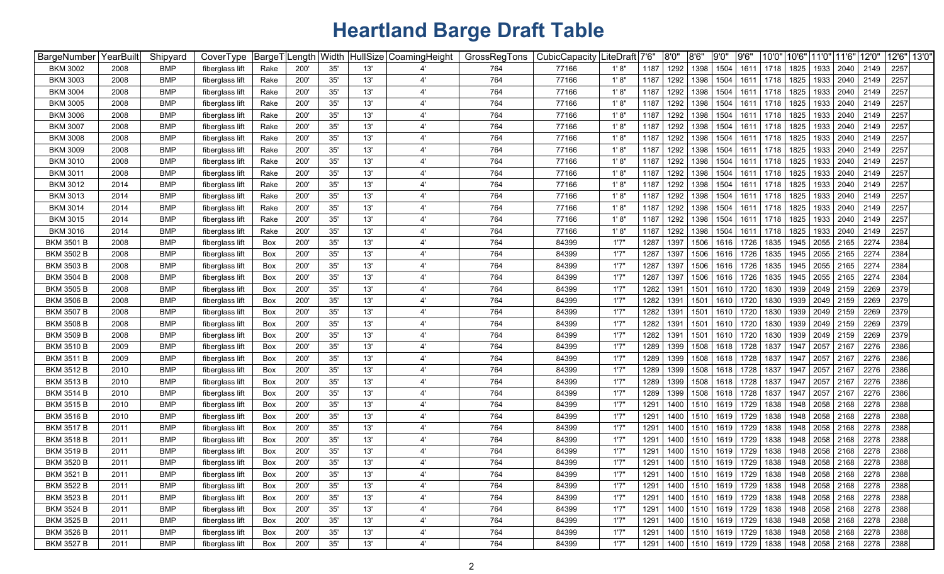| BargeNumber       | YearBuilt | Shipyard   | CoverType       | <sup>⊦</sup> BargeT | Length | Width |     | HullSize CoamingHeight | GrossRegTons | CubicCapacity | ∣LiteDraft | 7'6' | 8'0'' | 8'6' | 9'0'' | 9'6'           | 10'0"                                                 | 10'6' | 11'0"          | 11'6" | 12'0"                            | 12'6" 13'0" |  |
|-------------------|-----------|------------|-----------------|---------------------|--------|-------|-----|------------------------|--------------|---------------|------------|------|-------|------|-------|----------------|-------------------------------------------------------|-------|----------------|-------|----------------------------------|-------------|--|
| <b>BKM 3002</b>   | 2008      | <b>BMP</b> | fiberglass lift | Rake                | 200'   | 35'   | 13' |                        | 764          | 77166         | 1' 8"      | 1187 | 1292  | 1398 | 1504  | 1611           | 1718                                                  | 1825  | 1933           | 2040  | 2149                             | 2257        |  |
| <b>BKM 3003</b>   | 2008      | <b>BMP</b> | fiberglass lift | Rake                | 200'   | 35'   | 13' | $\overline{4}$         | 764          | 77166         | 1'8"       | 1187 | 1292  | 1398 | 1504  | 1611           | 1718                                                  | 1825  | 1933           | 2040  | 2149                             | 2257        |  |
| <b>BKM 3004</b>   | 2008      | <b>BMP</b> | fiberglass lift | Rake                | 200    | 35'   | 13' | 4'                     | 764          | 77166         | 1' 8'      | 1187 | 1292  | 1398 | 1504  | 1611           | 1718                                                  | 1825  | 1933           | 2040  | 2149                             | 2257        |  |
| <b>BKM 3005</b>   | 2008      | <b>BMP</b> | fiberglass lift | Rake                | 200    | 35'   | 13' | 4'                     | 764          | 77166         | 1'8"       | 1187 | 1292  | 1398 | 1504  | 1611           | 1718                                                  | 1825  | 1933           | 2040  | 2149                             | 2257        |  |
| <b>BKM 3006</b>   | 2008      | <b>BMP</b> | fiberglass lift | Rake                | 200    | 35'   | 13' | 4'                     | 764          | 77166         | 1' 8'      | 1187 | 1292  | 1398 | 1504  | 1611           | 1718                                                  | 1825  | 1933           | 2040  | 2149                             | 2257        |  |
| <b>BKM 3007</b>   | 2008      | <b>BMP</b> | fiberglass lift | Rake                | 200    | 35'   | 13' | 4'                     | 764          | 77166         | 1' 8''     | 1187 | 1292  | 1398 | 1504  | 1611           | 1718                                                  | 1825  | 1933           | 2040  | 2149                             | 2257        |  |
| <b>BKM 3008</b>   | 2008      | <b>BMP</b> | fiberglass lift | Rake                | 200    | 35'   | 13' | 4'                     | 764          | 77166         | 1'8"       | 1187 | 1292  | 1398 | 1504  | 1611           | 1718                                                  | 1825  | 1933           | 2040  | 2149                             | 2257        |  |
| <b>BKM 3009</b>   | 2008      | <b>BMP</b> | fiberglass lift | Rake                | 200    | 35'   | 13' | 4'                     | 764          | 77166         | 1'8''      | 1187 | 1292  | 1398 | 1504  | 1611           | 1718                                                  | 1825  | 1933           | 2040  | 2149                             | 2257        |  |
| <b>BKM 3010</b>   | 2008      | <b>BMP</b> | fiberglass lift | Rake                | 200    | 35'   | 13' | 4'                     | 764          | 77166         | 1' 8''     | 1187 | 1292  | 1398 | 1504  | 1611           | 1718                                                  | 1825  | 1933           | 2040  | 2149                             | 2257        |  |
| <b>BKM 3011</b>   | 2008      | <b>BMP</b> | fiberglass lift | Rake                | 200    | 35'   | 13' | 4                      | 764          | 77166         | 1' 8'      | 1187 | 1292  | 1398 | 1504  | 1611           | 1718                                                  | 1825  | 1933           | 2040  | 2149                             | 2257        |  |
| <b>BKM 3012</b>   | 2014      | <b>BMP</b> | fiberglass lift | Rake                | 200    | 35'   | 13' | 4                      | 764          | 77166         | 1' 8'      | 1187 | 1292  | 1398 | 1504  | 1611           | 1718                                                  | 1825  | 1933           | 2040  | 2149                             | 2257        |  |
| <b>BKM 3013</b>   | 2014      | <b>BMP</b> | fiberglass lift | Rake                | 200'   | 35'   | 13' | 4'                     | 764          | 77166         | 1' 8'      | 1187 | 1292  | 1398 | 1504  | 1611           | 1718                                                  | 1825  | 1933           | 2040  | 2149                             | 2257        |  |
| <b>BKM 3014</b>   | 2014      | <b>BMP</b> | fiberglass lift | Rake                | 200    | 35'   | 13' | 4'                     | 764          | 77166         | 1' 8'      | 1187 | 1292  | 1398 | 1504  | 161'           | 1718                                                  | 1825  | 1933           | 2040  | 2149                             | 2257        |  |
| <b>BKM 3015</b>   | 2014      | <b>BMP</b> | fiberglass lift | Rake                | 200'   | 35'   | 13' | 4'                     | 764          | 77166         | 1' 8'      | 1187 | 1292  | 1398 | 1504  | 1611           | 1718                                                  | 1825  | 1933           | 2040  | 2149                             | 2257        |  |
| <b>BKM 3016</b>   | 2014      | <b>BMP</b> | fiberglass lift | Rake                | 200'   | 35'   | 13' | 4'                     | 764          | 77166         | 1' 8'      | 1187 | 1292  | 1398 | 1504  | 1611           | 1718                                                  | 1825  | 1933           | 2040  | 2149                             | 2257        |  |
| <b>BKM 3501 B</b> | 2008      | <b>BMP</b> | fiberglass lift | Box                 | 200'   | 35'   | 13' | 4'                     | 764          | 84399         | 1'7'       | 1287 | 1397  | 1506 | 1616  | 1726           | 1835                                                  | 1945  | 2055           | 2165  | 2274                             | 2384        |  |
| <b>BKM 3502 B</b> | 2008      | <b>BMP</b> | fiberglass lift | Box                 | 200'   | 35'   | 13' | 4'                     | 764          | 84399         | 1'7'       | 1287 | 1397  | 1506 | 1616  | 1726           | 1835                                                  | 1945  | 2055           | 2165  | 2274                             | 2384        |  |
| <b>BKM 3503 B</b> | 2008      | <b>BMP</b> | fiberglass lift | Box                 | 200'   | 35'   | 13' | 4'                     | 764          | 84399         | 1'7''      | 1287 | 1397  | 1506 | 1616  | 1726           | 1835                                                  | 1945  | 2055           | 2165  | 2274                             | 2384        |  |
| <b>BKM 3504 B</b> | 2008      | <b>BMP</b> | fiberglass lift | Box                 | 200'   | 35'   | 13' | 4'                     | 764          | 84399         | 1'7''      | 1287 | 1397  | 1506 | 1616  | 1726           | 1835                                                  | 1945  | 2055           | 2165  | 2274                             | 2384        |  |
| <b>BKM 3505 B</b> | 2008      | <b>BMP</b> | fiberglass lift | Box                 | 200    | 35'   | 13' | 4'                     | 764          | 84399         | 1'7''      | 1282 | 1391  | 1501 | 1610  | 1720           | 1830                                                  | 1939  | 2049           | 2159  | 2269                             | 2379        |  |
| <b>BKM 3506 B</b> | 2008      | <b>BMP</b> | fiberglass lift | Box                 | 200    | 35'   | 13' | 4'                     | 764          | 84399         | 1'7''      | 1282 | 1391  | 1501 | 1610  | 1720           | 1830                                                  | 1939  | 2049           | 2159  | 2269                             | 2379        |  |
| <b>BKM 3507 B</b> | 2008      | <b>BMP</b> | fiberglass lift | Box                 | 200    | 35'   | 13' | 4'                     | 764          | 84399         | 1'7''      | 1282 | 139'  | 1501 | 1610  | 1720           | 1830                                                  | 1939  | 2049           | 2159  | 2269                             | 2379        |  |
| <b>BKM 3508 B</b> | 2008      | <b>BMP</b> | fiberglass lift | Box                 | 200'   | 35'   | 13' | 4'                     | 764          | 84399         | 1'7''      | 1282 | 1391  | 1501 | 1610  | 1720           | 1830                                                  | 1939  | 2049           | 2159  | 2269                             | 2379        |  |
| <b>BKM 3509 B</b> | 2008      | <b>BMP</b> | fiberglass lift | Box                 | 200'   | 35'   | 13' | 4'                     | 764          | 84399         | 1'7''      | 1282 | 1391  | 1501 | 1610  | 1720           | 1830                                                  | 1939  | 2049           | 2159  | 2269                             | 2379        |  |
| <b>BKM 3510 B</b> | 2009      | <b>BMP</b> | fiberglass lift | Box                 | 200'   | 35'   | 13' | 4'                     | 764          | 84399         | 1'7''      | 1289 | 1399  | 1508 | 1618  | 1728           | 1837                                                  | 1947  | 2057           | 2167  | 2276                             | 2386        |  |
| <b>BKM 3511 B</b> | 2009      | <b>BMP</b> | fiberglass lift | Box                 | 200    | 35'   | 13' | 4'                     | 764          | 84399         | 1'7''      | 1289 | 1399  | 1508 | 1618  | 1728           | 1837                                                  | 1947  | 2057           | 2167  | 2276                             | 2386        |  |
| <b>BKM 3512 B</b> | 2010      | <b>BMP</b> | fiberglass lift | Box                 | 200    | 35'   | 13' | 4'                     | 764          | 84399         | 1'7''      | 1289 | 1399  | 1508 | 1618  | 1728           | 1837                                                  | 1947  | 2057           | 2167  | 2276                             | 2386        |  |
| <b>BKM 3513 B</b> | 2010      | <b>BMP</b> | fiberglass lift | Box                 | 200    | 35'   | 13' | 4'                     | 764          | 84399         | 1'7'       | 1289 | 1399  | 1508 | 1618  | 1728           | 1837                                                  | 1947  | 2057           | 2167  | 2276                             | 2386        |  |
| <b>BKM 3514 B</b> | 2010      | <b>BMP</b> | fiberglass lift | Box                 | 200'   | 35'   | 13' | $4^{\circ}$            | 764          | 84399         | 1'7''      | 1289 | 1399  | 1508 | 1618  | 1728           | 1837                                                  | 1947  | 2057           | 2167  | 2276                             | 2386        |  |
| <b>BKM 3515 B</b> | 2010      | <b>BMP</b> | fiberglass lift | Box                 | 200    | 35'   | 13' | 4'                     | 764          | 84399         | 1'7''      | 1291 | 1400  | 1510 | 1619  | 1729           | 1838                                                  | 1948  | 2058           | 2168  | 2278                             | 2388        |  |
| <b>BKM 3516 B</b> | 2010      | <b>BMP</b> | fiberglass lift | Box                 | 200'   | 35'   | 13' | $4^{\circ}$            | 764          | 84399         | 1'7''      | 1291 | 1400  | 1510 | 1619  | 1729           | 1838                                                  | 1948  | 2058           | 2168  | 2278                             | 2388        |  |
| <b>BKM 3517 B</b> | 2011      | <b>BMP</b> | fiberglass lift | Box                 | 200'   | 35'   | 13' | 4'                     | 764          | 84399         | 1'7'       | 1291 | 1400  | 1510 | 1619  | 1729           | 1838                                                  | 1948  | 2058           | 2168  | 2278                             | 2388        |  |
| <b>BKM 3518 B</b> | 2011      | BMP        | fiberglass lift | Box                 | 200'   | 35'   | 13' | 4'                     | 764          | 84399         | 1'7'       | 1291 | 1400  | 1510 | 1619  | 1729           | 1838                                                  | 1948  | 2058           | 2168  | 2278                             | 2388        |  |
| <b>BKM 3519 B</b> | 2011      | <b>BMP</b> | fiberglass lift | Box                 | 200    | 35'   | 13' | 4'                     | 764          | 84399         | 1'7''      | 1291 | 1400  | 1510 | 1619  | 1729           | 1838                                                  | 1948  | 2058           | 2168  | 2278                             | 2388        |  |
| <b>BKM 3520 B</b> | 2011      | <b>BMP</b> | fiberglass lift | Box                 | 200    | 35'   | 13' | 4'                     | 764          | 84399         | 1'7"       | 1291 | 1400  | 1510 | 1619  | 1729           | 1838                                                  | 1948  | 2058           | 2168  | 2278                             | 2388        |  |
| <b>BKM 3521 B</b> | 2011      | <b>BMP</b> | fiberglass lift | Box                 | 200    | 35'   | 13' | 4'                     | 764          | 84399         | 1'7''      | 1291 | 1400  |      |       |                | 1510   1619   1729   1838   1948   2058   2168        |       |                |       | 2278                             | 2388        |  |
| <b>BKM 3522 B</b> | 2011      | <b>BMP</b> | fiberglass lift | Box                 | 200'   | 35'   | 13' | 4'                     | 764          | 84399         | 1'7"       | 1291 | 1400  |      |       |                | 1510   1619   1729   1838   1948   2058   2168   2278 |       |                |       |                                  | 2388        |  |
| BKM 3523 B        | 2011      | <b>BMP</b> | fiberglass lift | Box                 | 200'   | 35'   | 13' | 4'                     | 764          | 84399         | 1'7"       | 1291 | 1400  |      |       | 1510 1619 1729 |                                                       |       |                |       | 1838   1948   2058   2168   2278 | 2388        |  |
| <b>BKM 3524 B</b> | 2011      | <b>BMP</b> | fiberglass lift | Box                 | 200'   | 35'   | 13' | 4'                     | 764          | 84399         | 1'7"       | 1291 | 1400  |      |       | 1510 1619 1729 | 1838                                                  |       | 1948 2058 2168 |       | 2278                             | 2388        |  |
| <b>BKM 3525 B</b> | 2011      | <b>BMP</b> | fiberglass lift | Box                 | 200'   | 35'   | 13' | 4'                     | 764          | 84399         | 1'7''      | 1291 | 1400  |      |       | 1510 1619 1729 | 1838                                                  |       | 1948 2058 2168 |       | 2278                             | 2388        |  |
| <b>BKM 3526 B</b> | 2011      | <b>BMP</b> | fiberglass lift | Box                 | 200'   | 35'   | 13' | 4'                     | 764          | 84399         | 1'7"       | 1291 | 1400  |      |       | 1510 1619 1729 | 1838   1948   2058   2168                             |       |                |       | 2278                             | 2388        |  |
| BKM 3527 B        | 2011      | <b>BMP</b> | fiberglass lift | Box                 | 200'   | 35'   | 13' | 4'                     | 764          | 84399         | 1'7"       | 1291 |       |      |       |                | 1400   1510   1619   1729   1838   1948   2058   2168 |       |                |       | 2278                             | 2388        |  |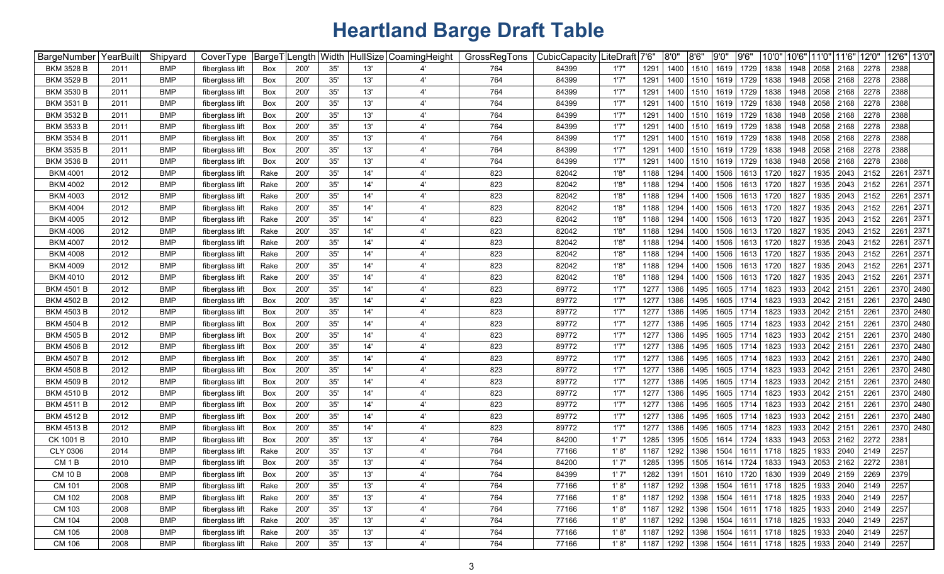| BargeNumber       | YearBuilt | Shipyard   | CoverType       | BargeT | Length | ∣Width |     | HullSize CoamingHeight | GrossRegTons | CubicCapacity | .iteDraft <sup> </sup> 7'6" |      | 8'0''       | 8'6'' | 9'0'' | 9'6''          | 10'0" | 10'6" | 11'0" | 11'6"          | 12'0'                                                               | 12'6" 13'0'  |
|-------------------|-----------|------------|-----------------|--------|--------|--------|-----|------------------------|--------------|---------------|-----------------------------|------|-------------|-------|-------|----------------|-------|-------|-------|----------------|---------------------------------------------------------------------|--------------|
| BKM 3528 B        | 2011      | BMP        | fiberglass lift | Box    | 200'   | 35'    | 13' | 4                      | 764          | 84399         | 1'7''                       | 1291 | 1400        | 1510  | 1619  | 1729           | 1838  | 1948  | 2058  | 2168           | 2278                                                                | 2388         |
| <b>BKM 3529 B</b> | 2011      | BMP        | fiberglass lift | Box    | 200'   | 35'    | 13' | 4'                     | 764          | 84399         | 1'7''                       | 1291 | 1400        | 1510  | 1619  | 1729           | 1838  | 1948  | 2058  | 2168           | 2278                                                                | 2388         |
| <b>BKM 3530 B</b> | 2011      | BMP        | fiberglass lift | Box    | 200'   | 35'    | 13' | 4'                     | 764          | 84399         | 1'7''                       | 1291 | 1400        | 1510  | 1619  | 1729           | 1838  | 1948  | 2058  | 2168           | 2278                                                                | 2388         |
| <b>BKM 3531 B</b> | 2011      | BMP        | fiberglass lift | Box    | 200'   | 35'    | 13' | 4'                     | 764          | 84399         | 1'7''                       | 1291 | 1400        | 1510  | 1619  | 1729           | 1838  | 1948  | 2058  | 2168           | 2278                                                                | 2388         |
| BKM 3532 B        | 2011      | BMP        | fiberglass lift | Box    | 200'   | 35'    | 13' | 4'                     | 764          | 84399         | 1'7''                       | 1291 | 1400        | 1510  | 1619  | 1729           | 1838  | 1948  | 2058  | 2168           | 2278                                                                | 2388         |
| <b>BKM 3533 B</b> | 2011      | BMP        | fiberglass lift | Box    | 200'   | 35'    | 13' | 4'                     | 764          | 84399         | 1'7''                       | 1291 | 1400        | 1510  | 1619  | 1729           | 1838  | 1948  | 2058  | 2168           | 2278                                                                | 2388         |
| BKM 3534 B        | 2011      | BMP        | fiberglass lift | Box    | 200'   | 35'    | 13' | 4'                     | 764          | 84399         | 1'7'                        | 1291 | 1400        | 1510  | 1619  | 1729           | 1838  | 1948  | 2058  | 2168           | 2278                                                                | 2388         |
| BKM 3535 B        | 2011      | BMP        | fiberglass lift | Box    | 200'   | 35'    | 13' | 4'                     | 764          | 84399         | 1'7''                       | 1291 | 1400        | 1510  | 1619  | 1729           | 1838  | 1948  | 2058  | 2168           | 2278                                                                | 2388         |
| BKM 3536 B        | 2011      | BMP        | fiberglass lift | Box    | 200'   | 35'    | 13' | 4'                     | 764          | 84399         | 1'7''                       | 1291 | 1400        | 1510  | 1619  | 1729           | 1838  | 1948  | 2058  | 2168           | 2278                                                                | 2388         |
| <b>BKM 4001</b>   | 2012      | BMP        | fiberglass lift | Rake   | 200'   | 35'    | 14' | 4'                     | 823          | 82042         | 1'8'                        | 1188 | 1294        | 1400  | 1506  | 1613           | 1720  | 1827  | 1935  | 2043           | 2152                                                                | 2261 2371    |
| <b>BKM 4002</b>   | 2012      | <b>BMP</b> | fiberglass lift | Rake   | 200'   | 35'    | 14' | 4'                     | 823          | 82042         | 1'8                         | 1188 | 1294        | 1400  | 1506  | 1613           | 1720  | 1827  | 1935  | 2043           | 2152                                                                | 2371<br>2261 |
| <b>BKM 4003</b>   | 2012      | BMP        | fiberglass lift | Rake   | 200'   | 35'    | 14' | 4'                     | 823          | 82042         | 1'8'                        | 1188 | 1294        | 1400  | 1506  | 1613           | 1720  | 1827  | 1935  | 2043           | 2152                                                                | 2371<br>2261 |
| <b>BKM 4004</b>   | 2012      | BMP        | fiberglass lift | Rake   | 200'   | 35'    | 14' | 4'                     | 823          | 82042         | 1'8'                        | 1188 | 1294        | 1400  | 1506  | 1613           | 1720  | 1827  | 1935  | 2043           | 2152                                                                | 2371<br>2261 |
| <b>BKM 4005</b>   | 2012      | <b>BMP</b> | fiberglass lift | Rake   | 200'   | 35'    | 14' | 4'                     | 823          | 82042         | 1'8'                        | 1188 | 1294        | 1400  | 1506  | 1613           | 1720  | 1827  | 1935  | 2043           | 2152                                                                | 2371<br>2261 |
| <b>BKM 4006</b>   | 2012      | <b>BMP</b> | fiberglass lift | Rake   | 200'   | 35'    | 14' | 4'                     | 823          | 82042         | 1'8'                        | 1188 | 1294        | 1400  | 1506  | 1613           | 1720  | 1827  | 1935  | 2043           | 2152                                                                | 2371<br>2261 |
| <b>BKM 4007</b>   | 2012      | BMP        | fiberglass lift | Rake   | 200'   | 35'    | 14' | 4'                     | 823          | 82042         | 1'8'                        | 1188 | 1294        | 1400  | 1506  | 1613           | 1720  | 1827  | 1935  | 2043           | 2152                                                                | 2371<br>2261 |
| <b>BKM 4008</b>   | 2012      | BMP        | fiberglass lift | Rake   | 200'   | 35'    | 14' | 4'                     | 823          | 82042         | 1'8'                        | 1188 | 1294        | 1400  | 1506  | 1613           | 1720  | 1827  | 1935  | 2043           | 2152                                                                | 2371<br>2261 |
| <b>BKM 4009</b>   | 2012      | BMP        | fiberglass lift | Rake   | 200'   | 35'    | 14' | 4'                     | 823          | 82042         | 1'8'                        | 1188 | 1294        | 1400  | 1506  | 1613           | 1720  | 1827  | 1935  | 2043           | 2152                                                                | 2371<br>2261 |
| <b>BKM 4010</b>   | 2012      | BMP        | fiberglass lift | Rake   | 200'   | 35'    | 14' | 4'                     | 823          | 82042         | 1'8'                        | 1188 | 1294        | 1400  | 1506  | 1613           | 1720  | 1827  | 1935  | 2043           | 2152                                                                | 2261 2371    |
| <b>BKM 4501 B</b> | 2012      | BMP        | fiberglass lift | Box    | 200'   | 35'    | 14' | 4'                     | 823          | 89772         | 1'7'                        | 1277 | 1386        | 1495  | 1605  | 1714           | 1823  | 1933  | 2042  | 2151           | 2261                                                                | 2370 2480    |
| <b>BKM 4502 B</b> | 2012      | BMP        | fiberglass lift | Box    | 200'   | 35'    | 14' | 4'                     | 823          | 89772         | 1'7''                       | 1277 | 1386        | 1495  | 1605  | 1714           | 1823  | 1933  | 2042  | 2151           | 2261                                                                | 2370 2480    |
| <b>BKM 4503 B</b> | 2012      | BMP        | fiberglass lift | Box    | 200'   | 35'    | 14' | 4'                     | 823          | 89772         | 1'7''                       | 1277 | 1386        | 1495  | 1605  | 1714           | 1823  | 1933  | 2042  | 2151           | 2261                                                                | 2370 2480    |
| <b>BKM 4504 B</b> | 2012      | BMP        | fiberglass lift | Box    | 200'   | 35'    | 14' | 4'                     | 823          | 89772         | 1'7''                       | 1277 | 1386        | 1495  | 1605  | 1714           | 1823  | 1933  | 2042  | 2151           | 2261                                                                | 2370 2480    |
| <b>BKM 4505 B</b> | 2012      | BMP        | fiberglass lift | Box    | 200'   | 35'    | 14' | 4'                     | 823          | 89772         | 1'7''                       | 1277 | 1386        | 1495  | 1605  | 1714           | 1823  | 1933  | 2042  | 2151           | 2261                                                                | 2370 2480    |
| <b>BKM 4506 B</b> | 2012      | BMP        | fiberglass lift | Box    | 200'   | 35'    | 14' | 4'                     | 823          | 89772         | 1'7''                       | 1277 | 1386        | 1495  | 1605  | 1714           | 1823  | 1933  | 2042  | 2151           | 2261                                                                | 2370 2480    |
| <b>BKM 4507 B</b> | 2012      | <b>BMP</b> | fiberglass lift | Box    | 200'   | 35'    | 14' | 4'                     | 823          | 89772         | 1'7''                       | 1277 | 1386        | 1495  | 1605  | 1714           | 1823  | 1933  | 2042  | 2151           | 2261                                                                | 2370 2480    |
| <b>BKM 4508 B</b> | 2012      | <b>BMP</b> | fiberglass lift | Box    | 200'   | 35'    | 14' | 4'                     | 823          | 89772         | 1'7''                       | 1277 | 1386        | 1495  | 1605  | 1714           | 1823  | 1933  | 2042  | 2151           | 2261                                                                | 2370 2480    |
| <b>BKM 4509 B</b> | 2012      | BMP        | fiberglass lift | Box    | 200'   | 35'    | 14' | 4'                     | 823          | 89772         | 1'7''                       | 1277 | 1386        | 1495  | 1605  | 1714           | 1823  | 1933  | 2042  | 2151           | 2261                                                                | 2370 2480    |
| <b>BKM 4510 B</b> | 2012      | BMP        | fiberglass lift | Box    | 200'   | 35'    | 14' | 4'                     | 823          | 89772         | 1'7'                        | 1277 | 1386        | 1495  | 1605  | 1714           | 1823  | 1933  | 2042  | 2151           | 2261                                                                | 2370 2480    |
| <b>BKM 4511 B</b> | 2012      | BMP        | fiberglass lift | Box    | 200'   | 35'    | 14' | 4'                     | 823          | 89772         | 1'7''                       | 1277 | 1386        | 1495  | 1605  | 1714           | 1823  | 1933  | 2042  | 2151           | 2261                                                                | 2370 2480    |
| <b>BKM 4512 B</b> | 2012      | BMP        | fiberglass lift | Box    | 200'   | 35'    | 14' | 4'                     | 823          | 89772         | 1'7''                       | 1277 | 1386        | 1495  | 1605  | 1714           | 1823  | 1933  | 2042  | 2151           | 2261                                                                | 2370 2480    |
| <b>BKM 4513 B</b> | 2012      | <b>BMP</b> | fiberglass lift | Box    | 200'   | 35'    | 14' | 4'                     | 823          | 89772         | 1'7'                        | 1277 | 1386        | 1495  | 1605  | 1714           | 1823  | 1933  | 2042  | 2151           | 2261                                                                | 2370 2480    |
| CK 1001 B         | 2010      | BMP        | fiberglass lift | Box    | 200'   | 35'    | 13' | $4^{\prime}$           | 764          | 84200         | 1'7'                        | 1285 | 1395        | 1505  | 1614  | 1724           | 1833  | 1943  | 2053  | 2162           | 2272                                                                | 2381         |
| CLY 0306          | 2014      | BMP        | fiberglass lift | Rake   | 200'   | 35'    | 13' | 4'                     | 764          | 77166         | 1'8'                        | 1187 | 1292        | 1398  | 1504  | 1611           | 1718  | 1825  | 1933  | 2040           | 2149                                                                | 2257         |
| CM <sub>1</sub> B | 2010      | BMP        | fiberglass lift | Box    | 200'   | 35'    | 13' | 4'                     | 764          | 84200         | 1'7''                       | 1285 | 1395        | 1505  | 1614  | 1724           | 1833  | 1943  | 2053  | 2162           | 2272                                                                | 2381         |
| <b>CM 10 B</b>    | 2008      | <b>BMP</b> | fiberglass lift | Box    | 200'   | 35'    | 13' | 4'                     | 764          | 84399         | 1'7'                        | 1282 | 1391   1501 |       |       | 1610 1720 1830 |       |       |       |                | 1939   2049   2159   2269                                           | 2379         |
| CM 101            | 2008      | <b>BMP</b> | fiberglass lift | Rake   | 200'   | 35'    | 13' | $4^{\prime}$           | 764          | 77166         | 1'8"                        | 1187 | 1292        | 1398  | 1504  | 1611           | 1718  | 1825  |       | 1933 2040 2149 |                                                                     | 2257         |
| CM 102            | 2008      | <b>BMP</b> | fiberglass lift | Rake   | 200'   | 35'    | 13' | 4'                     | 764          | 77166         | 1' 8''                      | 1187 | 1292        | 1398  | 1504  | 1611           | 1718  | 1825  |       |                | 1933 2040 2149                                                      | 2257         |
| CM 103            | 2008      | <b>BMP</b> | fiberglass lift | Rake   | 200'   | 35'    | 13' | $4^{\prime}$           | 764          | 77166         | 1'8"                        | 1187 | 1292        | 1398  | 1504  | 1611           | 1718  | 1825  | 1933  | 2040 2149      |                                                                     | 2257         |
| CM 104            | 2008      | <b>BMP</b> | fiberglass lift | Rake   | 200'   | 35'    | 13' | 4'                     | 764          | 77166         | 1'8"                        | 1187 | 1292        | 1398  | 1504  | 1611           | 1718  | 1825  |       | 1933 2040 2149 |                                                                     | 2257         |
| CM 105            | 2008      | <b>BMP</b> | fiberglass lift | Rake   | 200'   | $35'$  | 13' | 4'                     | 764          | 77166         | 1' 8''                      | 1187 | 1292        | 1398  |       | 1504 1611      | 1718  | 1825  |       | 1933 2040 2149 |                                                                     | 2257         |
| CM 106            | 2008      | <b>BMP</b> | fiberglass lift | Rake   | 200'   | 35'    | 13' | $4^{\prime}$           | 764          | 77166         | 1'8"                        |      |             |       |       |                |       |       |       |                | 1187   1292   1398   1504   1611   1718   1825   1933   2040   2149 | 2257         |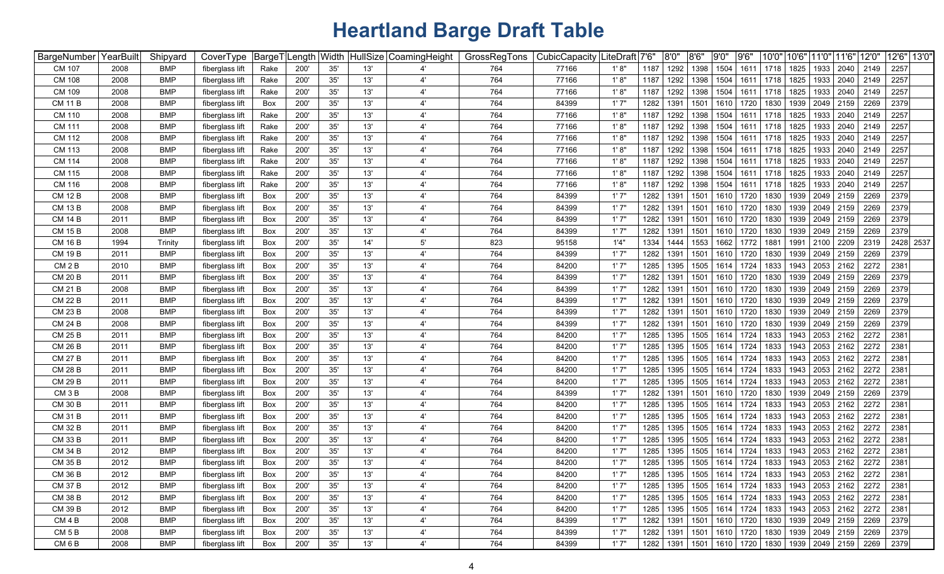| BargeNumber       | YearBuilt | Shipyard   | CoverType       | BargeT     | .ength | Width        |     | HullSize CoamingHeight | GrossRegTons | CubicCapacity | .iteDraft│7'6" |      | 8'0" | 8'6''            | 9'0" | 9'6' | 10'0"                                          | 10'6" | 11'0"                     | 11'6" | 12'0' | 12'6" 13'0" |           |
|-------------------|-----------|------------|-----------------|------------|--------|--------------|-----|------------------------|--------------|---------------|----------------|------|------|------------------|------|------|------------------------------------------------|-------|---------------------------|-------|-------|-------------|-----------|
| CM 107            | 2008      | <b>BMP</b> | fiberglass lift | Rake       | 200'   | 35'          | 13' |                        | 764          | 77166         | 1'8"           | 1187 | 1292 | 1398             | 1504 | 1611 | 1718                                           | 1825  | 1933                      | 2040  | 2149  | 2257        |           |
| <b>CM 108</b>     | 2008      | <b>BMP</b> | fiberglass lift | Rake       | 200'   | 35'          | 13' | $4^{\circ}$            | 764          | 77166         | 1'8"           | 1187 | 1292 | 1398             | 1504 | 1611 | 1718                                           | 1825  | 1933                      | 2040  | 2149  | 2257        |           |
| CM 109            | 2008      | BMP        | fiberglass lift | Rake       | 200    | 35'          | 13' | $\mathbf{4}^{\prime}$  | 764          | 77166         | 1'8"           | 1187 | 1292 | 1398             | 1504 | 1611 | 1718                                           | 1825  | 1933                      | 2040  | 2149  | 2257        |           |
| <b>CM 11 B</b>    | 2008      | <b>BMP</b> | fiberglass lift | Box        | 200    | 35'          | 13' | $\mathbf{4}^{\prime}$  | 764          | 84399         | 1'7''          | 1282 | 1391 | 1501             | 1610 | 1720 | 1830                                           | 1939  | 2049                      | 2159  | 2269  | 2379        |           |
| CM 110            | 2008      | <b>BMP</b> | fiberglass lift | Rake       | 200    | 35'          | 13' | $4^{\circ}$            | 764          | 77166         | 1' 8"          | 1187 | 1292 | 1398             | 1504 | 1611 | 1718                                           | 1825  | 1933                      | 2040  | 2149  | 2257        |           |
| CM 111            | 2008      | <b>BMP</b> | fiberglass lift | Rake       | 200    | 35'          | 13' | $4^{\prime}$           | 764          | 77166         | 1'8"           | 1187 | 1292 | 1398             | 1504 | 1611 | 1718                                           | 1825  | 1933                      | 2040  | 2149  | 2257        |           |
| CM 112            | 2008      | <b>BMP</b> | fiberglass lift | Rake       | 200    | 35'          | 13' | $\mathbf{4}^{\prime}$  | 764          | 77166         | 1' 8"          | 1187 | 1292 | 1398             | 1504 | 1611 | 1718                                           | 1825  | 1933                      | 2040  | 2149  | 2257        |           |
| CM 113            | 2008      | <b>BMP</b> | fiberglass lift | Rake       | 200    | 35'          | 13' |                        | 764          | 77166         | 1' 8"          | 1187 | 1292 | 1398             | 1504 | 1611 | 1718                                           | 1825  | 1933                      | 2040  | 2149  | 2257        |           |
| <b>CM 114</b>     | 2008      | <b>BMP</b> | fiberglass lift | Rake       | 200    | 35'          | 13' | $\mathbf{4}^{\prime}$  | 764          | 77166         | 1'8"           | 1187 | 1292 | 1398             | 1504 | 1611 | 1718                                           | 1825  | 1933                      | 2040  | 2149  | 2257        |           |
| <b>CM 115</b>     | 2008      | <b>BMP</b> | fiberglass lift | Rake       | 200    | 35'          | 13' |                        | 764          | 77166         | 1'8'           | 1187 | 1292 | 1398             | 1504 | 1611 | 1718                                           | 1825  | 1933                      | 2040  | 2149  | 2257        |           |
| CM 116            | 2008      | <b>BMP</b> | fiberglass lift | Rake       | 200    | 35'          | 13' |                        | 764          | 77166         | 1'8'           | 1187 | 1292 | 1398             | 1504 | 1611 | 1718                                           | 1825  | 1933                      | 2040  | 2149  | 2257        |           |
| <b>CM 12 B</b>    | 2008      | <b>BMP</b> | fiberglass lift | Box        | 200    | 35'          | 13' |                        | 764          | 84399         | 1'7''          | 1282 | 1391 | 1501             | 1610 | 1720 | 1830                                           | 1939  | 2049                      | 2159  | 2269  | 2379        |           |
| <b>CM 13 B</b>    | 2008      | <b>BMP</b> | fiberglass lift | Box        | 200    | 35'          | 13' |                        | 764          | 84399         | 1'7'           | 1282 | 1391 | 1501             | 1610 | 1720 | 1830                                           | 1939  | 2049                      | 2159  | 2269  | 2379        |           |
| <b>CM 14 B</b>    | 2011      | <b>BMP</b> | fiberglass lift | Box        | 200'   | 35'          | 13' |                        | 764          | 84399         | 1'7'           | 1282 | 1391 | 150 <sup>4</sup> | 1610 | 1720 | 1830                                           | 1939  | 2049                      | 2159  | 2269  | 2379        |           |
| <b>CM 15 B</b>    | 2008      | <b>BMP</b> | fiberglass lift | Box        | 200'   | 35'          | 13' | $\mathbf{4}^{\prime}$  | 764          | 84399         | 1'7'           | 1282 | 1391 | 1501             | 1610 | 1720 | 1830                                           | 1939  | 2049                      | 2159  | 2269  | 2379        |           |
| <b>CM 16 B</b>    | 1994      | Trinity    | fiberglass lift | Box        | 200'   | 35'          | 14' | $5^{\circ}$            | 823          | 95158         | 1'4"           | 1334 | 1444 | 1553             | 1662 | 1772 | 1881                                           | 1991  | 2100                      | 2209  | 2319  |             | 2428 2537 |
| <b>CM 19 B</b>    | 2011      | <b>BMP</b> | fiberglass lift | Box        | 200'   | 35'          | 13' | 4'                     | 764          | 84399         | 1'7''          | 1282 | 1391 | 1501             | 1610 | 1720 | 1830                                           | 1939  | 2049 2159                 |       | 2269  | 2379        |           |
| CM 2 B            | 2010      | <b>BMP</b> | fiberglass lift | Box        | 200'   | 35'          | 13' | 4'                     | 764          | 84200         | 1'7''          | 1285 | 1395 | 1505             | 1614 | 1724 | 1833                                           | 1943  | 2053 2162                 |       | 2272  | 2381        |           |
| <b>CM 20 B</b>    | 2011      | <b>BMP</b> | fiberglass lift | Box        | 200'   | 35'          | 13' | $\mathbf{4}^{\prime}$  | 764          | 84399         | 1'7''          | 1282 | 1391 | 1501             | 1610 | 1720 | 1830                                           | 1939  | 2049                      | 2159  | 2269  | 2379        |           |
| <b>CM 21 B</b>    | 2008      | <b>BMP</b> | fiberglass lift | Box        | 200    | 35'          | 13' | $\mathbf{4}^{\prime}$  | 764          | 84399         | 1'7''          | 1282 | 1391 | 1501             | 1610 | 1720 | 1830                                           | 1939  | 2049                      | 2159  | 2269  | 2379        |           |
| <b>CM 22 B</b>    | 2011      | <b>BMP</b> | fiberglass lift | Box        | 200    | 35'          | 13' | $\mathbf{4}^{\prime}$  | 764          | 84399         | 1'7''          | 1282 | 1391 | 150 <sup>2</sup> | 1610 | 1720 | 1830                                           | 1939  | 2049                      | 2159  | 2269  | 2379        |           |
| <b>CM 23 B</b>    | 2008      | <b>BMP</b> | fiberglass lift | Box        | 200'   | 35'          | 13' | 4'                     | 764          | 84399         | 1'7"           | 1282 | 1391 | 1501             | 1610 | 1720 | 1830                                           | 1939  | 2049                      | 2159  | 2269  | 2379        |           |
| <b>CM 24 B</b>    | 2008      | <b>BMP</b> | fiberglass lift | Box        | 200'   | 35'          | 13' | $\mathbf{4}^{\prime}$  | 764          | 84399         | 1'7"           | 1282 | 1391 | 1501             | 1610 | 1720 | 1830                                           | 1939  | 2049                      | 2159  | 2269  | 2379        |           |
| <b>CM 25 B</b>    | 2011      | <b>BMP</b> | fiberglass lift | Box        | 200'   | 35'          | 13' | $\mathbf{4}^{\prime}$  | 764          | 84200         | 1'7"           | 1285 | 1395 | 1505             | 1614 | 1724 | 1833                                           | 1943  | 2053                      | 2162  | 2272  | 2381        |           |
| <b>CM 26 B</b>    | 2011      | <b>BMP</b> | fiberglass lift | Box        | 200'   | 35'          | 13' |                        | 764          | 84200         | 1'7"           | 1285 | 1395 | 1505             | 1614 | 1724 | 1833                                           | 1943  | 2053 2162                 |       | 2272  | 2381        |           |
| <b>CM 27 B</b>    | 2011      | <b>BMP</b> | fiberglass lift | Box        | 200    | 35'          | 13' |                        | 764          | 84200         | 1'7''          | 1285 | 1395 | 1505             | 1614 | 1724 | 1833                                           | 1943  | 2053 2162                 |       | 2272  | 2381        |           |
| <b>CM 28 B</b>    | 2011      | <b>BMP</b> | fiberglass lift | Box        | 200'   | 35'          | 13' | $\mathbf{4}^{\prime}$  | 764          | 84200         | 1'7''          | 1285 | 1395 | 1505             | 1614 | 1724 | 1833                                           | 1943  | 2053 2162                 |       | 2272  | 2381        |           |
| <b>CM 29 B</b>    | 2011      | <b>BMP</b> | fiberglass lift | Box        | 200    | 35'          | 13' | $\mathbf{4}^{\prime}$  | 764          | 84200         | 1'7''          | 1285 | 1395 | 1505             | 1614 | 1724 | 1833                                           | 1943  | 2053                      | 2162  | 2272  | 2381        |           |
| CM <sub>3</sub> B | 2008      | <b>BMP</b> | fiberglass lift | Box        | 200'   | 35'          | 13' | $\mathbf{4}^{\prime}$  | 764          | 84399         | 1'7''          | 1282 | 1391 | 1501             | 1610 | 1720 | 1830                                           | 1939  | 2049                      | 2159  | 2269  | 2379        |           |
| <b>CM 30 B</b>    | 2011      | <b>BMP</b> | fiberglass lift | Box        | 200'   | 35'          | 13' | $4^{\circ}$            | 764          | 84200         | 1'7''          | 1285 | 1395 | 1505             | 1614 | 1724 | 1833                                           | 1943  | 2053                      | 2162  | 2272  | 2381        |           |
| <b>CM 31 B</b>    | 2011      | <b>BMP</b> | fiberglass lift | Box        | 200'   | 35'          | 13' |                        | 764          | 84200         | 1'7''          | 1285 | 1395 | 1505             | 1614 | 1724 | 1833                                           | 1943  | 2053                      | 2162  | 2272  | 2381        |           |
| <b>CM 32 B</b>    | 2011      | <b>BMP</b> | fiberglass lift | Box        | 200'   | 35'          | 13' | $\mathbf{4}^{\prime}$  | 764          | 84200         | 1'7''          | 1285 | 1395 | 1505             | 1614 | 1724 | 1833                                           | 1943  | 2053                      | 2162  | 2272  | 2381        |           |
| <b>CM 33 B</b>    | 2011      | <b>BMP</b> | fiberglass lift | Box        | 200'   | 35'          | 13' | $4^{\circ}$            | 764          | 84200         | 1'7'           | 1285 | 1395 | 1505             | 1614 | 1724 | 1833                                           | 1943  | 2053                      | 2162  | 2272  | 2381        |           |
| <b>CM 34 B</b>    | 2012      | <b>BMP</b> | fiberglass lift | Box        | 200'   | 35'          | 13' | 4'                     | 764          | 84200         | 1'7''          | 1285 | 1395 | 1505             | 1614 | 1724 | 1833                                           | 1943  | 2053                      | 2162  | 2272  | 2381        |           |
| <b>CM 35 B</b>    | 2012      | BMP        | fiberglass lift | <b>Box</b> | 200    | 35'          | 13' |                        | 764          | 84200         | 1'7''          | 1285 | 1395 | 1505             | 1614 | 1724 | 1833                                           | 1943  | 2053 2162                 |       | 2272  | 2381        |           |
| CM 36 B           | 2012      | <b>BMP</b> | fiberglass lift | Box        | 200'   | 35'          | 13' | $\mathbf{4}^{\prime}$  | 764          | 84200         | 1'7'           | 1285 | 1395 | 1505             | 1614 | 1724 | 1833   1943   2053   2162                      |       |                           |       | 2272  | 2381        |           |
| <b>CM 37 B</b>    | 2012      | <b>BMP</b> | fiberglass lift | Box        | 200'   | 35'          | 13' | $4^{\prime}$           | 764          | 84200         | 1'7"           | 1285 | 1395 | 1505             | 1614 | 1724 | 1833                                           |       | 1943   2053   2162   2272 |       |       | 2381        |           |
| <b>CM 38 B</b>    | 2012      | <b>BMP</b> | fiberglass lift | Box        | 200'   | 35'          | 13' | $4^{\prime}$           | 764          | 84200         | 1'7"           | 1285 | 1395 | 1505             | 1614 | 1724 | 1833                                           |       | 1943 2053 2162            |       | 2272  | 2381        |           |
| CM 39 B           | 2012      | <b>BMP</b> | fiberglass lift | Box        | 200'   | 35'          | 13' | $4^{\prime}$           | 764          | 84200         | 1'7"           | 1285 | 1395 | 1505             | 1614 | 1724 | 1833                                           |       | 1943 2053 2162            |       | 2272  | 2381        |           |
| CM 4 B            | 2008      | <b>BMP</b> | fiberglass lift | Box        | 200'   | 35'          | 13' | $4^{\prime}$           | 764          | 84399         | 1'7"           | 1282 | 1391 | 1501             | 1610 | 1720 | 1830                                           |       | 1939 2049 2159            |       | 2269  | 2379        |           |
| CM <sub>5</sub> B | 2008      | <b>BMP</b> | fiberglass lift | Box        | 200'   | $35^{\circ}$ | 13' | $4^{\prime}$           | 764          | 84399         | 1'7''          | 1282 | 1391 | 1501             | 1610 | 1720 | 1830                                           |       | 1939 2049 2159            |       | 2269  | 2379        |           |
| CM6B              | 2008      | <b>BMP</b> | fiberglass lift | Box        | 200'   | 35'          | 13' | $4^{\prime}$           | 764          | 84399         | 1'7"           | 1282 | 1391 | 1501             |      |      | 1610   1720   1830   1939   2049   2159   2269 |       |                           |       |       | 2379        |           |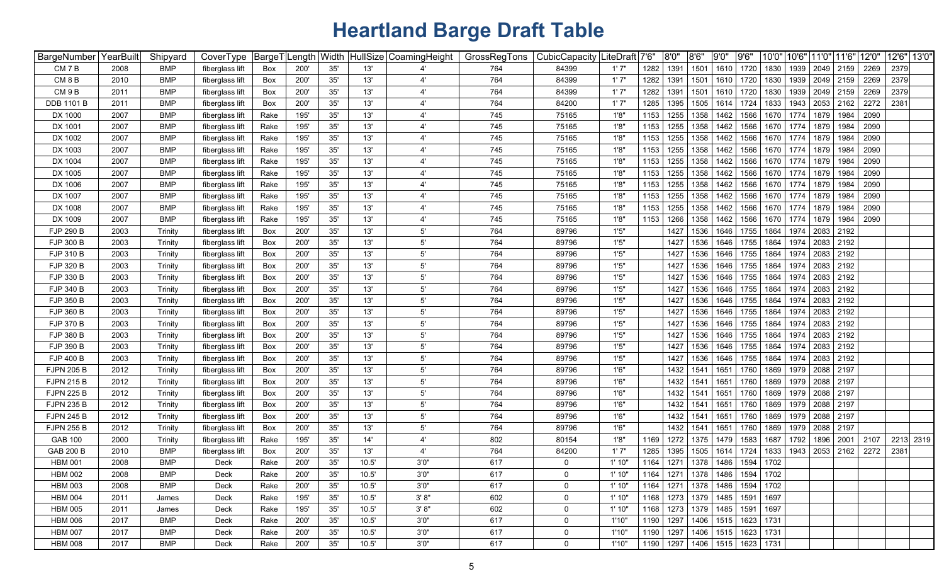| BargeNumber       | YearBuilt | Shipyard   | CoverType       | BargeT |      | ength Width |       | HullSize CoamingHeight | GrossRegTons | CubicCapacity | .iteDraft <sup> </sup> 7'6" |      | 8'0" | 8'6''                                   | 9'0" | 9'6' | 10'0" | 10'6" | 11'0"     | 11'6" | 12'0" | 12'6" 13'0" |  |
|-------------------|-----------|------------|-----------------|--------|------|-------------|-------|------------------------|--------------|---------------|-----------------------------|------|------|-----------------------------------------|------|------|-------|-------|-----------|-------|-------|-------------|--|
| CM 7 B            | 2008      | BMP        | fiberglass lift | Box    | 200' | 35'         | 13'   |                        | 764          | 84399         | 1'7"                        | 1282 | 1391 | 1501                                    | 1610 | 1720 | 1830  | 1939  | 2049      | 2159  | 2269  | 2379        |  |
| CM <sub>8</sub> B | 2010      | <b>BMP</b> | fiberglass lift | Box    | 200' | 35'         | 13'   | $4^{\circ}$            | 764          | 84399         | 1'7''                       | 1282 | 1391 | 1501                                    | 1610 | 1720 | 1830  | 1939  | 2049 2159 |       | 2269  | 2379        |  |
| CM <sub>9B</sub>  | 2011      | <b>BMP</b> | fiberglass lift | Box    | 200  | 35'         | 13'   | $4^{\circ}$            | 764          | 84399         | 1'7''                       | 1282 | 1391 | 1501                                    | 1610 | 1720 | 1830  | 1939  | 2049 2159 |       | 2269  | 2379        |  |
| <b>DDB 1101 B</b> | 2011      | <b>BMP</b> | fiberglass lift | Box    | 200  | 35'         | 13'   | $4^{\circ}$            | 764          | 84200         | 1'7"                        | 1285 | 1395 | 1505                                    | 1614 | 1724 | 1833  | 1943  | 2053      | 2162  | 2272  | 2381        |  |
| DX 1000           | 2007      | <b>BMP</b> | fiberglass lift | Rake   | 195  | 35'         | 13'   | $4^{\circ}$            | 745          | 75165         | 1'8'                        | 1153 | 1255 | 1358                                    | 1462 | 1566 | 1670  | 1774  | 1879      | 1984  | 2090  |             |  |
| DX 1001           | 2007      | <b>BMP</b> | fiberglass lift | Rake   | 195  | 35'         | 13'   | $\mathbf{4}^{\prime}$  | 745          | 75165         | 1'8'                        | 1153 | 1255 | 1358                                    | 1462 | 1566 | 1670  | 1774  | 1879      | 1984  | 2090  |             |  |
| DX 1002           | 2007      | <b>BMP</b> | fiberglass lift | Rake   | 195' | 35'         | 13'   | $\mathbf{4}^{\prime}$  | 745          | 75165         | 1'8'                        | 1153 | 1255 | 1358                                    | 1462 | 1566 | 1670  | 1774  | 1879      | 1984  | 2090  |             |  |
| DX 1003           | 2007      | <b>BMP</b> | fiberglass lift | Rake   | 195  | 35'         | 13'   | $4^{\circ}$            | 745          | 75165         | 1'8'                        | 1153 | 1255 | 1358                                    | 1462 | 1566 | 1670  | 1774  | 1879      | 1984  | 2090  |             |  |
| DX 1004           | 2007      | <b>BMP</b> | fiberglass lift | Rake   | 195  | 35'         | 13'   | $\mathbf{4}^{\prime}$  | 745          | 75165         | 1'8'                        | 1153 | 1255 | 1358                                    | 1462 | 1566 | 1670  | 1774  | 1879      | 1984  | 2090  |             |  |
| DX 1005           | 2007      | <b>BMP</b> | fiberglass lift | Rake   | 195  | 35'         | 13'   |                        | 745          | 75165         | 1'8'                        | 1153 | 1255 | 1358                                    | 1462 | 1566 | 1670  | 1774  | 1879      | 1984  | 2090  |             |  |
| DX 1006           | 2007      | <b>BMP</b> | fiberglass lift | Rake   | 195  | 35'         | 13'   |                        | 745          | 75165         | 1'8'                        | 1153 | 1255 | 1358                                    | 1462 | 1566 | 1670  | 1774  | 1879      | 1984  | 2090  |             |  |
| DX 1007           | 2007      | <b>BMP</b> | fiberglass lift | Rake   | 195  | 35'         | 13'   |                        | 745          | 75165         | 1'8'                        | 1153 | 1255 | 1358                                    | 1462 | 1566 | 1670  | 1774  | 1879      | 1984  | 2090  |             |  |
| DX 1008           | 2007      | <b>BMP</b> | fiberglass lift | Rake   | 195  | 35'         | 13'   |                        | 745          | 75165         | 1'8'                        | 1153 | 1255 | 1358                                    | 1462 | 1566 | 1670  | 1774  | 1879      | 1984  | 2090  |             |  |
| DX 1009           | 2007      | <b>BMP</b> | fiberglass lift | Rake   | 195  | 35'         | 13'   |                        | 745          | 75165         | 1'8'                        | 1153 | 1266 | 1358                                    | 1462 | 1566 | 1670  | 1774  | 1879      | 1984  | 2090  |             |  |
| FJP 290 B         | 2003      | Trinity    | fiberglass lift | Box    | 200' | 35'         | 13'   | $5^{\circ}$            | 764          | 89796         | 1'5''                       |      | 1427 | 1536                                    | 1646 | 1755 | 1864  | 1974  | 2083      | 2192  |       |             |  |
| FJP 300 B         | 2003      | Trinity    | fiberglass lift | Box    | 200' | 35'         | 13'   | $5^{\circ}$            | 764          | 89796         | 1'5''                       |      | 1427 | 1536                                    | 1646 | 1755 | 1864  | 1974  | 2083      | 2192  |       |             |  |
| FJP 310 B         | 2003      | Trinity    | fiberglass lift | Box    | 200' | 35'         | 13'   | $5^{\circ}$            | 764          | 89796         | 1'5''                       |      | 1427 | 1536                                    | 1646 | 1755 | 1864  | 1974  | 2083      | 2192  |       |             |  |
| FJP 320 B         | 2003      | Trinity    | fiberglass lift | Box    | 200' | 35'         | 13'   | $5^{\circ}$            | 764          | 89796         | 1'5''                       |      | 1427 | 1536                                    | 1646 | 1755 | 1864  | 1974  | 2083      | 2192  |       |             |  |
| FJP 330 B         | 2003      | Trinity    | fiberglass lift | Box    | 200' | 35'         | 13'   | $5^{\circ}$            | 764          | 89796         | 1'5''                       |      | 1427 | 1536                                    | 1646 | 1755 | 1864  | 1974  | 2083      | 2192  |       |             |  |
| FJP 340 B         | 2003      | Trinity    | fiberglass lift | Box    | 200  | 35'         | 13'   | $5^{\circ}$            | 764          | 89796         | 1'5''                       |      | 1427 | 1536                                    | 1646 | 1755 | 1864  | 1974  | 2083      | 2192  |       |             |  |
| FJP 350 B         | 2003      | Trinity    | fiberglass lift | Box    | 200  | 35'         | 13'   | $5^{\circ}$            | 764          | 89796         | 1'5''                       |      | 1427 | 1536                                    | 1646 | 1755 | 1864  | 1974  | 2083      | 2192  |       |             |  |
| FJP 360 B         | 2003      | Trinity    | fiberglass lift | Box    | 200' | 35'         | 13'   | $5^{\circ}$            | 764          | 89796         | 1'5''                       |      | 1427 | 1536                                    | 1646 | 1755 | 1864  | 1974  | 2083      | 2192  |       |             |  |
| FJP 370 B         | 2003      | Trinity    | fiberglass lift | Box    | 200' | 35'         | 13'   | $5^{\circ}$            | 764          | 89796         | 1'5''                       |      | 1427 | 1536                                    | 1646 | 1755 | 1864  | 1974  | 2083      | 2192  |       |             |  |
| <b>FJP 380 B</b>  | 2003      | Trinity    | fiberglass lift | Box    | 200' | 35'         | 13'   | $5^{\circ}$            | 764          | 89796         | 1'5''                       |      | 1427 | 1536                                    | 1646 | 1755 | 1864  | 1974  | 2083      | 2192  |       |             |  |
| FJP 390 B         | 2003      | Trinity    | fiberglass lift | Box    | 200' | 35'         | 13'   | $5^{\circ}$            | 764          | 89796         | 1'5''                       |      | 1427 | 1536                                    | 1646 | 1755 | 1864  | 1974  | 2083      | 2192  |       |             |  |
| <b>FJP 400 B</b>  | 2003      | Trinity    | fiberglass lift | Box    | 200' | 35'         | 13'   | $5^{\circ}$            | 764          | 89796         | 1'5''                       |      | 1427 | 1536                                    | 1646 | 1755 | 1864  | 1974  | 2083      | 2192  |       |             |  |
| <b>FJPN 205 B</b> | 2012      | Trinity    | fiberglass lift | Box    | 200' | 35'         | 13'   | $5^{\circ}$            | 764          | 89796         | 1'6''                       |      | 1432 | 1541                                    | 1651 | 1760 | 1869  | 1979  | 2088      | 2197  |       |             |  |
| <b>FJPN 215 B</b> | 2012      | Trinity    | fiberglass lift | Box    | 200  | 35'         | 13'   | $5^{\circ}$            | 764          | 89796         | 1'6''                       |      | 1432 | 1541                                    | 1651 | 1760 | 1869  | 1979  | 2088      | 2197  |       |             |  |
| <b>FJPN 225 B</b> | 2012      | Trinity    | fiberglass lift | Box    | 200' | 35'         | 13'   | $5^{\circ}$            | 764          | 89796         | 1'6''                       |      | 1432 | 1541                                    | 1651 | 1760 | 1869  | 1979  | 2088      | 2197  |       |             |  |
| <b>FJPN 235 B</b> | 2012      | Trinity    | fiberglass lift | Box    | 200' | 35'         | 13'   | $5^{\circ}$            | 764          | 89796         | 1'6''                       |      | 1432 | 1541                                    | 1651 | 1760 | 1869  | 1979  | 2088      | 2197  |       |             |  |
| <b>FJPN 245 B</b> | 2012      | Trinity    | fiberglass lift | Box    | 200' | 35'         | 13'   | $5^{\prime}$           | 764          | 89796         | 1'6''                       |      | 1432 | 154'                                    | 1651 | 1760 | 1869  | 1979  | 2088      | 2197  |       |             |  |
| <b>FJPN 255 B</b> | 2012      | Trinity    | fiberglass lift | Box    | 200' | 35'         | 13'   | 5'                     | 764          | 89796         | 1'6''                       |      | 1432 | 1541                                    | 1651 | 1760 | 1869  | 1979  | 2088      | 2197  |       |             |  |
| <b>GAB 100</b>    | 2000      | Trinity    | fiberglass lift | Rake   | 195' | 35'         | 14'   | 4'                     | 802          | 80154         | 1'8'                        | 1169 | 1272 | 1375                                    | 1479 | 1583 | 1687  | 1792  | 1896      | 2001  | 2107  | 2213 2319   |  |
| <b>GAB 200 B</b>  | 2010      | <b>BMP</b> | fiberglass lift | Box    | 200' | 35'         | 13'   | 4'                     | 764          | 84200         | 1'7''                       | 1285 | 1395 | 1505                                    | 1614 | 1724 | 1833  | 1943  | 2053      | 2162  | 2272  | 2381        |  |
| <b>HBM 001</b>    | 2008      | BMP        | Deck            | Rake   | 200  | 35'         | 10.5' | 3'0''                  | 617          | 0             | 1' 10"                      | 1164 | 1271 | 1378                                    | 1486 | 1594 | 1702  |       |           |       |       |             |  |
| <b>HBM 002</b>    | 2008      | <b>BMP</b> | Deck            | Rake   | 200' | 35'         | 10.5' | 3'0''                  | 617          | 0             | 1'10"                       | 1164 |      | 1271   1378   1486   1594   1702        |      |      |       |       |           |       |       |             |  |
| <b>HBM 003</b>    | 2008      | <b>BMP</b> | Deck            | Rake   | 200' | 35'         | 10.5' | 3'0''                  | 617          | $\mathbf{0}$  | 1'10"                       | 1164 | 1271 | 1378                                    | 1486 | 1594 | 1702  |       |           |       |       |             |  |
| <b>HBM 004</b>    | 2011      | James      | Deck            | Rake   | 195' | 35'         | 10.5' | 3' 8''                 | 602          | $\mathbf 0$   | 1'10"                       | 1168 | 1273 | 1379                                    | 1485 | 1591 | 1697  |       |           |       |       |             |  |
| <b>HBM 005</b>    | 2011      | James      | Deck            | Rake   | 195' | 35'         | 10.5' | 3' 8''                 | 602          | $\mathbf 0$   | 1'10"                       | 1168 | 1273 | 1379                                    | 1485 | 1591 | 1697  |       |           |       |       |             |  |
| <b>HBM 006</b>    | 2017      | <b>BMP</b> | Deck            | Rake   | 200' | 35'         | 10.5' | 3'0''                  | 617          | $\mathbf{0}$  | 1'10"                       | 1190 | 1297 | 1406 1515                               |      | 1623 | 1731  |       |           |       |       |             |  |
| <b>HBM 007</b>    | 2017      | <b>BMP</b> | Deck            | Rake   | 200' | $35'$       | 10.5' | 3'0''                  | 617          | $\mathbf 0$   | 1'10"                       | 1190 | 1297 | 1406 1515                               |      | 1623 | 1731  |       |           |       |       |             |  |
| <b>HBM 008</b>    | 2017      | BMP        | Deck            | Rake   | 200' | 35'         | 10.5' | 3'0''                  | 617          | $\mathbf 0$   | 1'10"                       |      |      | 1190   1297   1406   1515   1623   1731 |      |      |       |       |           |       |       |             |  |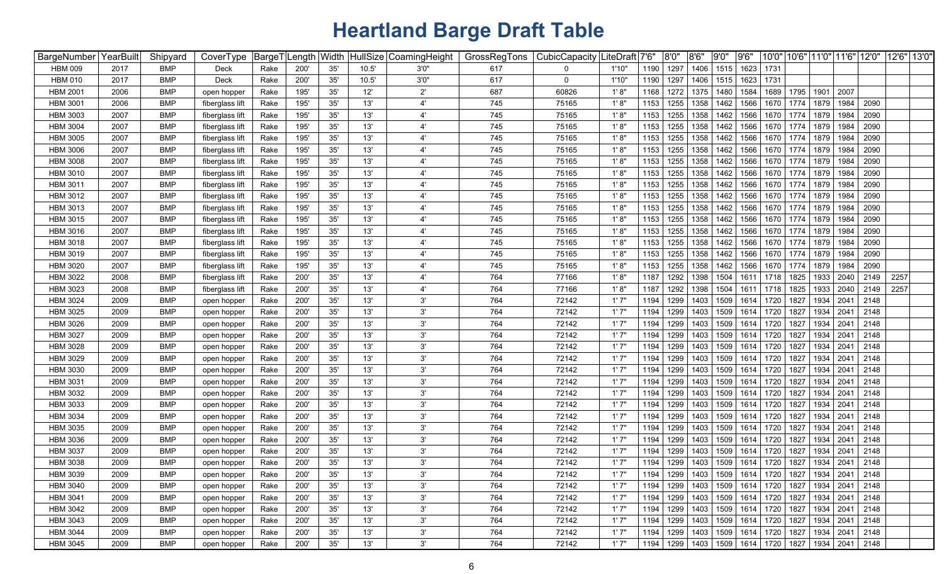| BargeNumber   YearBuilt |      | Shipyard   | CoverType       |      | BargeT Length Width |     |       | HullSize CoamingHeight | GrossRegTons | CubicCapacity | .iteDraft│7'6" |      | 8'0" | 8'6" | 9'0'' | 9'6'' |                                                              |      | 10'0"   10'6"   11'0"   11'6" |      | 12'0" | 12'6" 13'0' |
|-------------------------|------|------------|-----------------|------|---------------------|-----|-------|------------------------|--------------|---------------|----------------|------|------|------|-------|-------|--------------------------------------------------------------|------|-------------------------------|------|-------|-------------|
| <b>HBM 009</b>          | 2017 | <b>BMP</b> | Deck            | Rake | 200'                | 35' | 10.5' | 3'0''                  | 617          | 0             | 1'10"          | 1190 | 1297 | 1406 | 1515  | 1623  | 1731                                                         |      |                               |      |       |             |
| <b>HBM 010</b>          | 2017 | <b>BMP</b> | Deck            | Rake | 200'                | 35' | 10.5' | 3'0''                  | 617          | 0             | 1'10"          | 1190 | 1297 | 1406 | 1515  | 1623  | 1731                                                         |      |                               |      |       |             |
| <b>HBM 2001</b>         | 2006 | <b>BMP</b> | open hopper     | Rake | 195                 | 35' | 12'   | $2^{\prime}$           | 687          | 60826         | 1'8"           | 1168 | 1272 | 1375 | 1480  | 1584  | 1689                                                         | 1795 | 1901                          | 2007 |       |             |
| <b>HBM 3001</b>         | 2006 | <b>BMP</b> | fiberglass lift | Rake | 195                 | 35' | 13'   | $\overline{4}$         | 745          | 75165         | 1'8"           | 1153 | 1255 | 1358 | 1462  | 1566  | 1670                                                         | 1774 | 1879                          | 1984 | 2090  |             |
| <b>HBM 3003</b>         | 2007 | <b>BMP</b> | fiberglass lift | Rake | 195                 | 35' | 13'   | $\overline{4}$         | 745          | 75165         | 1'8"           | 1153 | 1255 | 1358 | 1462  | 1566  | 1670                                                         | 1774 | 1879                          | 1984 | 2090  |             |
| <b>HBM 3004</b>         | 2007 | <b>BMP</b> | fiberglass lift | Rake | 195                 | 35' | 13'   | $4^{\prime}$           | 745          | 75165         | 1'8"           | 1153 | 1255 | 1358 | 1462  | 1566  | 1670                                                         | 1774 | 1879                          | 1984 | 2090  |             |
| <b>HBM 3005</b>         | 2007 | <b>BMP</b> | fiberglass lift | Rake | 195                 | 35' | 13'   | $\overline{4}$         | 745          | 75165         | 1'8"           | 1153 | 1255 | 1358 | 1462  | 1566  | 1670                                                         | 1774 | 1879                          | 1984 | 2090  |             |
| <b>HBM 3006</b>         | 2007 | <b>BMP</b> | fiberglass lift | Rake | 195'                | 35' | 13'   | $\overline{4}$         | 745          | 75165         | 1'8"           | 1153 | 1255 | 1358 | 1462  | 1566  | 1670                                                         | 1774 | 1879                          | 1984 | 2090  |             |
| <b>HBM 3008</b>         | 2007 | <b>BMP</b> | fiberglass lift | Rake | 195                 | 35' | 13'   |                        | 745          | 75165         | 1'8"           | 1153 | 1255 | 1358 | 1462  | 1566  | 1670                                                         | 1774 | 1879                          | 1984 | 2090  |             |
| <b>HBM 3010</b>         | 2007 | <b>BMP</b> | fiberglass lift | Rake | 195                 | 35' | 13'   |                        | 745          | 75165         | 1' 8'          | 1153 | 1255 | 1358 | 1462  | 1566  | 1670                                                         | 1774 | 1879                          | 1984 | 2090  |             |
| <b>HBM 3011</b>         | 2007 | <b>BMP</b> | fiberglass lift | Rake | 195                 | 35' | 13'   |                        | 745          | 75165         | 1'8'           | 1153 | 1255 | 1358 | 1462  | 1566  | 1670                                                         | 1774 | 1879                          | 1984 | 2090  |             |
| <b>HBM 3012</b>         | 2007 | <b>BMP</b> | fiberglass lift | Rake | 195                 | 35' | 13'   |                        | 745          | 75165         | 1'8"           | 1153 | 1255 | 1358 | 1462  | 1566  | 1670                                                         | 1774 | 1879                          | 1984 | 2090  |             |
| <b>HBM 3013</b>         | 2007 | <b>BMP</b> | fiberglass lift | Rake | 195                 | 35' | 13'   |                        | 745          | 75165         | 1'8"           | 1153 | 1255 | 1358 | 1462  | 1566  | 1670                                                         | 1774 | 1879                          | 1984 | 2090  |             |
| <b>HBM 3015</b>         | 2007 | <b>BMP</b> | fiberglass lift | Rake | 195                 | 35' | 13'   |                        | 745          | 75165         | 1'8'           | 1153 | 1255 | 1358 | 1462  | 1566  | 1670                                                         | 1774 | 1879                          | 1984 | 2090  |             |
| <b>HBM 3016</b>         | 2007 | <b>BMP</b> | fiberglass lift | Rake | 195                 | 35' | 13'   | $\overline{4}$         | 745          | 75165         | 1'8"           | 1153 | 1255 | 1358 | 1462  | 1566  | 1670                                                         | 1774 | 1879                          | 1984 | 2090  |             |
| <b>HBM 3018</b>         | 2007 | <b>BMP</b> | fiberglass lift | Rake | 195                 | 35' | 13'   | $\overline{4}$         | 745          | 75165         | 1'8"           | 1153 | 1255 | 1358 | 1462  | 1566  | 1670                                                         | 1774 | 1879                          | 1984 | 2090  |             |
| <b>HBM 3019</b>         | 2007 | <b>BMP</b> | fiberglass lift | Rake | 195                 | 35' | 13'   | $\mathbf{4}^{\prime}$  | 745          | 75165         | 1' 8'          | 1153 | 1255 | 1358 | 1462  | 1566  | 1670                                                         | 1774 | 1879                          | 1984 | 2090  |             |
| <b>HBM 3020</b>         | 2007 | <b>BMP</b> | fiberglass lift | Rake | 195                 | 35' | 13'   | $\overline{4}$         | 745          | 75165         | 1'8"           | 1153 | 1255 | 1358 | 1462  | 1566  | 1670                                                         | 1774 | 1879                          | 1984 | 2090  |             |
| <b>HBM 3022</b>         | 2008 | <b>BMP</b> | fiberglass lift | Rake | 200                 | 35' | 13'   | $\overline{4}$         | 764          | 77166         | 1'8"           | 1187 | 1292 | 1398 | 1504  | 1611  | 1718                                                         | 1825 | 1933                          | 2040 | 2149  | 2257        |
| <b>HBM 3023</b>         | 2008 | <b>BMP</b> | fiberglass lift | Rake | 200                 | 35' | 13'   | $4^{\prime}$           | 764          | 77166         | 1'8"           | 1187 | 1292 | 1398 | 1504  | 1611  | 1718                                                         | 1825 | 1933                          | 2040 | 2149  | 2257        |
| <b>HBM 3024</b>         | 2009 | <b>BMP</b> | open hopper     | Rake | 200                 | 35' | 13'   | 3'                     | 764          | 72142         | 1'7''          | 1194 | 1299 | 1403 | 1509  | 1614  | 1720                                                         | 1827 | 1934                          | 2041 | 2148  |             |
| <b>HBM 3025</b>         | 2009 | <b>BMP</b> | open hopper     | Rake | 200                 | 35' | 13'   | 3'                     | 764          | 72142         | 1'7"           | 1194 | 1299 | 1403 | 1509  | 1614  | 1720                                                         | 1827 | 1934                          | 2041 | 2148  |             |
| <b>HBM 3026</b>         | 2009 | <b>BMP</b> | open hopper     | Rake | 200                 | 35' | 13'   | 3'                     | 764          | 72142         | 1'7"           | 1194 | 1299 | 1403 | 1509  | 1614  | 1720                                                         | 1827 | 1934                          | 2041 | 2148  |             |
| <b>HBM 3027</b>         | 2009 | <b>BMP</b> | open hopper     | Rake | 200                 | 35' | 13'   | 3'                     | 764          | 72142         | 1'7''          | 1194 | 1299 | 1403 | 1509  | 1614  | 1720                                                         | 1827 | 1934                          | 2041 | 2148  |             |
| <b>HBM 3028</b>         | 2009 | <b>BMP</b> | open hopper     | Rake | 200'                | 35' | 13'   | 3'                     | 764          | 72142         | 1'7"           | 1194 | 1299 | 1403 | 1509  | 1614  | 1720                                                         | 1827 | 1934                          | 2041 | 2148  |             |
| <b>HBM 3029</b>         | 2009 | <b>BMP</b> | open hopper     | Rake | 200                 | 35' | 13'   | 3'                     | 764          | 72142         | 1'7''          | 1194 | 1299 | 1403 | 1509  | 1614  | 1720                                                         | 1827 | 1934                          | 2041 | 2148  |             |
| <b>HBM 3030</b>         | 2009 | <b>BMP</b> | open hopper     | Rake | 200                 | 35' | 13'   | 3'                     | 764          | 72142         | 1'7''          | 1194 | 1299 | 1403 | 1509  | 1614  | 1720                                                         | 1827 | 1934                          | 2041 | 2148  |             |
| <b>HBM 3031</b>         | 2009 | <b>BMP</b> | open hopper     | Rake | 200                 | 35' | 13'   | 3'                     | 764          | 72142         | 1'7''          | 1194 | 1299 | 1403 | 1509  | 1614  | 1720                                                         | 1827 | 1934                          | 2041 | 2148  |             |
| <b>HBM 3032</b>         | 2009 | <b>BMP</b> | open hopper     | Rake | 200                 | 35' | 13'   | 3'                     | 764          | 72142         | 1'7''          | 1194 | 1299 | 1403 | 1509  | 1614  | 1720                                                         | 1827 | 1934                          | 2041 | 2148  |             |
| <b>HBM 3033</b>         | 2009 | <b>BMP</b> | open hopper     | Rake | 200'                | 35' | 13'   | 3'                     | 764          | 72142         | 1'7''          | 1194 | 1299 | 1403 | 1509  | 1614  | 1720                                                         | 1827 | 1934                          | 2041 | 2148  |             |
| <b>HBM 3034</b>         | 2009 | <b>BMP</b> | open hopper     | Rake | 200                 | 35' | 13'   | 3'                     | 764          | 72142         | 1'7"           | 1194 | 1299 | 1403 | 1509  | 1614  | 1720                                                         | 1827 | 1934                          | 2041 | 2148  |             |
| <b>HBM 3035</b>         | 2009 | <b>BMP</b> | open hopper     | Rake | 200                 | 35' | 13'   | 3'                     | 764          | 72142         | 1'7''          | 1194 | 1299 | 1403 | 1509  | 1614  | 1720                                                         | 1827 | 1934                          | 2041 | 2148  |             |
| <b>HBM 3036</b>         | 2009 | <b>BMP</b> | open hopper     | Rake | 200                 | 35' | 13'   | 3'                     | 764          | 72142         | 1'7'           | 1194 | 1299 | 1403 | 1509  | 1614  | 1720                                                         | 1827 | 1934                          | 2041 | 2148  |             |
| <b>HBM 3037</b>         | 2009 | <b>BMP</b> | open hopper     | Rake | 200                 | 35' | 13'   | $3^{\prime}$           | 764          | 72142         | 1'7''          | 1194 | 1299 | 1403 | 1509  | 1614  | 1720                                                         | 1827 | 1934                          | 2041 | 2148  |             |
| <b>HBM 3038</b>         | 2009 | <b>BMP</b> | open hopper     | Rake | 200                 | 35' | 13'   | 3'                     | 764          | 72142         | 1'7''          | 1194 | 1299 | 1403 | 1509  | 1614  | 1720                                                         | 1827 | 1934                          | 2041 | 2148  |             |
| <b>HBM 3039</b>         | 2009 | <b>BMP</b> | open hopper     | Rake | 200                 | 35' | 13'   | 3'                     | 764          | 72142         | 1'7''          | 1194 |      |      |       |       | 1299   1403   1509   1614   1720   1827   1934   2041        |      |                               |      | 2148  |             |
| <b>HBM 3040</b>         | 2009 | <b>BMP</b> | open hopper     | Rake | 200'                | 35' | 13'   | 3'                     | 764          | 72142         | 1'7"           | 1194 | 1299 | 1403 | 1509  |       | 1614 1720 1827                                               |      | 1934 2041                     |      | 2148  |             |
| <b>HBM 3041</b>         | 2009 | <b>BMP</b> | open hopper     | Rake | 200'                | 35' | 13'   | 3'                     | 764          | 72142         | 1'7"           | 1194 | 1299 | 1403 | 1509  |       | 1614 1720 1827                                               |      | 1934 2041                     |      | 2148  |             |
| <b>HBM 3042</b>         | 2009 | <b>BMP</b> | open hopper     | Rake | 200'                | 35' | 13'   | 3'                     | 764          | 72142         | 1'7"           | 1194 | 1299 | 1403 | 1509  |       | 1614 1720 1827                                               |      | 1934                          | 2041 | 2148  |             |
| <b>HBM 3043</b>         | 2009 | <b>BMP</b> | open hopper     | Rake | 200'                | 35' | 13'   | 3'                     | 764          | 72142         | 1'7"           | 1194 | 1299 | 1403 | 1509  |       | 1614 1720 1827                                               |      | 1934                          | 2041 | 2148  |             |
| <b>HBM 3044</b>         | 2009 | <b>BMP</b> | open hopper     | Rake | 200'                | 35' | 13'   | $3^{\circ}$            | 764          | 72142         | 1'7"           | 1194 | 1299 | 1403 | 1509  |       | 1614 1720 1827                                               |      | 1934                          | 2041 | 2148  |             |
| HBM 3045                | 2009 | <b>BMP</b> | open hopper     | Rake | 200'                | 35' | 13'   | 3'                     | 764          | 72142         | 1'7"           | 1194 |      |      |       |       | 1299   1403   1509   1614   1720   1827   1934   2041   2148 |      |                               |      |       |             |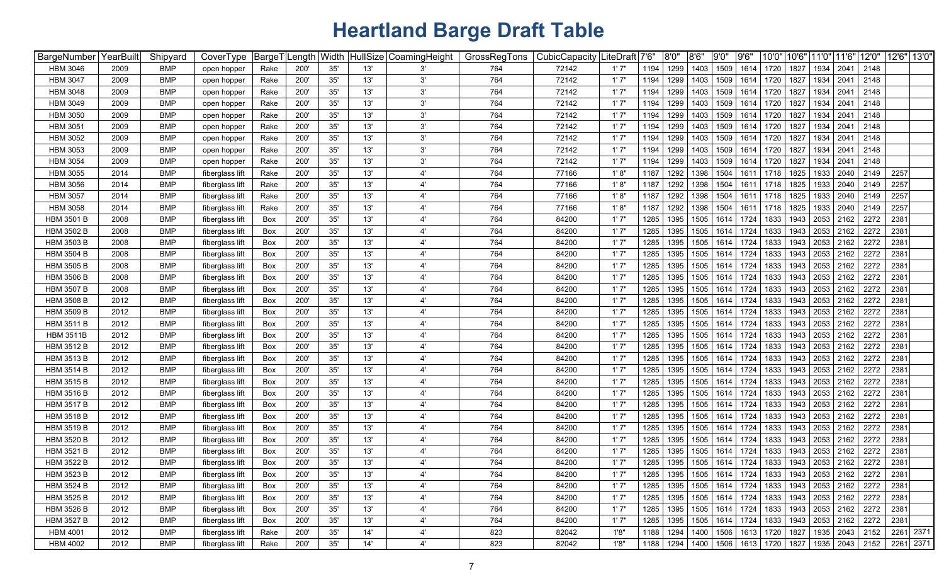| BargeNumber       | YearBuilt | Shipyard   | CoverType       | BargeT <u>ˈ</u> | Length Width |     |     | HullSize CoamingHeight | GrossRegTons | CubicCapacity | ∣LiteDraft | 7'6' | 8'0'' | 8'6"               | 9'0" | 9'6'      | 10'0" | 10'6" | 11'0"                            | 11'6"   | 12'0"                                          | 12'6" 13'0" |           |
|-------------------|-----------|------------|-----------------|-----------------|--------------|-----|-----|------------------------|--------------|---------------|------------|------|-------|--------------------|------|-----------|-------|-------|----------------------------------|---------|------------------------------------------------|-------------|-----------|
| <b>HBM 3046</b>   | 2009      | <b>BMP</b> | open hopper     | Rake            | 200'         | 35' | 13' | 3'                     | 764          | 72142         | 1'7''      | 1194 | 1299  | 1403               | 1509 | 1614      | 1720  | 1827  | 1934                             | 2041    | 2148                                           |             |           |
| <b>HBM 3047</b>   | 2009      | <b>BMP</b> | open hopper     | Rake            | 200'         | 35' | 13' | 3'                     | 764          | 72142         | 1'7"       | 1194 | 1299  | 1403               | 1509 | 1614      | 1720  | 1827  | 1934                             | 2041    | 2148                                           |             |           |
| <b>HBM 3048</b>   | 2009      | <b>BMP</b> | open hopper     | Rake            | 200          | 35' | 13' | 3'                     | 764          | 72142         | 1'7"       | 1194 | 1299  | 1403               | 1509 | 1614      | 1720  | 1827  | 1934                             | 2041    | 2148                                           |             |           |
| <b>HBM 3049</b>   | 2009      | <b>BMP</b> | open hopper     | Rake            | 200          | 35' | 13' | 3'                     | 764          | 72142         | 1'7"       | 1194 | 1299  | 1403               | 1509 | 1614      | 1720  | 1827  | 1934                             | 2041    | 2148                                           |             |           |
| <b>HBM 3050</b>   | 2009      | <b>BMP</b> | open hopper     | Rake            | 200          | 35' | 13' | 3'                     | 764          | 72142         | 1'7"       | 1194 | 1299  | 1403               | 1509 | 1614      | 1720  | 1827  | 1934                             | $204 -$ | 2148                                           |             |           |
| <b>HBM 3051</b>   | 2009      | <b>BMP</b> | open hopper     | Rake            | 200          | 35' | 13' | 3'                     | 764          | 72142         | 1'7"       | 1194 | 1299  | 1403               | 1509 | 1614      | 1720  | 1827  | 1934                             | 2041    | 2148                                           |             |           |
| <b>HBM 3052</b>   | 2009      | <b>BMP</b> | open hopper     | Rake            | 200          | 35' | 13' | 3'                     | 764          | 72142         | 1'7"       | 1194 | 1299  | 1403               | 1509 | 1614      | 1720  | 1827  | 1934                             | 2041    | 2148                                           |             |           |
| <b>HBM 3053</b>   | 2009      | <b>BMP</b> | open hopper     | Rake            | 200          | 35' | 13' | 3'                     | 764          | 72142         | 1'7"       | 1194 | 1299  | 1403               | 1509 | 1614      | 1720  | 1827  | 1934                             | 2041    | 2148                                           |             |           |
| <b>HBM 3054</b>   | 2009      | <b>BMP</b> | open hopper     | Rake            | 200          | 35' | 13' | 3'                     | 764          | 72142         | 1'7''      | 1194 | 1299  | 1403               | 1509 | 1614      | 1720  | 1827  | 1934                             | 2041    | 2148                                           |             |           |
| <b>HBM 3055</b>   | 2014      | <b>BMP</b> | fiberglass lift | Rake            | 200'         | 35' | 13' | $\mathbf{4}^{\prime}$  | 764          | 77166         | 1' 8"      | 1187 | 1292  | 1398               | 1504 | 1611      | 1718  | 1825  | 1933                             | 2040    | 2149                                           | 2257        |           |
| <b>HBM 3056</b>   | 2014      | <b>BMP</b> | fiberglass lift | Rake            | 200          | 35' | 13' | $\mathbf{4}^{\prime}$  | 764          | 77166         | 1'8"       | 1187 | 1292  | 1398               | 1504 | 1611      | 1718  | 1825  | 1933                             | 2040    | 2149                                           | 2257        |           |
| <b>HBM 3057</b>   | 2014      | <b>BMP</b> | fiberglass lift | Rake            | 200          | 35' | 13' | $\mathbf{4}^{\prime}$  | 764          | 77166         | 1'8"       | 1187 | 1292  | 1398               | 1504 | 1611      | 1718  | 1825  | 1933                             | 2040    | 2149                                           | 2257        |           |
| <b>HBM 3058</b>   | 2014      | <b>BMP</b> | fiberglass lift | Rake            | 200          | 35' | 13' | $\mathbf{4}^{\prime}$  | 764          | 77166         | 1'8''      | 1187 | 1292  | 1398               | 1504 | 1611      | 1718  | 1825  | 1933                             | 2040    | 2149                                           | 2257        |           |
| <b>HBM 3501 B</b> | 2008      | <b>BMP</b> | fiberglass lift | Box             | 200          | 35' | 13' | $4^{\circ}$            | 764          | 84200         | 1'7''      | 1285 | 1395  | 1505               | 1614 | 1724      | 1833  | 1943  | 2053                             | 2162    | 2272                                           | 2381        |           |
| <b>HBM 3502 B</b> | 2008      | <b>BMP</b> | fiberglass lift | Box             | 200          | 35' | 13' | $\mathbf{4}^{\prime}$  | 764          | 84200         | 1'7''      | 1285 | 1395  | 1505               | 1614 | 1724      | 1833  | 1943  | 2053                             | 2162    | 2272                                           | 2381        |           |
| <b>HBM 3503 B</b> | 2008      | <b>BMP</b> | fiberglass lift | Box             | 200          | 35' | 13' | 4'                     | 764          | 84200         | 1'7''      | 1285 | 1395  | 1505               | 1614 | 1724      | 1833  | 1943  | 2053                             | 2162    | 2272                                           | 2381        |           |
| <b>HBM 3504 B</b> | 2008      | <b>BMP</b> | fiberglass lift | Box             | 200          | 35' | 13' | 4'                     | 764          | 84200         | 1'7"       | 1285 | 1395  | 1505               | 1614 | 1724      | 1833  | 1943  | 2053                             | 2162    | 2272                                           | 2381        |           |
| <b>HBM 3505 B</b> | 2008      | <b>BMP</b> | fiberglass lift | Box             | 200'         | 35' | 13' | 4'                     | 764          | 84200         | 1'7"       | 1285 | 1395  | 1505               | 1614 | 1724      | 1833  | 1943  | 2053                             | 2162    | 2272                                           | 2381        |           |
| <b>HBM 3506 B</b> | 2008      | <b>BMP</b> | fiberglass lift | Box             | 200          | 35' | 13' | 4'                     | 764          | 84200         | 1'7"       | 1285 | 1395  | 1505               | 1614 | 1724      | 1833  | 1943  | 2053                             | 2162    | 2272                                           | 2381        |           |
| <b>HBM 3507 B</b> | 2008      | <b>BMP</b> | fiberglass lift | Box             | 200          | 35' | 13' | 4'                     | 764          | 84200         | 1'7"       | 1285 | 1395  | 1505               | 1614 | 1724      | 1833  | 1943  | 2053                             | 2162    | 2272                                           | 2381        |           |
| <b>HBM 3508 B</b> | 2012      | <b>BMP</b> | fiberglass lift | Box             | 200          | 35' | 13' | 4'                     | 764          | 84200         | 1'7"       | 1285 | 1395  | 1505               | 1614 | 1724      | 1833  | 1943  | 2053                             | 2162    | 2272                                           | 2381        |           |
| <b>HBM 3509 B</b> | 2012      | <b>BMP</b> | fiberglass lift | Box             | 200          | 35' | 13' | $4^{\circ}$            | 764          | 84200         | 1'7"       | 1285 | 1395  | 1505               | 1614 | 1724      | 1833  | 1943  | 2053                             | 2162    | 2272                                           | 2381        |           |
| <b>HBM 3511 B</b> | 2012      | <b>BMP</b> | fiberglass lift | Box             | 200          | 35' | 13' | $\mathbf{4}^{\prime}$  | 764          | 84200         | 1'7"       | 1285 | 1395  | 1505               | 1614 | 1724      | 1833  | 1943  | 2053                             | 2162    | 2272                                           | 2381        |           |
| <b>HBM 3511B</b>  | 2012      | <b>BMP</b> | fiberglass lift | Box             | 200          | 35' | 13' | 4'                     | 764          | 84200         | 1'7"       | 1285 | 1395  | 1505               | 1614 | 1724      | 1833  | 1943  | 2053                             | 2162    | 2272                                           | 2381        |           |
| <b>HBM 3512 B</b> | 2012      | <b>BMP</b> | fiberglass lift | Box             | 200          | 35' | 13' | 4'                     | 764          | 84200         | 1'7"       | 1285 | 1395  | 1505               | 1614 | 1724      | 1833  | 1943  | 2053                             | 2162    | 2272                                           | 2381        |           |
| <b>HBM 3513 B</b> | 2012      | <b>BMP</b> | fiberglass lift | Box             | 200'         | 35' | 13' | $\mathbf{4}^{\prime}$  | 764          | 84200         | 1'7"       | 1285 | 1395  | 1505               | 1614 | 1724      | 1833  | 1943  | 2053                             | 2162    | 2272                                           | 2381        |           |
| <b>HBM 3514 B</b> | 2012      | <b>BMP</b> | fiberglass lift | Box             | 200'         | 35' | 13' | $\mathbf{4}^{\prime}$  | 764          | 84200         | 1'7"       | 1285 | 1395  | 1505               | 1614 | 1724      | 1833  | 1943  | 2053                             | 2162    | 2272                                           | 2381        |           |
| <b>HBM 3515 B</b> | 2012      | <b>BMP</b> | fiberglass lift | Box             | 200'         | 35' | 13' | $\mathbf{4}^{\prime}$  | 764          | 84200         | 1'7''      | 1285 | 1395  | 1505               | 1614 | 1724      | 1833  | 1943  | 2053                             | 2162    | 2272                                           | 2381        |           |
| <b>HBM 3516 B</b> | 2012      | <b>BMP</b> | fiberglass lift | Box             | 200          | 35' | 13' | $\mathbf{4}^{\prime}$  | 764          | 84200         | 1'7''      | 1285 | 1395  | 1505               | 1614 | 1724      | 1833  | 1943  | 2053                             | 2162    | 2272                                           | 2381        |           |
| <b>HBM 3517 B</b> | 2012      | <b>BMP</b> | fiberglass lift | Box             | 200          | 35' | 13' | $4^{\circ}$            | 764          | 84200         | 1'7"       | 1285 | 1395  | 1505               | 1614 | 1724      | 1833  | 1943  | 2053                             | 2162    | 2272                                           | 2381        |           |
| <b>HBM 3518 B</b> | 2012      | <b>BMP</b> | fiberglass lift | Box             | 200          | 35' | 13' | 4'                     | 764          | 84200         | 1'7''      | 1285 | 1395  | 1505               | 1614 | 1724      | 1833  | 1943  | 2053                             | 2162    | 2272                                           | 2381        |           |
| <b>HBM 3519 B</b> | 2012      | <b>BMP</b> | fiberglass lift | Box             | 200          | 35' | 13' | 4'                     | 764          | 84200         | 1'7''      | 1285 | 1395  | 1505               | 1614 | 1724      | 1833  | 1943  | 2053                             | 2162    | 2272                                           | 2381        |           |
| <b>HBM 3520 B</b> | 2012      | <b>BMP</b> | fiberglass lift | Box             | 200          | 35' | 13' | 4'                     | 764          | 84200         | 1'7''      | 1285 | 1395  | 1505               | 1614 | 1724      | 1833  | 1943  | 2053                             | 2162    | 2272                                           | 2381        |           |
| <b>HBM 3521 B</b> | 2012      | <b>BMP</b> | fiberglass lift | Box             | 200          | 35' | 13' | 4'                     | 764          | 84200         | 1'7''      | 1285 | 1395  | 1505               | 1614 | 1724      | 1833  | 1943  | 2053                             | 2162    | 2272                                           | 2381        |           |
| <b>HBM 3522 B</b> | 2012      | <b>BMP</b> | fiberglass lift | Box             | 200          | 35' | 13' | $\mathbf{4}^{\prime}$  | 764          | 84200         | 1'7"       | 1285 | 1395  | 1505               | 1614 | 1724      | 1833  | 1943  | 2053                             | 2162    | 2272                                           | 2381        |           |
| HBM 3523 B        | 2012      | <b>BMP</b> | fiberglass lift | Box             | 200'         | 35' | 13' | 4'                     | 764          | 84200         | 1'7"       | 1285 | 1395  | 1505               |      | 1614 1724 |       |       | 1833   1943   2053   2162   2272 |         |                                                | 2381        |           |
| <b>HBM 3524 B</b> | 2012      | <b>BMP</b> | fiberglass lift | Box             | 200'         | 35' | 13' | 4'                     | 764          | 84200         | 1'7"       | 1285 | 1395  | 1505               |      | 1614 1724 | 1833  |       | 1943 2053 2162 2272              |         |                                                | 2381        |           |
| <b>HBM 3525 B</b> | 2012      | <b>BMP</b> | fiberglass lift | Box             | 200'         | 35' | 13' | 4'                     | 764          | 84200         | 1'7''      | 1285 | 1395  | 1505               |      | 1614 1724 | 1833  |       | 1943 2053 2162 2272              |         |                                                | 2381        |           |
| <b>HBM 3526 B</b> | 2012      | <b>BMP</b> | fiberglass lift | Box             | 200'         | 35' | 13' | 4'                     | 764          | 84200         | 1'7"       | 1285 | 1395  | 1505               |      | 1614 1724 | 1833  |       | 1943 2053 2162 2272              |         |                                                | 2381        |           |
| <b>HBM 3527 B</b> | 2012      | <b>BMP</b> | fiberglass lift | Box             | 200'         | 35' | 13' | 4'                     | 764          | 84200         | 1'7"       | 1285 | 1395  | 1505               |      | 1614 1724 | 1833  |       | 1943 2053 2162 2272              |         |                                                | 2381        |           |
| <b>HBM 4001</b>   | 2012      | <b>BMP</b> | fiberglass lift | Rake            | 200'         | 35' | 14' | 4'                     | 823          | 82042         | 1'8"       | 1188 | 1294  | 1400               |      | 1506 1613 | 1720  |       | 1827   1935   2043   2152        |         |                                                |             | 2261 2371 |
| <b>HBM 4002</b>   | 2012      | <b>BMP</b> | fiberglass lift | Rake            | 200'         | 35' | 14' | 4'                     | 823          | 82042         | 1'8"       |      |       | 1188   1294   1400 |      |           |       |       |                                  |         | 1506   1613   1720   1827   1935   2043   2152 |             | 2261 2371 |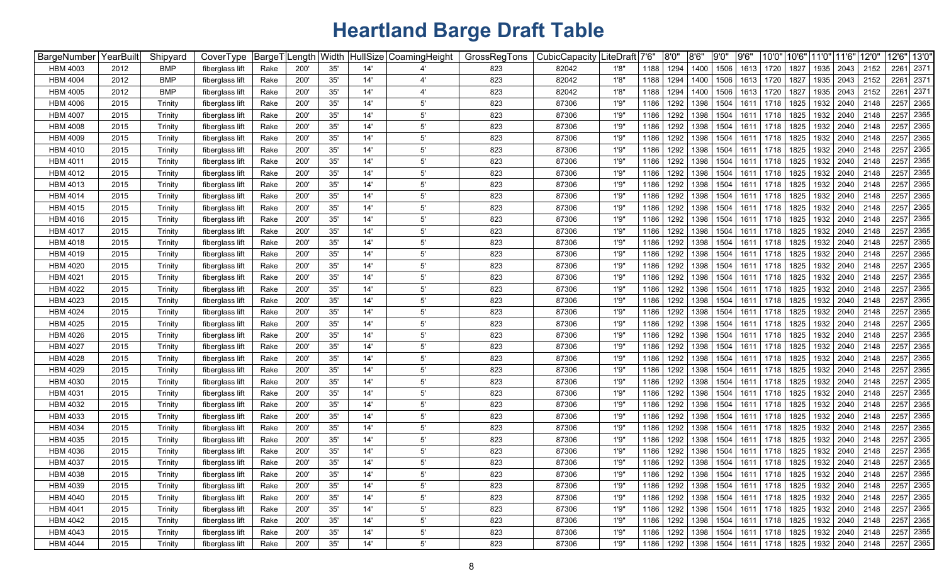| BargeNumber     | YearBuilt | Shipyard   | CoverType       | BargeT | ength Width |     |     | HullSize CoamingHeight | GrossRegTons | CubicCapacity | LiteDraft | 7'6" | 8'0'' | 8'6''              | 9'0" | 9'6' | 10'0"     | 10'6" | 11'0" | 11'6" | 12'0'                                          |      | 12'6" 13'0" |
|-----------------|-----------|------------|-----------------|--------|-------------|-----|-----|------------------------|--------------|---------------|-----------|------|-------|--------------------|------|------|-----------|-------|-------|-------|------------------------------------------------|------|-------------|
| <b>HBM 4003</b> | 2012      | <b>BMP</b> | fiberglass lift | Rake   | 200'        | 35' | 14' |                        | 823          | 82042         | 1'8"      | 1188 | 1294  | 1400               | 1506 | 1613 | 1720      | 1827  | 1935  | 2043  | 2152                                           | 2261 | 2371        |
| <b>HBM 4004</b> | 2012      | <b>BMP</b> | fiberglass lift | Rake   | 200'        | 35' | 14' | 4'                     | 823          | 82042         | 1'8'      | 1188 | 1294  | 1400               | 1506 | 1613 | 1720      | 1827  | 1935  | 2043  | 2152                                           | 2261 | 2371        |
| <b>HBM 4005</b> | 2012      | <b>BMP</b> | fiberglass lift | Rake   | 200         | 35' | 14' | $4^{\circ}$            | 823          | 82042         | 1'8'      | 1188 | 1294  | 1400               | 1506 | 1613 | 1720      | 1827  | 1935  | 2043  | 2152                                           | 2261 | 2371        |
| <b>HBM 4006</b> | 2015      | Trinity    | fiberglass lift | Rake   | 200         | 35' | 14' | $5^{\prime}$           | 823          | 87306         | 1'9"      | 1186 | 1292  | 1398               | 1504 | 1611 | 1718      | 1825  | 1932  | 2040  | 2148                                           |      | 2257 2365   |
| <b>HBM 4007</b> | 2015      | Trinity    | fiberglass lift | Rake   | 200         | 35' | 14' | $5^{\prime}$           | 823          | 87306         | 1'9'      | 1186 | 1292  | 1398               | 1504 | 1611 | 1718      | 1825  | 1932  | 2040  | 2148                                           |      | 2257 2365   |
| <b>HBM 4008</b> | 2015      | Trinity    | fiberglass lift | Rake   | 200         | 35' | 14' | $5^{\prime}$           | 823          | 87306         | 1'9"      | 1186 | 1292  | 1398               | 1504 | 1611 | 1718      | 1825  | 1932  | 2040  | 2148                                           | 2257 | 2365        |
| <b>HBM 4009</b> | 2015      | Trinity    | fiberglass lift | Rake   | 200         | 35' | 14' | $5^{\prime}$           | 823          | 87306         | 1'9"      | 1186 | 1292  | 1398               | 1504 | 1611 | 1718      | 1825  | 1932  | 2040  | 2148                                           | 2257 | 2365        |
| <b>HBM 4010</b> | 2015      | Trinity    | fiberglass lift | Rake   | 200         | 35' | 14' | $5^{\prime}$           | 823          | 87306         | 1'9"      | 1186 | 1292  | 1398               | 1504 | 1611 | 1718      | 1825  | 1932  | 2040  | 2148                                           |      | 2257 2365   |
| <b>HBM 4011</b> | 2015      | Trinity    | fiberglass lift | Rake   | 200         | 35' | 14' | 5'                     | 823          | 87306         | 1'9"      | 1186 | 1292  | 1398               | 1504 | 1611 | 1718      | 1825  | 1932  | 2040  | 2148                                           |      | 2257 2365   |
| <b>HBM 4012</b> | 2015      | Trinity    | fiberglass lift | Rake   | 200'        | 35' | 14' | $5^{\prime}$           | 823          | 87306         | 1'9'      | 1186 | 1292  | 1398               | 1504 | 1611 | 1718      | 1825  | 1932  | 2040  | 2148                                           |      | 2257 2365   |
| <b>HBM 4013</b> | 2015      | Trinity    | fiberglass lift | Rake   | 200'        | 35' | 14' | $5^{\prime}$           | 823          | 87306         | 1'9'      | 1186 | 1292  | 1398               | 1504 | 1611 | 1718      | 1825  | 1932  | 2040  | 2148                                           |      | 2257 2365   |
| <b>HBM 4014</b> | 2015      | Trinity    | fiberglass lift | Rake   | 200         | 35' | 14' | $5^{\circ}$            | 823          | 87306         | 1'9'      | 1186 | 1292  | 1398               | 1504 | 1611 | 1718      | 1825  | 1932  | 2040  | 2148                                           |      | 2257 2365   |
| <b>HBM 4015</b> | 2015      | Trinity    | fiberglass lift | Rake   | 200         | 35' | 14' | $5^{\prime}$           | 823          | 87306         | 1'9'      | 1186 | 1292  | 1398               | 1504 | 161' | 1718      | 1825  | 1932  | 2040  | 2148                                           |      | 2257 2365   |
| <b>HBM 4016</b> | 2015      | Trinity    | fiberglass lift | Rake   | 200         | 35' | 14' | $5^{\prime}$           | 823          | 87306         | 1'9'      | 1186 | 1292  | 1398               | 1504 | 1611 | 1718      | 1825  | 1932  | 2040  | 2148                                           | 2257 | 2365        |
| <b>HBM 4017</b> | 2015      | Trinity    | fiberglass lift | Rake   | 200'        | 35' | 14' | $5^{\prime}$           | 823          | 87306         | 1'9'      | 1186 | 1292  | 1398               | 1504 | 1611 | 1718      | 1825  | 1932  | 2040  | 2148                                           | 2257 | 2365        |
| HBM 4018        | 2015      | Trinity    | fiberglass lift | Rake   | 200'        | 35' | 14' | $5^{\prime}$           | 823          | 87306         | 1'9"      | 1186 | 1292  | 1398               | 1504 | 1611 | 1718      | 1825  | 1932  | 2040  | 2148                                           | 2257 | 2365        |
| HBM 4019        | 2015      | Trinity    | fiberglass lift | Rake   | 200'        | 35' | 14' | $5^{\prime}$           | 823          | 87306         | 1'9'      | 1186 | 1292  | 1398               | 1504 | 1611 | 1718      | 1825  | 1932  | 2040  | 2148                                           | 2257 | 2365        |
| <b>HBM 4020</b> | 2015      | Trinity    | fiberglass lift | Rake   | 200'        | 35' | 14' | $5^{\prime}$           | 823          | 87306         | 1'9'      | 1186 | 1292  | 1398               | 1504 | 1611 | 1718      | 1825  | 1932  | 2040  | 2148                                           | 2257 | 2365        |
| <b>HBM 4021</b> | 2015      | Trinity    | fiberglass lift | Rake   | 200         | 35' | 14' | $5^{\prime}$           | 823          | 87306         | 1'9'      | 1186 | 1292  | 1398               | 1504 | 1611 | 1718      | 1825  | 1932  | 2040  | 2148                                           |      | 2257 2365   |
| <b>HBM 4022</b> | 2015      | Trinity    | fiberglass lift | Rake   | 200         | 35' | 14' | $5^{\prime}$           | 823          | 87306         | 1'9'      | 1186 | 1292  | 1398               | 1504 | 1611 | 1718      | 1825  | 1932  | 2040  | 2148                                           |      | 2257 2365   |
| <b>HBM 4023</b> | 2015      | Trinity    | fiberglass lift | Rake   | 200         | 35' | 14' | $5^{\prime}$           | 823          | 87306         | 1'9'      | 1186 | 1292  | 1398               | 1504 | 1611 | 1718      | 1825  | 1932  | 2040  | 2148                                           |      | 2257 2365   |
| <b>HBM 4024</b> | 2015      | Trinity    | fiberglass lift | Rake   | 200         | 35' | 14' | 5'                     | 823          | 87306         | 1'9'      | 1186 | 1292  | 1398               | 1504 | 1611 | 1718      | 1825  | 1932  | 2040  | 2148                                           |      | 2257 2365   |
| <b>HBM 4025</b> | 2015      | Trinity    | fiberglass lift | Rake   | 200'        | 35' | 14' | $5^{\prime}$           | 823          | 87306         | 1'9"      | 1186 | 1292  | 1398               | 1504 | 1611 | 1718      | 1825  | 1932  | 2040  | 2148                                           |      | 2257 2365   |
| <b>HBM 4026</b> | 2015      | Trinity    | fiberglass lift | Rake   | 200         | 35' | 14' | $5^{\prime}$           | 823          | 87306         | 1'9"      | 1186 | 1292  | 1398               | 1504 | 1611 | 1718      | 1825  | 1932  | 2040  | 2148                                           |      | 2257 2365   |
| <b>HBM 4027</b> | 2015      | Trinity    | fiberglass lift | Rake   | 200         | 35' | 14' | $5^{\circ}$            | 823          | 87306         | 1'9"      | 1186 | 1292  | 1398               | 1504 | 1611 | 1718      | 1825  | 1932  | 2040  | 2148                                           |      | 2257 2365   |
| <b>HBM 4028</b> | 2015      | Trinity    | fiberglass lift | Rake   | 200'        | 35' | 14' | $5^{\prime}$           | 823          | 87306         | 1'9"      | 1186 | 1292  | 1398               | 1504 | 1611 | 1718      | 1825  | 1932  | 2040  | 2148                                           |      | 2257 2365   |
| <b>HBM 4029</b> | 2015      | Trinity    | fiberglass lift | Rake   | 200'        | 35' | 14' | $5^{\prime}$           | 823          | 87306         | 1'9"      | 1186 | 1292  | 1398               | 1504 | 1611 | 1718      | 1825  | 1932  | 2040  | 2148                                           |      | 2257 2365   |
| <b>HBM 4030</b> | 2015      | Trinity    | fiberglass lift | Rake   | 200'        | 35' | 14' | $5^{\prime}$           | 823          | 87306         | 1'9'      | 1186 | 1292  | 1398               | 1504 | 1611 | 1718      | 1825  | 1932  | 2040  | 2148                                           |      | 2257 2365   |
| <b>HBM 4031</b> | 2015      | Trinity    | fiberglass lift | Rake   | 200'        | 35' | 14' | 5'                     | 823          | 87306         | 1'9'      | 1186 | 1292  | 1398               | 1504 | 1611 | 1718      | 1825  | 1932  | 2040  | 2148                                           |      | 2257 2365   |
| <b>HBM 4032</b> | 2015      | Trinity    | fiberglass lift | Rake   | 200'        | 35' | 14' | 5'                     | 823          | 87306         | 1'9'      | 1186 | 1292  | 1398               | 1504 | 1611 | 1718      | 1825  | 1932  | 2040  | 2148                                           |      | 2257 2365   |
| <b>HBM 4033</b> | 2015      | Trinity    | fiberglass lift | Rake   | 200         | 35' | 14' | $5^{\circ}$            | 823          | 87306         | 1'9'      | 1186 | 1292  | 1398               | 1504 | 161' | 1718      | 1825  | 1932  | 2040  | 2148                                           | 2257 | 2365        |
| <b>HBM 4034</b> | 2015      | Trinity    | fiberglass lift | Rake   | 200'        | 35' | 14' | $5^{\prime}$           | 823          | 87306         | 1'9'      | 1186 | 1292  | 1398               | 1504 | 1611 | 1718      | 1825  | 1932  | 2040  | 2148                                           | 2257 | 2365        |
| <b>HBM 4035</b> | 2015      | Trinity    | fiberglass lift | Rake   | 200'        | 35' | 14' | $5^{\prime}$           | 823          | 87306         | 1'9'      | 1186 | 1292  | 1398               | 1504 | 1611 | 1718      | 1825  | 1932  | 2040  | 2148                                           | 2257 | 2365        |
| <b>HBM 4036</b> | 2015      | Trinity    | fiberglass lift | Rake   | 200'        | 35' | 14' | $5^{\circ}$            | 823          | 87306         | 1'9'      | 1186 | 1292  | 1398               | 1504 | 1611 | 1718      | 1825  | 1932  | 2040  | 2148                                           | 2257 | 2365        |
| <b>HBM 4037</b> | 2015      | Trinity    | fiberglass lift | Rake   | 200'        | 35' | 14' | $5^{\circ}$            | 823          | 87306         | 1'9'      | 1186 | 1292  | 1398               | 1504 | 1611 | 1718      | 1825  | 1932  | 2040  | 2148                                           |      | 2257 2365   |
| <b>HBM 4038</b> | 2015      | Trinity    | fiberglass lift | Rake   | 200'        | 35' | 14' | $5^{\prime}$           | 823          | 87306         | 1'9"      | 1186 | 1292  | 1398               |      |      |           |       |       |       | 1504   1611   1718   1825   1932   2040   2148 |      | 2257 2365   |
| <b>HBM 4039</b> | 2015      | Trinity    | fiberglass lift | Rake   | 200'        | 35' | 14' | $5^{\prime}$           | 823          | 87306         | 1'9"      | 1186 | 1292  | 1398               | 1504 |      | 1611 1718 |       |       |       | 1825   1932   2040   2148                      |      | 2257 2365   |
| <b>HBM 4040</b> | 2015      | Trinity    | fiberglass lift | Rake   | 200'        | 35' | 14' | $5^{\prime}$           | 823          | 87306         | 1'9''     | 1186 | 1292  | 1398               | 1504 | 1611 | 1718      |       |       |       | 1825   1932   2040   2148                      |      | 2257 2365   |
| <b>HBM 4041</b> | 2015      | Trinity    | fiberglass lift | Rake   | 200'        | 35' | 14' | $5^{\circ}$            | 823          | 87306         | 1'9"      | 1186 | 1292  | 1398               | 1504 | 1611 | 1718      | 1825  |       |       | 1932 2040 2148                                 |      | 2257 2365   |
| <b>HBM 4042</b> | 2015      | Trinity    | fiberglass lift | Rake   | 200'        | 35' | 14' | $5^{\prime}$           | 823          | 87306         | 1'9"      | 1186 | 1292  | 1398               | 1504 | 1611 | 1718      |       |       |       | 1825   1932   2040   2148                      |      | 2257 2365   |
| <b>HBM 4043</b> | 2015      | Trinity    | fiberglass lift | Rake   | 200'        | 35' | 14' | $5^{\circ}$            | 823          | 87306         | 1'9''     | 1186 | 1292  | 1398               | 1504 | 1611 | 1718      |       |       |       | 1825   1932   2040   2148                      |      | 2257 2365   |
| <b>HBM 4044</b> | 2015      | Trinity    | fiberglass lift | Rake   | 200'        | 35' | 14' | $5^{\prime}$           | 823          | 87306         | 1'9''     |      |       | 1186   1292   1398 |      |      |           |       |       |       | 1504   1611   1718   1825   1932   2040   2148 |      | 2257 2365   |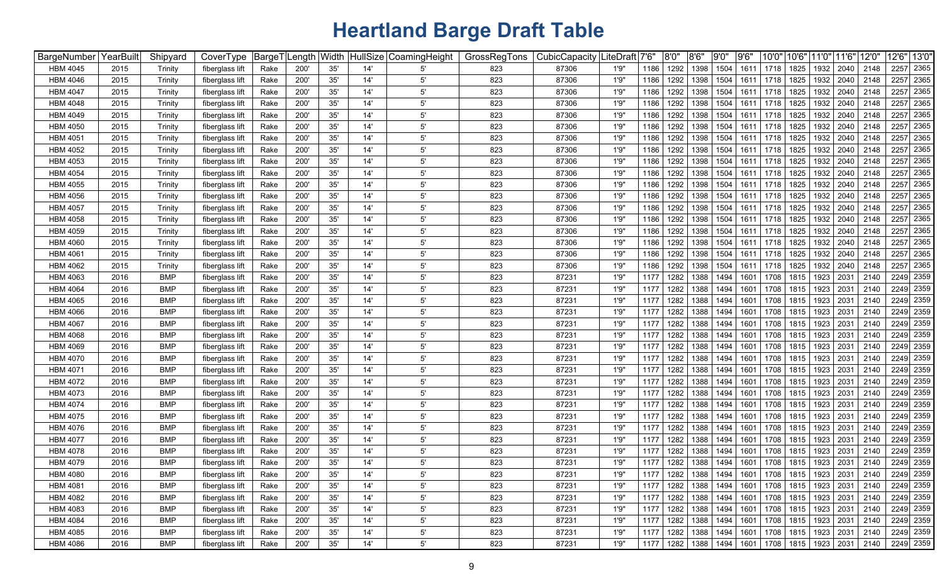| BargeNumber YearBuilt |      | Shipyard   | CoverType       | BargeT <sup>I</sup> | ength_ | Width | HullSize | CoamingHeight | GrossRegTons | CubicCapacity | .iteDraft│7'6" |      | 8'0" | 8'6"      | 9'0'' | 9'6'' | 10'0'                                   | 10'6" | 11'0" 11'6"               |      | 12'0' | 12'6"<br>13'0' |
|-----------------------|------|------------|-----------------|---------------------|--------|-------|----------|---------------|--------------|---------------|----------------|------|------|-----------|-------|-------|-----------------------------------------|-------|---------------------------|------|-------|----------------|
| <b>HBM 4045</b>       | 2015 | Trinity    | fiberglass lift | Rake                | 200'   | 35'   | 14       | 5'            | 823          | 87306         | 1'9''          | 1186 | 1292 | 1398      | 1504  | 1611  | 1718                                    | 1825  | 1932                      | 2040 | 2148  | 2365<br>2257   |
| <b>HBM 4046</b>       | 2015 | Trinity    | fiberglass lift | Rake                | 200'   | 35'   | 14'      | 5'            | 823          | 87306         | 1'9''          | 1186 | 1292 | 1398      | 1504  | 1611  | 1718                                    | 1825  | 1932                      | 2040 | 2148  | 2365<br>2257   |
| <b>HBM 4047</b>       | 2015 | Trinity    | fiberglass lift | Rake                | 200    | 35'   | 14'      | 5'            | 823          | 87306         | 1'9"           | 1186 | 1292 | 1398      | 1504  | 1611  | 1718                                    | 1825  | 1932                      | 2040 | 2148  | 2365<br>2257   |
| <b>HBM 4048</b>       | 2015 | Trinity    | fiberglass lift | Rake                | 200    | 35'   | 14'      | 5'            | 823          | 87306         | 1'9"           | 1186 | 1292 | 1398      | 1504  | 1611  | 1718                                    | 1825  | 1932                      | 2040 | 2148  | 2365<br>2257   |
| <b>HBM 4049</b>       | 2015 | Trinity    | fiberglass lift | Rake                | 200    | 35'   | 14'      | 5'            | 823          | 87306         | 1'9"           | 1186 | 1292 | 1398      | 1504  | 1611  | 1718                                    | 1825  | 1932                      | 2040 | 2148  | 2365<br>2257   |
| <b>HBM 4050</b>       | 2015 | Trinity    | fiberglass lift | Rake                | 200'   | 35'   | 14'      | 5'            | 823          | 87306         | 1'9''          | 1186 | 1292 | 1398      | 1504  | 1611  | 1718                                    | 1825  | 1932                      | 2040 | 2148  | 2365<br>2257   |
| <b>HBM 4051</b>       | 2015 | Trinity    | fiberglass lift | Rake                | 200'   | 35'   | 14'      | 5'            | 823          | 87306         | 1'9"           | 1186 | 1292 | 1398      | 1504  | 1611  | 1718                                    | 1825  | 1932                      | 2040 | 2148  | 2365<br>2257   |
| <b>HBM 4052</b>       | 2015 | Trinity    | fiberglass lift | Rake                | 200    | 35'   | 14'      | $5^{\circ}$   | 823          | 87306         | 1'9"           | 1186 | 1292 | 1398      | 1504  | 1611  | 1718                                    | 1825  | 1932                      | 2040 | 2148  | 2365<br>2257   |
| <b>HBM 4053</b>       | 2015 | Trinity    | fiberglass lift | Rake                | 200'   | 35'   | 14'      | $5^{\circ}$   | 823          | 87306         | 1'9"           | 1186 | 1292 | 1398      | 1504  | 1611  | 1718                                    | 1825  | 1932                      | 2040 | 2148  | 2257 2365      |
| <b>HBM 4054</b>       | 2015 | Trinity    | fiberglass lift | Rake                | 200'   | 35'   | 14'      | 5'            | 823          | 87306         | 1'9"           | 1186 | 1292 | 1398      | 1504  | 1611  | 1718                                    | 1825  | 1932                      | 2040 | 2148  | 2365<br>2257   |
| <b>HBM 4055</b>       | 2015 | Trinity    | fiberglass lift | Rake                | 200'   | 35'   | 14'      | 5'            | 823          | 87306         | 1'9''          | 1186 | 1292 | 1398      | 1504  | 1611  | 1718                                    | 1825  | 1932                      | 2040 | 2148  | 2365<br>2257   |
| <b>HBM 4056</b>       | 2015 | Trinity    | fiberglass lift | Rake                | 200    | 35'   | 14'      | $5^{\circ}$   | 823          | 87306         | 1'9"           | 1186 | 1292 | 1398      | 1504  | 1611  | 1718                                    | 1825  | 1932                      | 2040 | 2148  | 2365<br>2257   |
| <b>HBM 4057</b>       | 2015 | Trinity    | fiberglass lift | Rake                | 200    | 35'   | 14'      | 5'            | 823          | 87306         | 1'9"           | 1186 | 1292 | 1398      | 1504  | 1611  | 1718                                    | 1825  | 1932                      | 2040 | 2148  | 2365<br>2257   |
| <b>HBM 4058</b>       | 2015 | Trinity    | fiberglass lift | Rake                | 200'   | 35'   | 14'      | 5'            | 823          | 87306         | 1'9"           | 1186 | 1292 | 1398      | 1504  | 1611  | 1718                                    | 1825  | 1932                      | 2040 | 2148  | 2365<br>2257   |
| <b>HBM 4059</b>       | 2015 | Trinity    | fiberglass lift | Rake                | 200'   | 35'   | 14'      | 5'            | 823          | 87306         | 1'9"           | 1186 | 1292 | 1398      | 1504  | 1611  | 1718                                    | 1825  | 1932                      | 2040 | 2148  | 2365<br>2257   |
| <b>HBM 4060</b>       | 2015 | Trinity    | fiberglass lift | Rake                | 200'   | 35'   | 14'      | $5^{\circ}$   | 823          | 87306         | 1'9"           | 1186 | 1292 | 1398      | 1504  | 1611  | 1718                                    | 1825  | 1932                      | 2040 | 2148  | 2365<br>2257   |
| <b>HBM 4061</b>       | 2015 | Trinity    | fiberglass lift | Rake                | 200'   | 35'   | 14'      | $5^{\circ}$   | 823          | 87306         | 1'9"           | 1186 | 1292 | 1398      | 1504  | 1611  | 1718                                    | 1825  | 1932                      | 2040 | 2148  | 2365<br>2257   |
| <b>HBM 4062</b>       | 2015 | Trinity    | fiberglass lift | Rake                | 200'   | 35'   | 14'      | 5'            | 823          | 87306         | 1'9''          | 1186 | 1292 | 1398      | 1504  | 1611  | 1718                                    | 1825  | 1932                      | 2040 | 2148  | 2365<br>2257   |
| <b>HBM 4063</b>       | 2016 | <b>BMP</b> | fiberglass lift | Rake                | 200'   | 35'   | 14'      | 5'            | 823          | 87231         | 1'9''          | 1177 | 1282 | 1388      | 1494  | 1601  | 1708                                    | 1815  | 1923                      | 2031 | 2140  | 2249 2359      |
| <b>HBM 4064</b>       | 2016 | BMP        | fiberglass lift | Rake                | 200    | 35'   | 14'      | 5'            | 823          | 87231         | 1'9''          | 1177 | 1282 | 1388      | 1494  | 1601  | 1708                                    | 1815  | 1923                      | 2031 | 2140  | 2249 2359      |
| <b>HBM 4065</b>       | 2016 | <b>BMP</b> | fiberglass lift | Rake                | 200    | 35'   | 14'      | $5^{\circ}$   | 823          | 87231         | 1'9"           | 1177 | 1282 | 1388      | 1494  | 1601  | 1708                                    | 1815  | 1923                      | 2031 | 2140  | 2249 2359      |
| <b>HBM 4066</b>       | 2016 | <b>BMP</b> | fiberglass lift | Rake                | 200'   | 35'   | 14'      | 5'            | 823          | 87231         | 1'9''          | 1177 | 1282 | 1388      | 1494  | 1601  | 1708                                    | 1815  | 1923                      | 2031 | 2140  | 2249 2359      |
| <b>HBM 4067</b>       | 2016 | <b>BMP</b> | fiberglass lift | Rake                | 200'   | 35'   | 14'      | 5'            | 823          | 87231         | 1'9''          | 1177 | 1282 | 1388      | 1494  | 1601  | 1708                                    | 1815  | 1923                      | 2031 | 2140  | 2249 2359      |
| <b>HBM 4068</b>       | 2016 | <b>BMP</b> | fiberglass lift | Rake                | 200'   | 35'   | 14'      | $5^{\circ}$   | 823          | 87231         | 1'9''          | 1177 | 1282 | 1388      | 1494  | 1601  | 1708                                    | 1815  | 1923                      | 2031 | 2140  | 2249 2359      |
| <b>HBM 4069</b>       | 2016 | <b>BMP</b> | fiberglass lift | Rake                | 200'   | 35'   | 14'      | 5'            | 823          | 87231         | 1'9"           | 1177 | 1282 | 1388      | 1494  | 1601  | 1708                                    | 1815  | 1923                      | 2031 | 2140  | 2249 2359      |
| <b>HBM 4070</b>       | 2016 | <b>BMP</b> | fiberglass lift | Rake                | 200'   | 35'   | 14'      | 5'            | 823          | 87231         | 1'9''          | 1177 | 1282 | 1388      | 1494  | 1601  | 1708                                    | 1815  | 1923                      | 2031 | 2140  | 2249 2359      |
| <b>HBM 4071</b>       | 2016 | <b>BMP</b> | fiberglass lift | Rake                | 200'   | 35'   | 14'      | 5'            | 823          | 87231         | 1'9''          | 1177 | 1282 | 1388      | 1494  | 1601  | 1708                                    | 1815  | 1923                      | 2031 | 2140  | 2249 2359      |
| <b>HBM 4072</b>       | 2016 | <b>BMP</b> | fiberglass lift | Rake                | 200'   | 35'   | 14'      | 5'            | 823          | 87231         | 1'9''          | 1177 | 1282 | 1388      | 1494  | 1601  | 1708                                    | 1815  | 1923                      | 2031 | 2140  | 2249 2359      |
| <b>HBM 4073</b>       | 2016 | <b>BMP</b> | fiberglass lift | Rake                | 200    | 35'   | 14'      | $5^{\circ}$   | 823          | 87231         | 1'9''          | 1177 | 1282 | 1388      | 1494  | 1601  | 1708                                    | 1815  | 1923                      | 2031 | 2140  | 2249 2359      |
| <b>HBM 4074</b>       | 2016 | <b>BMP</b> | fiberglass lift | Rake                | 200'   | 35'   | 14'      | 5'            | 823          | 87231         | 1'9"           | 1177 | 1282 | 1388      | 1494  | 1601  | 1708                                    | 1815  | 1923                      | 2031 | 2140  | 2249 2359      |
| <b>HBM 4075</b>       | 2016 | <b>BMP</b> | fiberglass lift | Rake                | 200'   | 35'   | 14'      | $5^{\prime}$  | 823          | 87231         | 1'9''          | 1177 | 1282 | 1388      | 1494  | 1601  | 1708                                    | 1815  | 1923                      | 2031 | 2140  | 2249 2359      |
| <b>HBM 4076</b>       | 2016 | <b>BMP</b> | fiberglass lift | Rake                | 200'   | 35'   | 14'      | $5^{\prime}$  | 823          | 87231         | 1'9"           | 1177 | 1282 | 1388      | 1494  | 1601  | 1708                                    | 1815  | 1923                      | 2031 | 2140  | 2249 2359      |
| <b>HBM 4077</b>       | 2016 | BMP        | fiberglass lift | Rake                | 200'   | 35'   | 14'      | $5^{\prime}$  | 823          | 87231         | 1'9"           | 1177 | 1282 | 1388      | 1494  | 1601  | 1708                                    | 1815  | 1923                      | 2031 | 2140  | 2249 2359      |
| <b>HBM 4078</b>       | 2016 | <b>BMP</b> | fiberglass lift | Rake                | 200'   | 35'   | 14'      | $5^{\prime}$  | 823          | 87231         | 1'9''          | 1177 | 1282 | 1388      | 1494  | 1601  | 1708                                    | 1815  | 1923                      | 2031 | 2140  | 2249 2359      |
| <b>HBM 4079</b>       | 2016 | <b>BMP</b> | fiberglass lift | Rake                | 200'   | 35'   | 14'      | $5^{\circ}$   | 823          | 87231         | 1'9"           | 1177 | 1282 | 1388      | 1494  | 1601  | 1708                                    | 1815  | 1923                      | 2031 | 2140  | 2249 2359      |
| <b>HBM 4080</b>       | 2016 | <b>BMP</b> | fiberglass lift | Rake                | 200'   | 35'   | 14'      | 5'            | 823          | 87231         | 1'9''          | 1177 | 1282 | 1388 1494 |       |       | 1601   1708   1815   1923   2031   2140 |       |                           |      |       | 2249 2359      |
| <b>HBM 4081</b>       | 2016 | <b>BMP</b> | fiberglass lift | Rake                | 200'   | 35'   | 14'      | $5^{\prime}$  | 823          | 87231         | 1'9''          | 1177 | 1282 | 1388      | 1494  | 1601  |                                         |       | 1708   1815   1923   2031 |      | 2140  | 2249 2359      |
| <b>HBM 4082</b>       | 2016 | <b>BMP</b> | fiberglass lift | Rake                | 200'   | 35'   | 14'      | $5^{\prime}$  | 823          | 87231         | 1'9"           | 1177 | 1282 | 1388      | 1494  | 1601  |                                         |       | 1708 1815 1923 2031       |      | 2140  | 2249 2359      |
| <b>HBM 4083</b>       | 2016 | <b>BMP</b> | fiberglass lift | Rake                | 200'   | 35'   | 14'      | $5^{\prime}$  | 823          | 87231         | 1'9''          | 1177 | 1282 | 1388      | 1494  | 1601  | 1708 1815                               |       | 1923 2031                 |      | 2140  | 2249 2359      |
| <b>HBM 4084</b>       | 2016 | <b>BMP</b> | fiberglass lift | Rake                | 200'   | 35'   | 14'      | $5^{\prime}$  | 823          | 87231         | 1'9"           | 1177 | 1282 | 1388 1494 |       | 1601  |                                         |       | 1708   1815   1923   2031 |      | 2140  | 2249 2359      |
| <b>HBM 4085</b>       | 2016 | <b>BMP</b> | fiberglass lift | Rake                | 200'   | $35'$ | 14'      | $5^{\circ}$   | 823          | 87231         | 1'9''          | 1177 | 1282 | 1388 1494 |       | 1601  | 1708 1815                               |       | 1923 2031                 |      | 2140  | 2249 2359      |
| <b>HBM 4086</b>       | 2016 | <b>BMP</b> | fiberglass lift | Rake                | 200'   | 35'   | 14'      | $5^{\prime}$  | 823          | 87231         | 1'9''          | 1177 | 1282 | 1388 1494 |       |       | 1601   1708   1815   1923   2031   2140 |       |                           |      |       | 2249 2359      |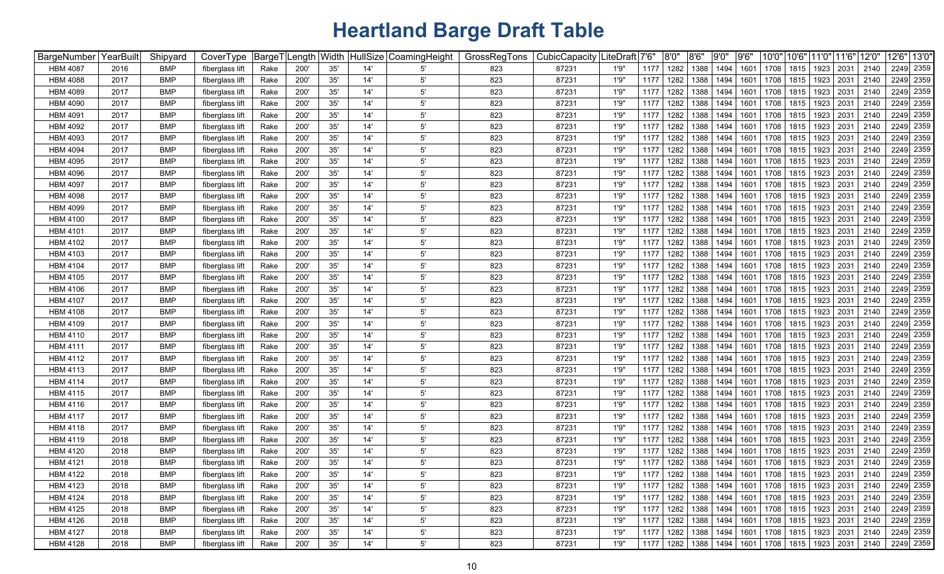| BargeNumber YearBuilt |      | Shipyard   | CoverType       | BargeT <sup>I</sup> | ength_ | Width | HullSize | CoamingHeight | GrossRegTons | CubicCapacity | .iteDraft│7'6" |      | 8'0" | 8'6"                                                         | 9'0'' | 9'6'' | 10'0'                                   | 10'6" | 11'0" 11'6"               |      | 12'0' | 12'6" 13'0' |
|-----------------------|------|------------|-----------------|---------------------|--------|-------|----------|---------------|--------------|---------------|----------------|------|------|--------------------------------------------------------------|-------|-------|-----------------------------------------|-------|---------------------------|------|-------|-------------|
| <b>HBM 4087</b>       | 2016 | <b>BMP</b> | fiberglass lift | Rake                | 200'   | 35'   | 14       | 5'            | 823          | 87231         | 1'9''          | 1177 | 1282 | 1388                                                         | 1494  | 1601  | 1708                                    | 1815  | 1923                      | 2031 | 2140  | 2249 2359   |
| <b>HBM 4088</b>       | 2017 | <b>BMP</b> | fiberglass lift | Rake                | 200'   | 35'   | 14'      | 5'            | 823          | 87231         | 1'9"           | 1177 | 1282 | 1388                                                         | 1494  | 1601  | 1708                                    | 1815  | 1923                      | 2031 | 2140  | 2249 2359   |
| <b>HBM 4089</b>       | 2017 | <b>BMP</b> | fiberglass lift | Rake                | 200    | 35'   | 14'      | 5'            | 823          | 87231         | 1'9''          | 1177 | 1282 | 1388                                                         | 1494  | 1601  | 1708                                    | 1815  | 1923                      | 2031 | 2140  | 2249 2359   |
| <b>HBM 4090</b>       | 2017 | BMP        | fiberglass lift | Rake                | 200    | 35'   | 14'      | 5'            | 823          | 87231         | 1'9''          | 1177 | 1282 | 1388                                                         | 1494  | 1601  | 1708                                    | 1815  | 1923                      | 2031 | 2140  | 2249 2359   |
| <b>HBM 4091</b>       | 2017 | <b>BMP</b> | fiberglass lift | Rake                | 200'   | 35'   | 14'      | 5'            | 823          | 87231         | 1'9"           | 1177 | 1282 | 1388                                                         | 1494  | 1601  | 1708                                    | 1815  | 1923                      | 2031 | 2140  | 2249 2359   |
| <b>HBM 4092</b>       | 2017 | <b>BMP</b> | fiberglass lift | Rake                | 200'   | 35'   | 14'      | 5'            | 823          | 87231         | 1'9''          | 1177 | 1282 | 1388                                                         | 1494  | 1601  | 1708                                    | 1815  | 1923                      | 2031 | 2140  | 2249 2359   |
| <b>HBM 4093</b>       | 2017 | <b>BMP</b> | fiberglass lift | Rake                | 200'   | 35'   | 14'      | 5'            | 823          | 87231         | 1'9"           | 1177 | 1282 | 1388                                                         | 1494  | 1601  | 1708                                    | 1815  | 1923                      | 2031 | 2140  | 2249 2359   |
| <b>HBM 4094</b>       | 2017 | <b>BMP</b> | fiberglass lift | Rake                | 200'   | 35'   | 14'      | $5^{\circ}$   | 823          | 87231         | 1'9"           | 1177 | 1282 | 1388                                                         | 1494  | 1601  | 1708                                    | 1815  | 1923                      | 2031 | 2140  | 2249 2359   |
| <b>HBM 4095</b>       | 2017 | <b>BMP</b> | fiberglass lift | Rake                | 200'   | 35'   | 14'      | $5^{\circ}$   | 823          | 87231         | 1'9''          | 1177 | 1282 | 1388                                                         | 1494  | 1601  | 1708                                    | 1815  | 1923                      | 2031 | 2140  | 2249 2359   |
| <b>HBM 4096</b>       | 2017 | <b>BMP</b> | fiberglass lift | Rake                | 200'   | 35'   | 14'      | 5'            | 823          | 87231         | 1'9''          | 1177 | 1282 | 1388                                                         | 1494  | 1601  | 1708                                    | 1815  | 1923                      | 2031 | 2140  | 2249 2359   |
| <b>HBM 4097</b>       | 2017 | <b>BMP</b> | fiberglass lift | Rake                | 200'   | 35'   | 14'      | 5'            | 823          | 87231         | 1'9''          | 1177 | 1282 | 1388                                                         | 1494  | 1601  | 1708                                    | 1815  | 1923                      | 2031 | 2140  | 2249 2359   |
| <b>HBM 4098</b>       | 2017 | <b>BMP</b> | fiberglass lift | Rake                | 200    | 35'   | 14'      | $5^{\circ}$   | 823          | 87231         | 1'9"           | 1177 | 1282 | 1388                                                         | 1494  | 1601  | 1708                                    | 1815  | 1923                      | 2031 | 2140  | 2249 2359   |
| <b>HBM 4099</b>       | 2017 | <b>BMP</b> | fiberglass lift | Rake                | 200    | 35'   | 14'      | 5'            | 823          | 87231         | 1'9"           | 1177 | 1282 | 1388                                                         | 1494  | 1601  | 1708                                    | 1815  | 1923                      | 2031 | 2140  | 2249 2359   |
| <b>HBM 4100</b>       | 2017 | <b>BMP</b> | fiberglass lift | Rake                | 200'   | 35'   | 14'      | 5'            | 823          | 87231         | 1'9"           | 1177 | 1282 | 1388                                                         | 1494  | 1601  | 1708                                    | 1815  | 1923                      | 2031 | 2140  | 2249 2359   |
| <b>HBM 4101</b>       | 2017 | <b>BMP</b> | fiberglass lift | Rake                | 200'   | 35'   | 14'      | 5'            | 823          | 87231         | 1'9"           | 1177 | 1282 | 1388                                                         | 1494  | 1601  | 1708                                    | 1815  | 1923                      | 2031 | 2140  | 2249 2359   |
| <b>HBM 4102</b>       | 2017 | <b>BMP</b> | fiberglass lift | Rake                | 200'   | 35'   | 14'      | $5^{\circ}$   | 823          | 87231         | 1'9"           | 1177 | 1282 | 1388                                                         | 1494  | 1601  | 1708                                    | 1815  | 1923                      | 2031 | 2140  | 2249 2359   |
| <b>HBM 4103</b>       | 2017 | <b>BMP</b> | fiberglass lift | Rake                | 200'   | 35'   | 14'      | $5^{\circ}$   | 823          | 87231         | 1'9"           | 1177 | 1282 | 1388                                                         | 1494  | 1601  | 1708                                    | 1815  | 1923                      | 2031 | 2140  | 2249 2359   |
| <b>HBM 4104</b>       | 2017 | <b>BMP</b> | fiberglass lift | Rake                | 200'   | 35'   | 14'      | 5'            | 823          | 87231         | 1'9''          | 1177 | 1282 | 1388                                                         | 1494  | 1601  | 1708                                    | 1815  | 1923                      | 2031 | 2140  | 2249 2359   |
| <b>HBM 4105</b>       | 2017 | <b>BMP</b> | fiberglass lift | Rake                | 200'   | 35'   | 14'      | 5'            | 823          | 87231         | 1'9''          | 1177 | 1282 | 1388                                                         | 1494  | 1601  | 1708                                    | 1815  | 1923                      | 2031 | 2140  | 2249 2359   |
| <b>HBM 4106</b>       | 2017 | BMP        | fiberglass lift | Rake                | 200    | 35'   | 14'      | 5'            | 823          | 87231         | 1'9''          | 1177 | 1282 | 1388                                                         | 1494  | 1601  | 1708                                    | 1815  | 1923                      | 2031 | 2140  | 2249 2359   |
| <b>HBM 4107</b>       | 2017 | <b>BMP</b> | fiberglass lift | Rake                | 200    | 35'   | 14'      | 5'            | 823          | 87231         | 1'9"           | 1177 | 1282 | 1388                                                         | 1494  | 1601  | 1708                                    | 1815  | 1923                      | 2031 | 2140  | 2249 2359   |
| <b>HBM 4108</b>       | 2017 | <b>BMP</b> | fiberglass lift | Rake                | 200'   | 35'   | 14'      | 5'            | 823          | 87231         | 1'9''          | 1177 | 1282 | 1388                                                         | 1494  | 1601  | 1708                                    | 1815  | 1923                      | 2031 | 2140  | 2249 2359   |
| <b>HBM 4109</b>       | 2017 | <b>BMP</b> | fiberglass lift | Rake                | 200'   | 35'   | 14'      | 5'            | 823          | 87231         | 1'9''          | 1177 | 1282 | 1388                                                         | 1494  | 1601  | 1708                                    | 1815  | 1923                      | 2031 | 2140  | 2249 2359   |
| <b>HBM 4110</b>       | 2017 | <b>BMP</b> | fiberglass lift | Rake                | 200'   | 35'   | 14'      | $5^{\circ}$   | 823          | 87231         | 1'9''          | 1177 | 1282 | 1388                                                         | 1494  | 1601  | 1708                                    | 1815  | 1923                      | 2031 | 2140  | 2249 2359   |
| <b>HBM 4111</b>       | 2017 | <b>BMP</b> | fiberglass lift | Rake                | 200'   | 35'   | 14'      | 5'            | 823          | 87231         | 1'9"           | 1177 | 1282 | 1388                                                         | 1494  | 1601  | 1708                                    | 1815  | 1923                      | 2031 | 2140  | 2249 2359   |
| <b>HBM 4112</b>       | 2017 | <b>BMP</b> | fiberglass lift | Rake                | 200'   | 35'   | 14'      | 5'            | 823          | 87231         | 1'9''          | 1177 | 1282 | 1388                                                         | 1494  | 1601  | 1708                                    | 1815  | 1923                      | 2031 | 2140  | 2249 2359   |
| <b>HBM 4113</b>       | 2017 | <b>BMP</b> | fiberglass lift | Rake                | 200'   | 35'   | 14'      | 5'            | 823          | 87231         | 1'9''          | 1177 | 1282 | 1388                                                         | 1494  | 1601  | 1708                                    | 1815  | 1923                      | 2031 | 2140  | 2249 2359   |
| <b>HBM 4114</b>       | 2017 | <b>BMP</b> | fiberglass lift | Rake                | 200'   | 35'   | 14'      | 5'            | 823          | 87231         | 1'9''          | 1177 | 1282 | 1388                                                         | 1494  | 1601  | 1708                                    | 1815  | 1923                      | 2031 | 2140  | 2249 2359   |
| <b>HBM 4115</b>       | 2017 | <b>BMP</b> | fiberglass lift | Rake                | 200    | 35'   | 14'      | $5^{\circ}$   | 823          | 87231         | 1'9''          | 1177 | 1282 | 1388                                                         | 1494  | 1601  | 1708                                    | 1815  | 1923                      | 2031 | 2140  | 2249 2359   |
| <b>HBM 4116</b>       | 2017 | <b>BMP</b> | fiberglass lift | Rake                | 200'   | 35'   | 14'      | 5'            | 823          | 87231         | 1'9"           | 1177 | 1282 | 1388                                                         | 1494  | 1601  | 1708                                    | 1815  | 1923                      | 2031 | 2140  | 2249 2359   |
| <b>HBM 4117</b>       | 2017 | <b>BMP</b> | fiberglass lift | Rake                | 200'   | 35'   | 14'      | $5^{\prime}$  | 823          | 87231         | 1'9''          | 1177 | 1282 | 1388                                                         | 1494  | 1601  | 1708                                    | 1815  | 1923                      | 2031 | 2140  | 2249 2359   |
| <b>HBM 4118</b>       | 2017 | <b>BMP</b> | fiberglass lift | Rake                | 200'   | 35'   | 14'      | $5^{\prime}$  | 823          | 87231         | 1'9"           | 1177 | 1282 | 1388                                                         | 1494  | 1601  | 1708                                    | 1815  | 1923                      | 2031 | 2140  | 2249 2359   |
| <b>HBM 4119</b>       | 2018 | BMP        | fiberglass lift | Rake                | 200'   | 35'   | 14'      | $5^{\prime}$  | 823          | 87231         | 1'9"           | 1177 | 1282 | 1388                                                         | 1494  | 1601  | 1708                                    | 1815  | 1923                      | 2031 | 2140  | 2249 2359   |
| <b>HBM 4120</b>       | 2018 | <b>BMP</b> | fiberglass lift | Rake                | 200'   | 35'   | 14'      | $5^{\prime}$  | 823          | 87231         | 1'9''          | 1177 | 1282 | 1388                                                         | 1494  | 1601  | 1708                                    | 1815  | 1923                      | 2031 | 2140  | 2249 2359   |
| <b>HBM 4121</b>       | 2018 | <b>BMP</b> | fiberglass lift | Rake                | 200'   | 35'   | 14'      | $5^{\circ}$   | 823          | 87231         | 1'9"           | 1177 | 1282 | 1388                                                         | 1494  | 1601  | 1708                                    | 1815  | 1923                      | 2031 | 2140  | 2249 2359   |
| <b>HBM 4122</b>       | 2018 | <b>BMP</b> | fiberglass lift | Rake                | 200'   | 35'   | 14'      | $5^{\prime}$  | 823          | 87231         | 1'9''          | 1177 | 1282 | 1388 1494                                                    |       |       | 1601   1708   1815   1923   2031   2140 |       |                           |      |       | 2249 2359   |
| <b>HBM 4123</b>       | 2018 | <b>BMP</b> | fiberglass lift | Rake                | 200'   | 35'   | 14'      | $5^{\prime}$  | 823          | 87231         | 1'9''          | 1177 | 1282 | 1388                                                         | 1494  | 1601  |                                         |       | 1708   1815   1923   2031 |      | 2140  | 2249 2359   |
| <b>HBM 4124</b>       | 2018 | <b>BMP</b> | fiberglass lift | Rake                | 200'   | 35'   | 14'      | $5^{\prime}$  | 823          | 87231         | 1'9"           | 1177 | 1282 | 1388                                                         | 1494  | 1601  |                                         |       | 1708 1815 1923 2031       |      | 2140  | 2249 2359   |
| <b>HBM 4125</b>       | 2018 | <b>BMP</b> | fiberglass lift | Rake                | 200'   | 35'   | 14'      | $5^{\prime}$  | 823          | 87231         | 1'9''          | 1177 | 1282 | 1388                                                         | 1494  | 1601  |                                         |       | 1708 1815 1923 2031       |      | 2140  | 2249 2359   |
| <b>HBM 4126</b>       | 2018 | <b>BMP</b> | fiberglass lift | Rake                | 200'   | 35'   | 14'      | $5^{\prime}$  | 823          | 87231         | 1'9"           | 1177 | 1282 | 1388 1494                                                    |       | 1601  |                                         |       | 1708   1815   1923   2031 |      | 2140  | 2249 2359   |
| <b>HBM 4127</b>       | 2018 | <b>BMP</b> | fiberglass lift | Rake                | 200'   | $35'$ | 14'      | $5^{\circ}$   | 823          | 87231         | 1'9''          | 1177 | 1282 | 1388 1494                                                    |       | 1601  |                                         |       | 1708 1815 1923 2031       |      | 2140  | 2249 2359   |
| <b>HBM 4128</b>       | 2018 | <b>BMP</b> | fiberglass lift | Rake                | 200'   | 35'   | 14'      | $5^{\prime}$  | 823          | 87231         | 1'9''          | 1177 |      | 1282   1388   1494   1601   1708   1815   1923   2031   2140 |       |       |                                         |       |                           |      |       | 2249 2359   |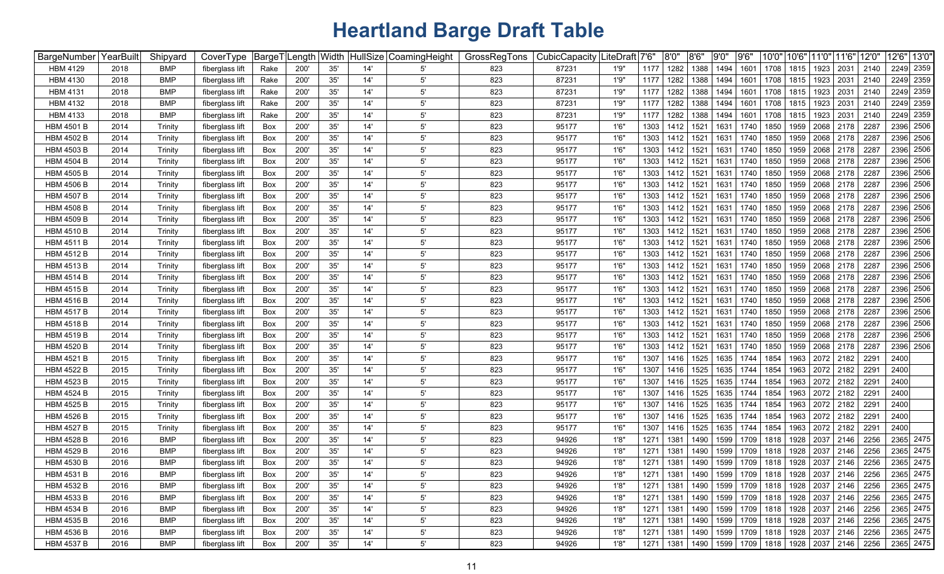| BargeNumber       | YearBuilt | Shipyard   | CoverType       | <sup>⊦</sup> BargeT | Length Width |     |     | HullSize CoamingHeight | GrossRegTons | CubicCapacity LiteDraft |       | 7'6" | 8'0" | 8'6' | 9'0'' | 9'6'      | 10'0"     | 10'6' | 11'0"                                                 | 11'6" | 12'0"                                                 | 12'6" | 13'0"     |
|-------------------|-----------|------------|-----------------|---------------------|--------------|-----|-----|------------------------|--------------|-------------------------|-------|------|------|------|-------|-----------|-----------|-------|-------------------------------------------------------|-------|-------------------------------------------------------|-------|-----------|
| <b>HBM 4129</b>   | 2018      | <b>BMP</b> | fiberglass lift | Rake                | 200'         | 35' | 14' | 5                      | 823          | 87231                   | 1'9"  | 1177 | 1282 | 1388 | 1494  | 1601      | 1708      | 1815  | 1923                                                  | 2031  | 2140                                                  | 2249  | 2359      |
| <b>HBM 4130</b>   | 2018      | <b>BMP</b> | fiberglass lift | Rake                | 200'         | 35' | 14' | $5^{\prime}$           | 823          | 87231                   | 1'9"  | 1177 | 1282 | 1388 | 1494  | 1601      | 1708      | 1815  | 1923                                                  | 2031  | 2140                                                  |       | 2249 2359 |
| <b>HBM 4131</b>   | 2018      | <b>BMP</b> | fiberglass lift | Rake                | 200          | 35' | 14' | $5^{\prime}$           | 823          | 87231                   | 1'9"  | 1177 | 1282 | 1388 | 1494  | 1601      | 1708      | 1815  | 1923                                                  | 2031  | 2140                                                  |       | 2249 2359 |
| <b>HBM 4132</b>   | 2018      | <b>BMP</b> | fiberglass lift | Rake                | 200          | 35' | 14' | $5^{\prime}$           | 823          | 87231                   | 1'9"  | 1177 | 1282 | 1388 | 1494  | 1601      | 1708      | 1815  | 1923                                                  | 2031  | 2140                                                  |       | 2249 2359 |
| <b>HBM 4133</b>   | 2018      | <b>BMP</b> | fiberglass lift | Rake                | 200          | 35' | 14' | $5^{\prime}$           | 823          | 87231                   | 1'9"  | 1177 | 1282 | 1388 | 1494  | 1601      | 1708      | 1815  | 1923                                                  | 2031  | 2140                                                  |       | 2249 2359 |
| <b>HBM 4501 B</b> | 2014      | Trinity    | fiberglass lift | Box                 | 200          | 35' | 14' | $5^{\prime}$           | 823          | 95177                   | 1'6'' | 1303 | 1412 | 1521 | 1631  | 1740      | 1850      | 1959  | 2068                                                  | 2178  | 2287                                                  |       | 2396 2506 |
| <b>HBM 4502 B</b> | 2014      | Trinity    | fiberglass lift | Box                 | 200          | 35' | 14' | $5^{\prime}$           | 823          | 95177                   | 1'6'' | 1303 | 1412 | 1521 | 1631  | 1740      | 1850      | 1959  | 2068                                                  | 2178  | 2287                                                  |       | 2396 2506 |
| <b>HBM 4503 B</b> | 2014      | Trinity    | fiberglass lift | Box                 | 200          | 35' | 14' | $5^{\prime}$           | 823          | 95177                   | 1'6'' | 1303 | 1412 | 1521 | 1631  | 1740      | 1850      | 1959  | 2068                                                  | 2178  | 2287                                                  |       | 2396 2506 |
| <b>HBM 4504 B</b> | 2014      | Trinity    | fiberglass lift | Box                 | 200          | 35' | 14' | 5'                     | 823          | 95177                   | 1'6'' | 1303 | 1412 | 1521 | 1631  | 1740      | 1850      | 1959  | 2068                                                  | 2178  | 2287                                                  |       | 2396 2506 |
| <b>HBM 4505 B</b> | 2014      | Trinity    | fiberglass lift | Box                 | 200          | 35' | 14' | $5^{\prime}$           | 823          | 95177                   | 1'6'' | 1303 | 1412 | 1521 | 1631  | 1740      | 1850      | 1959  | 2068                                                  | 2178  | 2287                                                  |       | 2396 2506 |
| <b>HBM 4506 B</b> | 2014      | Trinity    | fiberglass lift | Box                 | 200          | 35' | 14' | $5^{\prime}$           | 823          | 95177                   | 1'6'  | 1303 | 1412 | 1521 | 1631  | 1740      | 1850      | 1959  | 2068                                                  | 2178  | 2287                                                  |       | 2396 2506 |
| <b>HBM 4507 B</b> | 2014      | Trinity    | fiberglass lift | Box                 | 200          | 35' | 14' | $5^{\prime}$           | 823          | 95177                   | 1'6'' | 1303 | 1412 | 1521 | 1631  | 1740      | 1850      | 1959  | 2068                                                  | 2178  | 2287                                                  |       | 2396 2506 |
| <b>HBM 4508 B</b> | 2014      | Trinity    | fiberglass lift | Box                 | 200          | 35' | 14' | $5^{\prime}$           | 823          | 95177                   | 1'6'' | 1303 | 1412 | 1521 | 1631  | 1740      | 1850      | 1959  | 2068                                                  | 2178  | 2287                                                  |       | 2396 2506 |
| <b>HBM 4509 B</b> | 2014      | Trinity    | fiberglass lift | Box                 | 200'         | 35' | 14' | $5^{\prime}$           | 823          | 95177                   | 1'6'' | 1303 | 1412 | 1521 | 1631  | 1740      | 1850      | 1959  | 2068                                                  | 2178  | 2287                                                  |       | 2396 2506 |
| <b>HBM 4510 B</b> | 2014      | Trinity    | fiberglass lift | Box                 | 200          | 35' | 14' | $5^{\prime}$           | 823          | 95177                   | 1'6'' | 1303 | 1412 | 1521 | 1631  | 1740      | 1850      | 1959  | 2068                                                  | 2178  | 2287                                                  |       | 2396 2506 |
| <b>HBM 4511 B</b> | 2014      | Trinity    | fiberglass lift | Box                 | 200          | 35' | 14' | $5^{\prime}$           | 823          | 95177                   | 1'6'' | 1303 | 1412 | 1521 | 1631  | 1740      | 1850      | 1959  | 2068                                                  | 2178  | 2287                                                  |       | 2396 2506 |
| <b>HBM 4512 B</b> | 2014      | Trinity    | fiberglass lift | Box                 | 200'         | 35' | 14' | $5^{\prime}$           | 823          | 95177                   | 1'6'' | 1303 | 1412 | 1521 | 1631  | 1740      | 1850      | 1959  | 2068                                                  | 2178  | 2287                                                  |       | 2396 2506 |
| <b>HBM 4513 B</b> | 2014      | Trinity    | fiberglass lift | Box                 | 200          | 35' | 14' | $5^{\circ}$            | 823          | 95177                   | 1'6'' | 1303 | 1412 | 1521 | 1631  | 1740      | 1850      | 1959  | 2068                                                  | 2178  | 2287                                                  |       | 2396 2506 |
| <b>HBM 4514 B</b> | 2014      | Trinity    | fiberglass lift | Box                 | 200          | 35' | 14' | $5^{\circ}$            | 823          | 95177                   | 1'6'' | 1303 | 1412 | 1521 | 1631  | 1740      | 1850      | 1959  | 2068                                                  | 2178  | 2287                                                  |       | 2396 2506 |
| <b>HBM 4515 B</b> | 2014      | Trinity    | fiberglass lift | Box                 | 200          | 35' | 14' | $5^{\prime}$           | 823          | 95177                   | 1'6'' | 1303 | 1412 | 1521 | 1631  | 1740      | 1850      | 1959  | 2068                                                  | 2178  | 2287                                                  |       | 2396 2506 |
| <b>HBM 4516 B</b> | 2014      | Trinity    | fiberglass lift | Box                 | 200          | 35' | 14' | $5^{\prime}$           | 823          | 95177                   | 1'6'  | 1303 | 1412 | 1521 | 1631  | 1740      | 1850      | 1959  | 2068                                                  | 2178  | 228                                                   |       | 2396 2506 |
| <b>HBM 4517 B</b> | 2014      | Trinity    | fiberglass lift | Box                 | 200'         | 35' | 14' | $5^{\prime}$           | 823          | 95177                   | 1'6'' | 1303 | 1412 | 1521 | 1631  | 1740      | 1850      | 1959  | 2068                                                  | 2178  | 2287                                                  |       | 2396 2506 |
| <b>HBM 4518 B</b> | 2014      | Trinity    | fiberglass lift | Box                 | 200          | 35' | 14' | $5^{\prime}$           | 823          | 95177                   | 1'6'' | 1303 | 1412 | 1521 | 1631  | 1740      | 1850      | 1959  | 2068                                                  | 2178  | 2287                                                  |       | 2396 2506 |
| <b>HBM 4519 B</b> | 2014      | Trinity    | fiberglass lift | Box                 | 200          | 35' | 14' | 5'                     | 823          | 95177                   | 1'6'' | 1303 | 1412 | 1521 | 1631  | 1740      | 1850      | 1959  | 2068                                                  | 2178  | 2287                                                  |       | 2396 2506 |
| <b>HBM 4520 B</b> | 2014      | Trinity    | fiberglass lift | Box                 | 200'         | 35' | 14' | $5^{\prime}$           | 823          | 95177                   | 1'6'' | 1303 | 1412 | 1521 | 1631  | 1740      | 1850      | 1959  | 2068                                                  | 2178  | 2287                                                  |       | 2396 2506 |
| <b>HBM 4521 B</b> | 2015      | Trinity    | fiberglass lift | Box                 | 200          | 35' | 14' | 5'                     | 823          | 95177                   | 1'6'' | 1307 | 1416 | 1525 | 1635  | 1744      | 1854      | 1963  | 2072                                                  | 2182  | 2291                                                  | 2400  |           |
| <b>HBM 4522 B</b> | 2015      | Trinity    | fiberglass lift | Box                 | 200          | 35' | 14' | 5'                     | 823          | 95177                   | 1'6'' | 1307 | 1416 | 1525 | 1635  | 1744      | 1854      | 1963  | 2072                                                  | 2182  | 2291                                                  | 2400  |           |
| <b>HBM 4523 B</b> | 2015      | Trinity    | fiberglass lift | Box                 | 200          | 35' | 14' | $5^{\prime}$           | 823          | 95177                   | 1'6'' | 1307 | 1416 | 1525 | 1635  | 1744      | 1854      | 1963  | 2072                                                  | 2182  | 2291                                                  | 2400  |           |
| <b>HBM 4524 B</b> | 2015      | Trinity    | fiberglass lift | Box                 | 200          | 35' | 14' | $5^{\prime}$           | 823          | 95177                   | 1'6'' | 1307 | 1416 | 1525 | 1635  | 1744      | 1854      | 1963  | 2072                                                  | 2182  | 2291                                                  | 2400  |           |
| <b>HBM 4525 B</b> | 2015      | Trinity    | fiberglass lift | Box                 | 200          | 35' | 14' | 5'                     | 823          | 95177                   | 1'6'' | 1307 | 1416 | 1525 | 1635  | 1744      | 1854      | 1963  | 2072                                                  | 2182  | 2291                                                  | 2400  |           |
| <b>HBM 4526 B</b> | 2015      | Trinity    | fiberglass lift | Box                 | 200          | 35' | 14' | $5^{\circ}$            | 823          | 95177                   | 1'6'' | 1307 | 1416 | 1525 | 1635  | 1744      | 1854      | 1963  | 2072                                                  | 2182  | 2291                                                  | 2400  |           |
| <b>HBM 4527 B</b> | 2015      | Trinity    | fiberglass lift | Box                 | 200          | 35' | 14' | $5^{\prime}$           | 823          | 95177                   | 1'6'' | 1307 | 1416 | 1525 | 1635  | 1744      | 1854      | 1963  | 2072                                                  | 2182  | 2291                                                  | 2400  |           |
| <b>HBM 4528 B</b> | 2016      | BMP        | fiberglass lift | Box                 | 200'         | 35' | 14' | $5^{\prime}$           | 823          | 94926                   | 1'8"  | 1271 | 1381 | 1490 | 1599  | 1709      | 1818      | 1928  | 2037                                                  | 2146  | 2256                                                  |       | 2365 2475 |
| <b>HBM 4529 B</b> | 2016      | <b>BMP</b> | fiberglass lift | Box                 | 200          | 35' | 14' | $5^{\prime}$           | 823          | 94926                   | 1'8"  | 1271 | 1381 | 1490 | 1599  | 1709      | 1818      | 1928  | 2037                                                  | 2146  | 2256                                                  |       | 2365 2475 |
| <b>HBM 4530 B</b> | 2016      | <b>BMP</b> | fiberglass lift | Box                 | 200          | 35' | 14' | $5^{\prime}$           | 823          | 94926                   | 1'8"  | 1271 | 1381 | 1490 | 1599  | 1709      | 1818      | 1928  | 2037                                                  | 2146  | 2256                                                  |       | 2365 2475 |
| <b>HBM 4531 B</b> | 2016      | <b>BMP</b> | fiberglass lift | Box                 | 200'         | 35' | 14' | $5^{\prime}$           | 823          | 94926                   | 1'8"  | 1271 | 1381 |      |       |           |           |       | 1490   1599   1709   1818   1928   2037   2146   2256 |       |                                                       |       | 2365 2475 |
| <b>HBM 4532 B</b> | 2016      | <b>BMP</b> | fiberglass lift | Box                 | 200'         | 35' | 14' | $5^{\prime}$           | 823          | 94926                   | 1'8"  | 1271 | 1381 | 1490 |       |           |           |       | 1599   1709   1818   1928   2037   2146   2256        |       |                                                       |       | 2365 2475 |
| <b>HBM 4533 B</b> | 2016      | <b>BMP</b> | fiberglass lift | Box                 | 200'         | 35' | 14' | $5^{\prime}$           | 823          | 94926                   | 1'8"  | 1271 | 1381 | 1490 |       |           |           |       | 1599   1709   1818   1928   2037   2146   2256        |       |                                                       |       | 2365 2475 |
| <b>HBM 4534 B</b> | 2016      | <b>BMP</b> | fiberglass lift | Box                 | 200'         | 35' | 14' | $5^{\prime}$           | 823          | 94926                   | 1'8"  | 1271 | 1381 | 1490 | 1599  | 1709      | 1818 1928 |       | 2037 2146 2256                                        |       |                                                       |       | 2365 2475 |
| <b>HBM 4535 B</b> | 2016      | <b>BMP</b> | fiberglass lift | Box                 | 200'         | 35' | 14' | $5^{\prime}$           | 823          | 94926                   | 1'8"  | 1271 | 1381 | 1490 |       | 1599 1709 |           |       | 1818   1928   2037   2146   2256                      |       |                                                       |       | 2365 2475 |
| <b>HBM 4536 B</b> | 2016      | <b>BMP</b> | fiberglass lift | Box                 | 200'         | 35' | 14' | $5^{\circ}$            | 823          | 94926                   | 1'8"  | 1271 | 1381 | 1490 |       |           |           |       | 1599   1709   1818   1928   2037   2146   2256        |       |                                                       |       | 2365 2475 |
| HBM 4537 B        | 2016      | <b>BMP</b> | fiberglass lift | Box                 | 200'         | 35' | 14' | $5^{\prime}$           | 823          | 94926                   | 1'8"  | 1271 | 1381 |      |       |           |           |       |                                                       |       | 1490   1599   1709   1818   1928   2037   2146   2256 |       | 2365 2475 |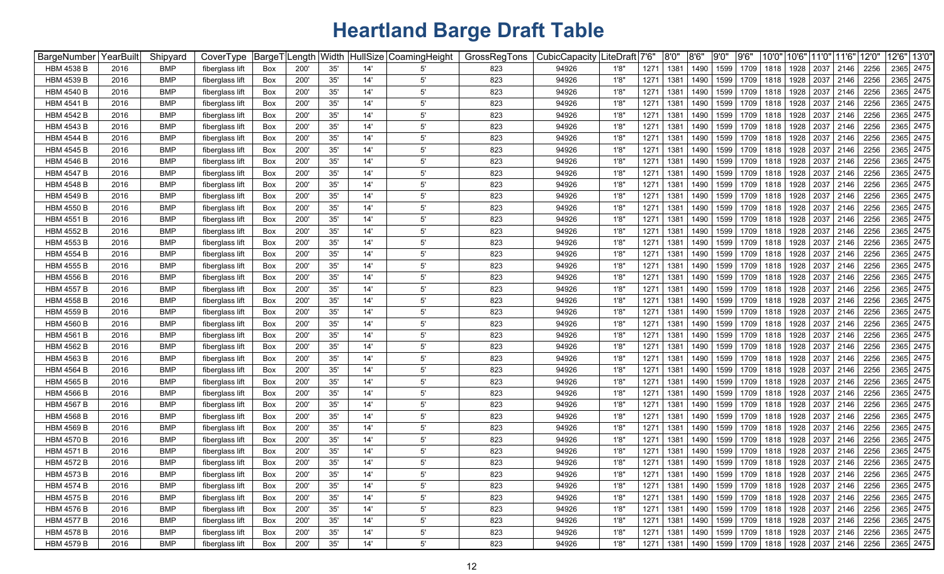| BargeNumber       | YearBuilt | Shipyard   | CoverType       | BargeT | .ength | Width | <b>HullSize</b> | CoamingHeight | GrossRegTons | CubicCapacity | .iteDraft│7'6" |      | 8'0" | 8'6''     | 9'0'' | 9'6' | 10'0" | 10'6" | 11'0"                            | 11'6' | 12'0'                                                 |      | 12'6" 13'0" |
|-------------------|-----------|------------|-----------------|--------|--------|-------|-----------------|---------------|--------------|---------------|----------------|------|------|-----------|-------|------|-------|-------|----------------------------------|-------|-------------------------------------------------------|------|-------------|
| HBM 4538 B        | 2016      | <b>BMP</b> | fiberglass lift | Box    | 200    | 35'   | 14'             | 5'            | 823          | 94926         | 1'8'           | 1271 | 1381 | 1490      | 1599  | 1709 | 1818  | 1928  | 2037                             | 2146  | 2256                                                  | 2365 | 2475        |
| <b>HBM 4539 B</b> | 2016      | BMP        | fiberglass lift | Box    | 200'   | 35'   | 14'             | 5'            | 823          | 94926         | 1'8'           | 1271 | 1381 | 1490      | 1599  | 1709 | 1818  | 1928  | 2037                             | 2146  | 2256                                                  | 2365 | 2475        |
| <b>HBM 4540 B</b> | 2016      | BMP        | fiberglass lift | Box    | 200    | 35'   | 14'             | $5^{\circ}$   | 823          | 94926         | 1'8'           | 1271 | 1381 | 1490      | 1599  | 1709 | 1818  | 1928  | 2037                             | 2146  | 2256                                                  |      | 2365 2475   |
| <b>HBM 4541 B</b> | 2016      | <b>BMP</b> | fiberglass lift | Box    | 200    | 35'   | 14'             | $5^{\circ}$   | 823          | 94926         | 1'8'           | 1271 | 1381 | 1490      | 1599  | 1709 | 1818  | 1928  | 2037                             | 2146  | 2256                                                  |      | 2365 2475   |
| <b>HBM 4542 B</b> | 2016      | <b>BMP</b> | fiberglass lift | Box    | 200    | 35'   | 14'             | 5'            | 823          | 94926         | 1'8'           | 1271 | 1381 | 1490      | 1599  | 1709 | 1818  | 1928  | 2037                             | 2146  | 2256                                                  |      | 2365 2475   |
| <b>HBM 4543 B</b> | 2016      | <b>BMP</b> | fiberglass lift | Box    | 200    | 35'   | 14'             | $5^{\circ}$   | 823          | 94926         | 1'8'           | 1271 | 1381 | 1490      | 1599  | 1709 | 1818  | 1928  | 2037                             | 2146  | 2256                                                  |      | 2365 2475   |
| <b>HBM 4544 B</b> | 2016      | <b>BMP</b> | fiberglass lift | Box    | 200    | 35'   | 14'             | $5^{\circ}$   | 823          | 94926         | 1'8'           | 1271 | 1381 | 1490      | 1599  | 1709 | 1818  | 1928  | 2037                             | 2146  | 2256                                                  |      | 2365 2475   |
| <b>HBM 4545 B</b> | 2016      | <b>BMP</b> | fiberglass lift | Box    | 200    | 35'   | 14'             | $5^{\circ}$   | 823          | 94926         | 1'8'           | 1271 | 1381 | 1490      | 1599  | 1709 | 1818  | 1928  | 2037                             | 2146  | 2256                                                  |      | 2365 2475   |
| <b>HBM 4546 B</b> | 2016      | <b>BMP</b> | fiberglass lift | Box    | 200    | 35'   | 14'             | $5^{\circ}$   | 823          | 94926         | 1'8'           | 1271 | 1381 | 1490      | 1599  | 1709 | 1818  | 1928  | 2037                             | 2146  | 2256                                                  |      | 2365 2475   |
| <b>HBM 4547 B</b> | 2016      | <b>BMP</b> | fiberglass lift | Box    | 200    | 35'   | 14'             | $5^{\circ}$   | 823          | 94926         | 1'8'           | 1271 | 1381 | 1490      | 1599  | 1709 | 1818  | 1928  | 2037                             | 2146  | 2256                                                  |      | 2365 2475   |
| <b>HBM 4548 B</b> | 2016      | BMP        | fiberglass lift | Box    | 200    | 35'   | 14'             | $5^{\circ}$   | 823          | 94926         | 1'8'           | 1271 | 1381 | 1490      | 1599  | 1709 | 1818  | 1928  | 2037                             | 2146  | 2256                                                  |      | 2365 2475   |
| <b>HBM 4549 B</b> | 2016      | <b>BMP</b> | fiberglass lift | Box    | 200    | 35'   | 14'             | $5^{\circ}$   | 823          | 94926         | 1'8'           | 1271 | 1381 | 1490      | 1599  | 1709 | 1818  | 1928  | 2037                             | 2146  | 2256                                                  |      | 2365 2475   |
| <b>HBM 4550 B</b> | 2016      | <b>BMP</b> | fiberglass lift | Box    | 200    | 35'   | 14'             | $5^{\circ}$   | 823          | 94926         | 1'8'           | 1271 | 1381 | 1490      | 1599  | 1709 | 1818  | 1928  | 2037                             | 2146  | 2256                                                  |      | 2365 2475   |
| <b>HBM 4551 B</b> | 2016      | <b>BMP</b> | fiberglass lift | Box    | 200    | 35'   | 14'             | $5^{\circ}$   | 823          | 94926         | 1'8'           | 1271 | 1381 | 1490      | 1599  | 1709 | 1818  | 1928  | 2037                             | 2146  | 2256                                                  |      | 2365 2475   |
| <b>HBM 4552 B</b> | 2016      | <b>BMP</b> | fiberglass lift | Box    | 200    | 35'   | 14'             | $5^{\circ}$   | 823          | 94926         | 1'8'           | 1271 | 1381 | 1490      | 1599  | 1709 | 1818  | 1928  | 2037                             | 2146  | 2256                                                  |      | 2365 2475   |
| HBM 4553 B        | 2016      | <b>BMP</b> | fiberglass lift | Box    | 200'   | 35'   | 14'             | $5^{\circ}$   | 823          | 94926         | 1'8'           | 1271 | 1381 | 1490      | 1599  | 1709 | 1818  | 1928  | 2037                             | 2146  | 2256                                                  |      | 2365 2475   |
| HBM 4554 B        | 2016      | <b>BMP</b> | fiberglass lift | Box    | 200'   | 35'   | 14'             | $5^{\circ}$   | 823          | 94926         | 1'8'           | 1271 | 1381 | 1490      | 1599  | 1709 | 1818  | 1928  | 2037                             | 2146  | 2256                                                  |      | 2365 2475   |
| HBM 4555 B        | 2016      | <b>BMP</b> | fiberglass lift | Box    | 200    | 35'   | 14'             | $5^{\circ}$   | 823          | 94926         | 1'8'           | 1271 | 1381 | 1490      | 1599  | 1709 | 1818  | 1928  | 2037                             | 2146  | 2256                                                  | 2365 | 2475        |
| <b>HBM 4556 B</b> | 2016      | <b>BMP</b> | fiberglass lift | Box    | 200    | 35'   | 14'             | $5^{\circ}$   | 823          | 94926         | 1'8'           | 1271 | 1381 | 1490      | 1599  | 1709 | 1818  | 1928  | 2037                             | 2146  | 2256                                                  |      | 2365 2475   |
| <b>HBM 4557 B</b> | 2016      | <b>BMP</b> | fiberglass lift | Box    | 200    | 35'   | 14'             | $5^{\circ}$   | 823          | 94926         | 1'8'           | 1271 | 1381 | 1490      | 1599  | 1709 | 1818  | 1928  | 2037                             | 2146  | 2256                                                  |      | 2365 2475   |
| HBM 4558 B        | 2016      | <b>BMP</b> | fiberglass lift | Box    | 200    | 35'   | 14'             | $5^{\circ}$   | 823          | 94926         | 1'8'           | 1271 | 1381 | 1490      | 1599  | 1709 | 1818  | 1928  | 2037                             | 2146  | 2256                                                  |      | 2365 2475   |
| <b>HBM 4559 B</b> | 2016      | <b>BMP</b> | fiberglass lift | Box    | 200    | 35'   | 14'             | $5^{\circ}$   | 823          | 94926         | 1'8'           | 1271 | 1381 | 1490      | 1599  | 1709 | 1818  | 1928  | 2037                             | 2146  | 2256                                                  |      | 2365 2475   |
| <b>HBM 4560 B</b> | 2016      | <b>BMP</b> | fiberglass lift | Box    | 200    | 35'   | 14'             | $5^{\circ}$   | 823          | 94926         | 1'8'           | 1271 | 1381 | 1490      | 1599  | 1709 | 1818  | 1928  | 2037                             | 2146  | 2256                                                  |      | 2365 2475   |
| <b>HBM 4561 B</b> | 2016      | <b>BMP</b> | fiberglass lift | Box    | 200    | 35'   | 14'             | $5^{\circ}$   | 823          | 94926         | 1'8'           | 1271 | 1381 | 1490      | 1599  | 1709 | 1818  | 1928  | 2037                             | 2146  | 2256                                                  |      | 2365 2475   |
| <b>HBM 4562 B</b> | 2016      | <b>BMP</b> | fiberglass lift | Box    | 200    | 35'   | 14'             | $5^{\circ}$   | 823          | 94926         | 1'8'           | 1271 | 1381 | 1490      | 1599  | 1709 | 1818  | 1928  | 2037                             | 2146  | 2256                                                  |      | 2365 2475   |
| <b>HBM 4563 B</b> | 2016      | <b>BMP</b> | fiberglass lift | Box    | 200    | 35'   | 14'             | $5^{\circ}$   | 823          | 94926         | 1'8'           | 1271 | 1381 | 1490      | 1599  | 1709 | 1818  | 1928  | 2037                             | 2146  | 2256                                                  |      | 2365 2475   |
| <b>HBM 4564 B</b> | 2016      | <b>BMP</b> | fiberglass lift | Box    | 200    | 35'   | 14'             | $5^{\circ}$   | 823          | 94926         | 1'8'           | 1271 | 1381 | 1490      | 1599  | 1709 | 1818  | 1928  | 2037                             | 2146  | 2256                                                  |      | 2365 2475   |
| <b>HBM 4565 B</b> | 2016      | <b>BMP</b> | fiberglass lift | Box    | 200    | 35'   | 14'             | $5^{\circ}$   | 823          | 94926         | 1'8'           | 1271 | 1381 | 1490      | 1599  | 1709 | 1818  | 1928  | 2037                             | 2146  | 2256                                                  |      | 2365 2475   |
| <b>HBM 4566 B</b> | 2016      | <b>BMP</b> | fiberglass lift | Box    | 200    | 35'   | 14'             | $5^{\circ}$   | 823          | 94926         | 1'8'           | 1271 | 1381 | 1490      | 1599  | 1709 | 1818  | 1928  | 2037                             | 2146  | 2256                                                  |      | 2365 2475   |
| <b>HBM 4567 B</b> | 2016      | <b>BMP</b> | fiberglass lift | Box    | 200'   | 35'   | 14'             | $5^{\circ}$   | 823          | 94926         | 1'8'           | 1271 | 1381 | 1490      | 1599  | 1709 | 1818  | 1928  | 2037                             | 2146  | 2256                                                  |      | 2365 2475   |
| <b>HBM 4568 B</b> | 2016      | BMP        | fiberglass lift | Box    | 200    | 35'   | 14'             | $5^{\circ}$   | 823          | 94926         | 1'8'           | 1271 | 1381 | 1490      | 1599  | 1709 | 1818  | 1928  | 2037                             | 2146  | 2256                                                  |      | 2365 2475   |
| <b>HBM 4569 B</b> | 2016      | <b>BMP</b> | fiberglass lift | Box    | 200    | 35'   | 14'             | 5'            | 823          | 94926         | 1'8'           | 1271 | 1381 | 1490      | 1599  | 1709 | 1818  | 1928  | 2037                             | 2146  | 2256                                                  |      | 2365 2475   |
| <b>HBM 4570 B</b> | 2016      | BMP        | fiberglass lift | Box    | 200'   | 35'   | 14'             | $5^{\circ}$   | 823          | 94926         | 1'8'           | 1271 | 1381 | 1490      | 1599  | 1709 | 1818  | 1928  | 2037                             | 2146  | 2256                                                  |      | 2365 2475   |
| <b>HBM 4571 B</b> | 2016      | BMP        | fiberglass lift | Box    | 200    | 35'   | 14'             | $5^{\circ}$   | 823          | 94926         | 1'8'           | 1271 | 1381 | 1490      | 1599  | 1709 | 1818  | 1928  | 2037                             | 2146  | 2256                                                  | 2365 | 2475        |
| <b>HBM 4572 B</b> | 2016      | BMP        | fiberglass lift | Box    | 200    | 35'   | 14'             | 5'            | 823          | 94926         | 1'8'           | 1271 | 1381 | 1490      | 1599  | 1709 | 1818  | 1928  | 2037                             | 2146  | 2256                                                  |      | 2365 2475   |
| <b>HBM 4573 B</b> | 2016      | <b>BMP</b> | fiberglass lift | Box    | 200'   | 35'   | 14'             | $5^{\circ}$   | 823          | 94926         | 1'8'           | 1271 | 1381 | 1490 1599 |       |      |       |       | 1709   1818   1928   2037   2146 |       | 2256                                                  |      | 2365 2475   |
| <b>HBM 4574 B</b> | 2016      | <b>BMP</b> | fiberglass lift | Box    | 200'   | 35'   | 14'             | 5'            | 823          | 94926         | 1'8"           | 1271 | 1381 | 1490      | 1599  |      |       |       |                                  |       | 1709 1818 1928 2037 2146 2256                         |      | 2365 2475   |
| <b>HBM 4575 B</b> | 2016      | <b>BMP</b> | fiberglass lift | Box    | 200'   | 35'   | 14'             | $5^{\prime}$  | 823          | 94926         | 1'8"           | 1271 | 1381 | 1490      | 1599  |      |       |       | 1709 1818 1928 2037 2146 2256    |       |                                                       |      | 2365 2475   |
| <b>HBM 4576 B</b> | 2016      | <b>BMP</b> | fiberglass lift | Box    | 200'   | 35'   | 14'             | $5^{\prime}$  | 823          | 94926         | 1'8"           | 1271 | 1381 | 1490      | 1599  | 1709 |       |       | 1818   1928   2037   2146        |       | 2256                                                  |      | 2365 2475   |
| <b>HBM 4577 B</b> | 2016      | <b>BMP</b> | fiberglass lift | Box    | 200'   | 35'   | 14'             | $5^{\prime}$  | 823          | 94926         | 1'8"           | 1271 | 1381 | 1490      | 1599  | 1709 |       |       | 1818   1928   2037   2146        |       | 2256                                                  |      | 2365 2475   |
| <b>HBM 4578 B</b> | 2016      | <b>BMP</b> | fiberglass lift | Box    | 200'   | $35'$ | 14'             | $5^{\circ}$   | 823          | 94926         | 1'8"           | 1271 | 1381 | 1490      | 1599  | 1709 | 1818  |       | 1928 2037 2146                   |       | 2256                                                  |      | 2365 2475   |
| HBM 4579 B        | 2016      | <b>BMP</b> | fiberglass lift | Box    | 200'   | 35'   | 14'             | $5^{\prime}$  | 823          | 94926         | 1'8"           | 1271 | 1381 |           |       |      |       |       |                                  |       | 1490   1599   1709   1818   1928   2037   2146   2256 |      | 2365 2475   |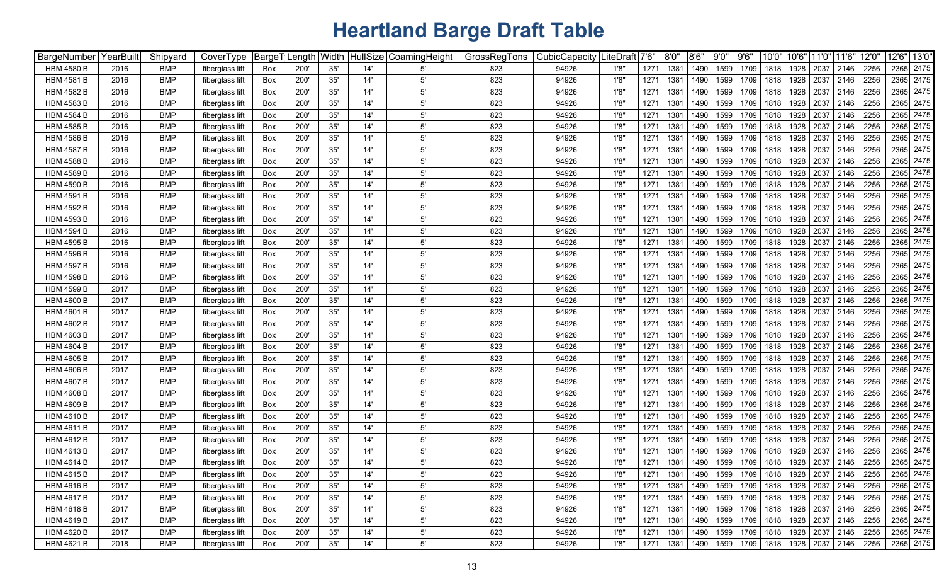| <b>BargeNumber</b> | YearBuilt | Shipyard   | CoverType       | BargeT | .ength | Width | HullSize | CoamingHeight | GrossRegTons | CubicCapacity | .iteDraft│7'6" |      | 8'0" | 8'6'' | 9'0'' | 9'6' | 10'0" | 10'6" | 11'0"                            | 11'6' | 12'0'                                                 |      | 12'6" 13'0" |
|--------------------|-----------|------------|-----------------|--------|--------|-------|----------|---------------|--------------|---------------|----------------|------|------|-------|-------|------|-------|-------|----------------------------------|-------|-------------------------------------------------------|------|-------------|
| HBM 4580 B         | 2016      | BMP        | fiberglass lift | Box    | 200    | 35'   | 14'      | 5'            | 823          | 94926         | 1'8'           | 1271 | 1381 | 1490  | 1599  | 1709 | 1818  | 1928  | 2037                             | 2146  | 2256                                                  | 2365 | 2475        |
| <b>HBM 4581 B</b>  | 2016      | BMP        | fiberglass lift | Box    | 200'   | 35'   | 14'      | 5'            | 823          | 94926         | 1'8'           | 1271 | 1381 | 1490  | 1599  | 1709 | 1818  | 1928  | 2037                             | 2146  | 2256                                                  | 2365 | 2475        |
| <b>HBM 4582 B</b>  | 2016      | BMP        | fiberglass lift | Box    | 200    | 35'   | 14'      | $5^{\circ}$   | 823          | 94926         | 1'8'           | 1271 | 1381 | 1490  | 1599  | 1709 | 1818  | 1928  | 2037                             | 2146  | 2256                                                  |      | 2365 2475   |
| <b>HBM 4583 B</b>  | 2016      | <b>BMP</b> | fiberglass lift | Box    | 200    | 35'   | 14'      | $5^{\circ}$   | 823          | 94926         | 1'8'           | 1271 | 1381 | 1490  | 1599  | 1709 | 1818  | 1928  | 2037                             | 2146  | 2256                                                  |      | 2365 2475   |
| <b>HBM 4584 B</b>  | 2016      | <b>BMP</b> | fiberglass lift | Box    | 200    | 35'   | 14'      | 5'            | 823          | 94926         | 1'8'           | 1271 | 1381 | 1490  | 1599  | 1709 | 1818  | 1928  | 2037                             | 2146  | 2256                                                  |      | 2365 2475   |
| <b>HBM 4585 B</b>  | 2016      | <b>BMP</b> | fiberglass lift | Box    | 200    | 35'   | 14'      | $5^{\circ}$   | 823          | 94926         | 1'8'           | 1271 | 1381 | 1490  | 1599  | 1709 | 1818  | 1928  | 2037                             | 2146  | 2256                                                  |      | 2365 2475   |
| <b>HBM 4586 B</b>  | 2016      | <b>BMP</b> | fiberglass lift | Box    | 200    | 35'   | 14'      | $5^{\circ}$   | 823          | 94926         | 1'8'           | 1271 | 1381 | 1490  | 1599  | 1709 | 1818  | 1928  | 2037                             | 2146  | 2256                                                  |      | 2365 2475   |
| <b>HBM 4587 B</b>  | 2016      | <b>BMP</b> | fiberglass lift | Box    | 200    | 35'   | 14'      | $5^{\circ}$   | 823          | 94926         | 1'8'           | 1271 | 1381 | 1490  | 1599  | 1709 | 1818  | 1928  | 2037                             | 2146  | 2256                                                  |      | 2365 2475   |
| <b>HBM 4588 B</b>  | 2016      | <b>BMP</b> | fiberglass lift | Box    | 200    | 35'   | 14'      | $5^{\circ}$   | 823          | 94926         | 1'8'           | 1271 | 1381 | 1490  | 1599  | 1709 | 1818  | 1928  | 2037                             | 2146  | 2256                                                  |      | 2365 2475   |
| <b>HBM 4589 B</b>  | 2016      | <b>BMP</b> | fiberglass lift | Box    | 200    | 35'   | 14'      | $5^{\circ}$   | 823          | 94926         | 1'8'           | 1271 | 1381 | 1490  | 1599  | 1709 | 1818  | 1928  | 2037                             | 2146  | 2256                                                  |      | 2365 2475   |
| <b>HBM 4590 B</b>  | 2016      | BMP        | fiberglass lift | Box    | 200    | 35'   | 14'      | $5^{\circ}$   | 823          | 94926         | 1'8'           | 1271 | 1381 | 1490  | 1599  | 1709 | 1818  | 1928  | 2037                             | 2146  | 2256                                                  |      | 2365 2475   |
| <b>HBM 4591 B</b>  | 2016      | <b>BMP</b> | fiberglass lift | Box    | 200    | 35'   | 14'      | $5^{\circ}$   | 823          | 94926         | 1'8'           | 1271 | 1381 | 1490  | 1599  | 1709 | 1818  | 1928  | 2037                             | 2146  | 2256                                                  |      | 2365 2475   |
| <b>HBM 4592 B</b>  | 2016      | <b>BMP</b> | fiberglass lift | Box    | 200    | 35'   | 14'      | $5^{\circ}$   | 823          | 94926         | 1'8'           | 1271 | 1381 | 1490  | 1599  | 1709 | 1818  | 1928  | 2037                             | 2146  | 2256                                                  |      | 2365 2475   |
| <b>HBM 4593 B</b>  | 2016      | <b>BMP</b> | fiberglass lift | Box    | 200    | 35'   | 14'      | $5^{\circ}$   | 823          | 94926         | 1'8'           | 1271 | 1381 | 1490  | 1599  | 1709 | 1818  | 1928  | 2037                             | 2146  | 2256                                                  |      | 2365 2475   |
| <b>HBM 4594 B</b>  | 2016      | <b>BMP</b> | fiberglass lift | Box    | 200    | 35'   | 14'      | $5^{\circ}$   | 823          | 94926         | 1'8'           | 1271 | 1381 | 1490  | 1599  | 1709 | 1818  | 1928  | 2037                             | 2146  | 2256                                                  |      | 2365 2475   |
| HBM 4595 B         | 2016      | <b>BMP</b> | fiberglass lift | Box    | 200'   | 35'   | 14'      | $5^{\circ}$   | 823          | 94926         | 1'8'           | 1271 | 1381 | 1490  | 1599  | 1709 | 1818  | 1928  | 2037                             | 2146  | 2256                                                  |      | 2365 2475   |
| HBM 4596 B         | 2016      | <b>BMP</b> | fiberglass lift | Box    | 200'   | 35'   | 14'      | $5^{\circ}$   | 823          | 94926         | 1'8'           | 1271 | 1381 | 1490  | 1599  | 1709 | 1818  | 1928  | 2037                             | 2146  | 2256                                                  |      | 2365 2475   |
| HBM 4597 B         | 2016      | <b>BMP</b> | fiberglass lift | Box    | 200    | 35'   | 14'      | $5^{\circ}$   | 823          | 94926         | 1'8'           | 1271 | 1381 | 1490  | 1599  | 1709 | 1818  | 1928  | 2037                             | 2146  | 2256                                                  | 2365 | 2475        |
| <b>HBM 4598 B</b>  | 2016      | <b>BMP</b> | fiberglass lift | Box    | 200    | 35'   | 14'      | $5^{\circ}$   | 823          | 94926         | 1'8'           | 1271 | 1381 | 1490  | 1599  | 1709 | 1818  | 1928  | 2037                             | 2146  | 2256                                                  |      | 2365 2475   |
| <b>HBM 4599 B</b>  | 2017      | <b>BMP</b> | fiberglass lift | Box    | 200    | 35'   | 14'      | $5^{\circ}$   | 823          | 94926         | 1'8'           | 1271 | 1381 | 1490  | 1599  | 1709 | 1818  | 1928  | 2037                             | 2146  | 2256                                                  |      | 2365 2475   |
| HBM 4600 B         | 2017      | <b>BMP</b> | fiberglass lift | Box    | 200    | 35'   | 14'      | $5^{\circ}$   | 823          | 94926         | 1'8'           | 1271 | 1381 | 1490  | 1599  | 1709 | 1818  | 1928  | 2037                             | 2146  | 2256                                                  |      | 2365 2475   |
| <b>HBM 4601 B</b>  | 2017      | <b>BMP</b> | fiberglass lift | Box    | 200    | 35'   | 14'      | $5^{\circ}$   | 823          | 94926         | 1'8'           | 1271 | 1381 | 1490  | 1599  | 1709 | 1818  | 1928  | 2037                             | 2146  | 2256                                                  |      | 2365 2475   |
| <b>HBM 4602 B</b>  | 2017      | <b>BMP</b> | fiberglass lift | Box    | 200    | 35'   | 14'      | $5^{\circ}$   | 823          | 94926         | 1'8'           | 1271 | 1381 | 1490  | 1599  | 1709 | 1818  | 1928  | 2037                             | 2146  | 2256                                                  |      | 2365 2475   |
| <b>HBM 4603 B</b>  | 2017      | <b>BMP</b> | fiberglass lift | Box    | 200    | 35'   | 14'      | $5^{\circ}$   | 823          | 94926         | 1'8'           | 1271 | 1381 | 1490  | 1599  | 1709 | 1818  | 1928  | 2037                             | 2146  | 2256                                                  |      | 2365 2475   |
| <b>HBM 4604 B</b>  | 2017      | <b>BMP</b> | fiberglass lift | Box    | 200    | 35'   | 14'      | $5^{\circ}$   | 823          | 94926         | 1'8'           | 1271 | 1381 | 1490  | 1599  | 1709 | 1818  | 1928  | 2037                             | 2146  | 2256                                                  |      | 2365 2475   |
| <b>HBM 4605 B</b>  | 2017      | <b>BMP</b> | fiberglass lift | Box    | 200    | 35'   | 14'      | $5^{\circ}$   | 823          | 94926         | 1'8'           | 1271 | 1381 | 1490  | 1599  | 1709 | 1818  | 1928  | 2037                             | 2146  | 2256                                                  |      | 2365 2475   |
| <b>HBM 4606 B</b>  | 2017      | <b>BMP</b> | fiberglass lift | Box    | 200    | 35'   | 14'      | $5^{\circ}$   | 823          | 94926         | 1'8'           | 1271 | 1381 | 1490  | 1599  | 1709 | 1818  | 1928  | 2037                             | 2146  | 2256                                                  |      | 2365 2475   |
| <b>HBM 4607 B</b>  | 2017      | BMP        | fiberglass lift | Box    | 200    | 35'   | 14'      | $5^{\circ}$   | 823          | 94926         | 1'8'           | 1271 | 1381 | 1490  | 1599  | 1709 | 1818  | 1928  | 2037                             | 2146  | 2256                                                  |      | 2365 2475   |
| <b>HBM 4608 B</b>  | 2017      | <b>BMP</b> | fiberglass lift | Box    | 200    | 35'   | 14'      | $5^{\circ}$   | 823          | 94926         | 1'8'           | 1271 | 1381 | 1490  | 1599  | 1709 | 1818  | 1928  | 2037                             | 2146  | 2256                                                  |      | 2365 2475   |
| <b>HBM 4609 B</b>  | 2017      | <b>BMP</b> | fiberglass lift | Box    | 200'   | 35'   | 14'      | $5^{\circ}$   | 823          | 94926         | 1'8'           | 1271 | 1381 | 1490  | 1599  | 1709 | 1818  | 1928  | 2037                             | 2146  | 2256                                                  |      | 2365 2475   |
| <b>HBM 4610 B</b>  | 2017      | BMP        | fiberglass lift | Box    | 200    | 35'   | 14'      | $5^{\circ}$   | 823          | 94926         | 1'8'           | 1271 | 1381 | 1490  | 1599  | 1709 | 1818  | 1928  | 2037                             | 2146  | 2256                                                  |      | 2365 2475   |
| <b>HBM 4611 B</b>  | 2017      | BMP        | fiberglass lift | Box    | 200    | 35'   | 14'      | 5'            | 823          | 94926         | 1'8'           | 1271 | 1381 | 1490  | 1599  | 1709 | 1818  | 1928  | 2037                             | 2146  | 2256                                                  |      | 2365 2475   |
| <b>HBM 4612 B</b>  | 2017      | BMP        | fiberglass lift | Box    | 200'   | 35'   | 14'      | $5^{\circ}$   | 823          | 94926         | 1'8'           | 1271 | 1381 | 1490  | 1599  | 1709 | 1818  | 1928  | 2037                             | 2146  | 2256                                                  |      | 2365 2475   |
| <b>HBM 4613 B</b>  | 2017      | BMP        | fiberglass lift | Box    | 200    | 35'   | 14'      | $5^{\circ}$   | 823          | 94926         | 1'8'           | 1271 | 1381 | 1490  | 1599  | 1709 | 1818  | 1928  | 2037                             | 2146  | 2256                                                  | 2365 | 2475        |
| <b>HBM 4614 B</b>  | 2017      | BMP        | fiberglass lift | Box    | 200    | 35'   | 14'      | 5'            | 823          | 94926         | 1'8'           | 1271 | 1381 | 1490  | 1599  | 1709 | 1818  | 1928  | 2037                             | 2146  | 2256                                                  |      | 2365 2475   |
| HBM 4615 B         | 2017      | <b>BMP</b> | fiberglass lift | Box    | 200'   | 35'   | 14'      | 5'            | 823          | 94926         | 1'8'           | 1271 | 1381 | 1490  | 1599  |      |       |       | 1709   1818   1928   2037   2146 |       | 2256                                                  |      | 2365 2475   |
| <b>HBM 4616 B</b>  | 2017      | <b>BMP</b> | fiberglass lift | Box    | 200'   | 35'   | 14'      | 5'            | 823          | 94926         | 1'8"           | 1271 | 1381 | 1490  | 1599  |      |       |       |                                  |       | 1709 1818 1928 2037 2146 2256                         |      | 2365 2475   |
| <b>HBM 4617 B</b>  | 2017      | <b>BMP</b> | fiberglass lift | Box    | 200'   | 35'   | 14'      | $5^{\prime}$  | 823          | 94926         | 1'8"           | 1271 | 1381 | 1490  | 1599  |      |       |       | 1709 1818 1928 2037 2146 2256    |       |                                                       |      | 2365 2475   |
| <b>HBM 4618 B</b>  | 2017      | <b>BMP</b> | fiberglass lift | Box    | 200'   | 35'   | 14'      | $5^{\prime}$  | 823          | 94926         | 1'8"           | 1271 | 1381 | 1490  | 1599  | 1709 |       |       | 1818   1928   2037   2146        |       | 2256                                                  |      | 2365 2475   |
| HBM 4619 B         | 2017      | <b>BMP</b> | fiberglass lift | Box    | 200'   | 35'   | 14'      | $5^{\prime}$  | 823          | 94926         | 1'8"           | 1271 | 1381 | 1490  | 1599  | 1709 |       |       | 1818   1928   2037   2146        |       | 2256                                                  |      | 2365 2475   |
| <b>HBM 4620 B</b>  | 2017      | <b>BMP</b> | fiberglass lift | Box    | 200'   | $35'$ | 14'      | $5^{\circ}$   | 823          | 94926         | 1'8"           | 1271 | 1381 | 1490  | 1599  | 1709 | 1818  |       | 1928 2037 2146                   |       | 2256                                                  |      | 2365 2475   |
| HBM 4621 B         | 2018      | <b>BMP</b> | fiberglass lift | Box    | 200'   | 35'   | 14'      | $5^{\prime}$  | 823          | 94926         | 1'8"           | 1271 | 1381 |       |       |      |       |       |                                  |       | 1490   1599   1709   1818   1928   2037   2146   2256 |      | 2365 2475   |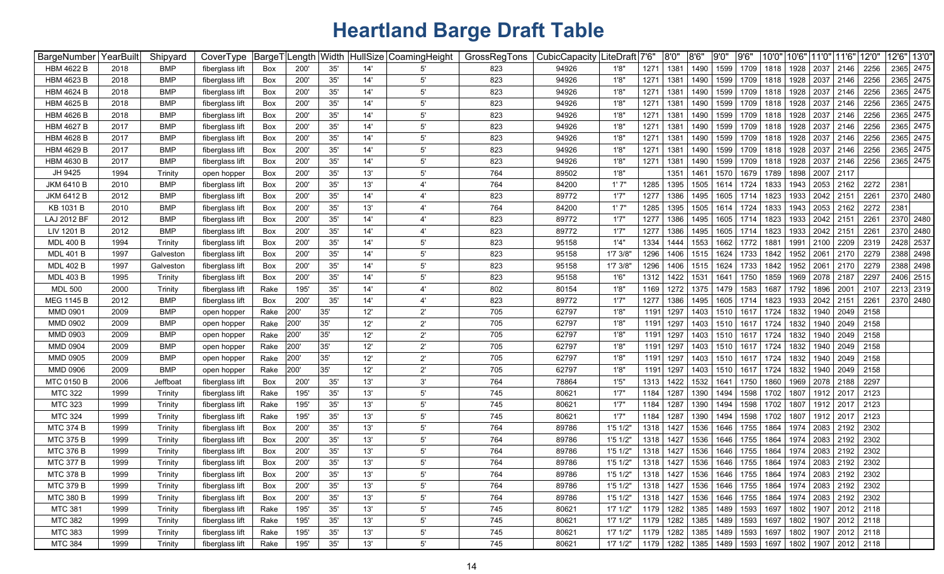| BargeNumber       | YearBuilt | Shipyard   | CoverType       | BargeT     | .ength | Width        |     | HullSize CoamingHeight | GrossRegTons | CubicCapacity | .iteDraft│7'6" |           | 8'0" | 8'6''                     | 9'0'' | 9'6' | 10'0"                                   | 10'6" | 11'0"               | 11'6" | 12'0'                     |      | 12'6" 13'0" |
|-------------------|-----------|------------|-----------------|------------|--------|--------------|-----|------------------------|--------------|---------------|----------------|-----------|------|---------------------------|-------|------|-----------------------------------------|-------|---------------------|-------|---------------------------|------|-------------|
| <b>HBM 4622 B</b> | 2018      | BMP        | fiberglass lift | Box        | 200'   | 35'          | 14' | 5'                     | 823          | 94926         | 1'8"           | 1271      | 1381 | 1490                      | 1599  | 1709 | 1818                                    | 1928  | 2037                | 2146  | 2256                      | 2365 | 2475        |
| <b>HBM 4623 B</b> | 2018      | <b>BMP</b> | fiberglass lift | Box        | 200'   | 35'          | 14' | $5^{\circ}$            | 823          | 94926         | 1'8"           | 1271      | 1381 | 1490                      | 1599  | 1709 | 1818                                    | 1928  | 2037                | 2146  | 2256                      |      | 2365 2475   |
| <b>HBM 4624 B</b> | 2018      | <b>BMP</b> | fiberglass lift | Box        | 200    | 35'          | 14' | $5^{\circ}$            | 823          | 94926         | 1'8'           | 1271      | 1381 | 1490                      | 1599  | 1709 | 1818                                    | 1928  | 2037                | 2146  | 2256                      |      | 2365 2475   |
| <b>HBM 4625 B</b> | 2018      | <b>BMP</b> | fiberglass lift | Box        | 200    | 35'          | 14' | $5^{\circ}$            | 823          | 94926         | 1'8'           | 1271      | 1381 | 1490                      | 1599  | 1709 | 1818                                    | 1928  | 2037                | 2146  | 2256                      |      | 2365 2475   |
| <b>HBM 4626 B</b> | 2018      | <b>BMP</b> | fiberglass lift | Box        | 200    | 35'          | 14' | $5^{\circ}$            | 823          | 94926         | 1'8'           | 1271      | 1381 | 1490                      | 1599  | 1709 | 1818                                    | 1928  | 2037                | 2146  | 2256                      |      | 2365 2475   |
| <b>HBM 4627 B</b> | 2017      | <b>BMP</b> | fiberglass lift | Box        | 200    | 35'          | 14' | $5^{\circ}$            | 823          | 94926         | 1'8'           | 1271      | 1381 | 1490                      | 1599  | 1709 | 1818                                    | 1928  | 2037                | 2146  | 2256                      |      | 2365 2475   |
| <b>HBM 4628 B</b> | 2017      | <b>BMP</b> | fiberglass lift | Box        | 200    | 35'          | 14' | 5'                     | 823          | 94926         | 1'8'           | 1271      | 1381 | 1490                      | 1599  | 1709 | 1818                                    | 1928  | 2037                | 2146  | 2256                      |      | 2365 2475   |
| <b>HBM 4629 B</b> | 2017      | <b>BMP</b> | fiberglass lift | Box        | 200    | 35'          | 14' | $5^{\circ}$            | 823          | 94926         | 1'8'           | 1271      | 1381 | 1490                      | 1599  | 1709 | 1818                                    | 1928  | 2037                | 2146  | 2256                      |      | 2365 2475   |
| <b>HBM 4630 B</b> | 2017      | <b>BMP</b> | fiberglass lift | Box        | 200    | 35'          | 14' | $5^{\circ}$            | 823          | 94926         | 1'8'           | 1271      | 1381 | 1490                      | 1599  | 1709 | 1818                                    | 1928  | 2037                | 2146  | 2256                      |      | 2365 2475   |
| JH 9425           | 1994      | Trinity    | open hopper     | Box        | 200    | 35'          | 13' | $5^{\circ}$            | 764          | 89502         | 1'8"           |           | 1351 | 1461                      | 1570  | 1679 | 1789                                    | 1898  | 2007                | 2117  |                           |      |             |
| <b>JKM 6410 B</b> | 2010      | <b>BMP</b> | fiberglass lift | Box        | 200    | 35'          | 13' |                        | 764          | 84200         | 1'7'           | 1285      | 1395 | 1505                      | 1614  | 1724 | 1833                                    | 1943  | 2053                | 2162  | 2272                      | 2381 |             |
| <b>JKM 6412 B</b> | 2012      | <b>BMP</b> | fiberglass lift | Box        | 200    | 35'          | 14' | $4^{\circ}$            | 823          | 89772         | 1'7'           | 1277      | 1386 | 1495                      | 1605  | 1714 | 1823                                    | 1933  | 2042 2151           |       | 2261                      |      | 2370 2480   |
| KB 1031 B         | 2010      | <b>BMP</b> | fiberglass lift | Box        | 200    | 35'          | 13' |                        | 764          | 84200         | 1'7'           | 1285      | 1395 | 1505                      | 1614  | 1724 | 1833                                    | 1943  | 2053                | 2162  | 2272                      | 2381 |             |
| LAJ 2012 BF       | 2012      | <b>BMP</b> | fiberglass lift | Box        | 200'   | 35'          | 14' |                        | 823          | 89772         | 1'7'           | 1277      | 1386 | 1495                      | 1605  | 1714 | 1823                                    | 1933  | 2042                | 2151  | 226                       |      | 2370 2480   |
| LIV 1201 B        | 2012      | <b>BMP</b> | fiberglass lift | Box        | 200'   | 35'          | 14' | $\mathbf{4}^{\prime}$  | 823          | 89772         | 1'7'           | 1277      | 1386 | 1495                      | 1605  | 1714 | 1823                                    | 1933  | 2042 2151           |       | 2261                      |      | 2370 2480   |
| <b>MDL 400 B</b>  | 1994      | Trinity    | fiberglass lift | Box        | 200'   | 35'          | 14' | $5^{\circ}$            | 823          | 95158         | 1'4"           | 1334      | 1444 | 1553                      | 1662  | 1772 | 1881                                    | 1991  | 2100                | 2209  | 2319                      |      | 2428 2537   |
| <b>MDL 401 B</b>  | 1997      | Galveston  | fiberglass lift | Box        | 200'   | 35'          | 14' | $5^{\circ}$            | 823          | 95158         | 1'7 3/8'       | 1296      | 1406 | 1515                      | 1624  | 1733 | 1842                                    | 1952  | 2061                | 2170  | 2279                      |      | 2388 2498   |
| <b>MDL 402 B</b>  | 1997      | Galveston  | fiberglass lift | Box        | 200'   | 35'          | 14' | $5^{\circ}$            | 823          | 95158         | 1'7 3/8'       | 1296      | 1406 | 1515                      | 1624  | 1733 | 1842                                    | 1952  | 2061                | 2170  | 2279                      |      | 2388 2498   |
| <b>MDL 403 B</b>  | 1995      | Trinity    | fiberglass lift | Box        | 200'   | 35'          | 14' | $5^{\circ}$            | 823          | 95158         | 1'6''          | 1312      | 1422 | 1531                      | 1641  | 1750 | 1859                                    | 1969  | 2078 2187           |       | 2297                      |      | 2406 2515   |
| <b>MDL 500</b>    | 2000      | Trinity    | fiberglass lift | Rake       | 195    | 35'          | 14' | $\mathbf{4}^{\prime}$  | 802          | 80154         | 1'8'           | 1169      | 1272 | 1375                      | 1479  | 1583 | 1687                                    | 1792  | 1896                | 2001  | 2107                      |      | 2213 2319   |
| <b>MEG 1145 B</b> | 2012      | <b>BMP</b> | fiberglass lift | Box        | 200    | 35'          | 14' | $\mathbf{4}^{\prime}$  | 823          | 89772         | 1'7'           | 1277      | 1386 | 1495                      | 1605  | 1714 | 1823                                    | 1933  | 2042                | 2151  | 226                       |      | 2370 2480   |
| MMD 0901          | 2009      | <b>BMP</b> | open hopper     | Rake       | 200'   | 35'          | 12' | $2^{\prime}$           | 705          | 62797         | 1'8"           | 1191      | 1297 | 1403                      | 1510  | 1617 | 1724                                    | 1832  | 1940                | 2049  | 2158                      |      |             |
| <b>MMD 0902</b>   | 2009      | <b>BMP</b> | open hopper     | Rake       | 200'   | 35'          | 12' | $2^{\prime}$           | 705          | 62797         | 1'8"           | 1191      | 1297 | 1403                      | 1510  | 1617 | 1724                                    | 1832  | 1940                | 2049  | 2158                      |      |             |
| MMD 0903          | 2009      | <b>BMP</b> | open hopper     | Rake       | 200    | 35'          | 12' | $2^{\prime}$           | 705          | 62797         | 1'8'           | 1191      | 1297 | 1403                      | 1510  | 1617 | 1724                                    | 1832  | 1940                | 2049  | 2158                      |      |             |
| MMD 0904          | 2009      | <b>BMP</b> | open hopper     | Rake       | 200'   | 35'          | 12' | $2^{\prime}$           | 705          | 62797         | 1'8'           | 1191      | 1297 | 1403                      | 1510  | 1617 | 1724                                    | 1832  | 1940                | 2049  | 2158                      |      |             |
| <b>MMD 0905</b>   | 2009      | <b>BMP</b> | open hopper     | Rake       | 200'   | 35'          | 12' | $2^{\prime}$           | 705          | 62797         | 1'8"           | 1191      | 1297 | 1403                      | 1510  | 1617 | 1724                                    | 1832  | 1940                | 2049  | 2158                      |      |             |
| <b>MMD 0906</b>   | 2009      | <b>BMP</b> | open hopper     | Rake       | 200'   | 35'          | 12' | $2^{\prime}$           | 705          | 62797         | 1'8"           | 1191      | 1297 | 1403                      | 1510  | 1617 | 1724                                    | 1832  | 1940                | 2049  | 2158                      |      |             |
| <b>MTC 0150 B</b> | 2006      | Jeffboat   | fiberglass lift | Box        | 200    | 35'          | 13' | 3'                     | 764          | 78864         | 1'5'           | 1313      | 1422 | 1532                      | 1641  | 1750 | 1860                                    | 1969  | 2078                | 2188  | 2297                      |      |             |
| <b>MTC 322</b>    | 1999      | Trinity    | fiberglass lift | Rake       | 195    | 35'          | 13' | $5^{\circ}$            | 745          | 80621         | 1'7'           | 1184      | 1287 | 1390                      | 1494  | 1598 | 1702                                    | 1807  | 1912                | 2017  | 2123                      |      |             |
| <b>MTC 323</b>    | 1999      | Trinity    | fiberglass lift | Rake       | 195'   | 35'          | 13' | $5^{\circ}$            | 745          | 80621         | 1'7'           | 1184      | 1287 | 1390                      | 1494  | 1598 | 1702                                    | 1807  | 1912                | 2017  | 2123                      |      |             |
| <b>MTC 324</b>    | 1999      | Trinity    | fiberglass lift | Rake       | 195'   | 35'          | 13' | $5^{\prime}$           | 745          | 80621         | 1'7"           | 1184      | 1287 | 1390                      | 1494  | 1598 | 1702                                    | 1807  | 1912                | 2017  | 2123                      |      |             |
| <b>MTC 374 B</b>  | 1999      | Trinity    | fiberglass lift | Box        | 200'   | 35'          | 13' | 5'                     | 764          | 89786         | 1'51/2'        | 1318      | 1427 | 1536                      | 1646  | 1755 | 1864                                    | 1974  | 2083                | 2192  | 2302                      |      |             |
| <b>MTC 375 B</b>  | 1999      | Trinity    | fiberglass lift | Box        | 200'   | 35'          | 13' | $5^{\prime}$           | 764          | 89786         | 1'51/2'        | 1318      | 1427 | 1536                      | 1646  | 1755 | 1864                                    | 1974  | 2083 2192           |       | 2302                      |      |             |
| <b>MTC 376 B</b>  | 1999      | Trinity    | fiberglass lift | Box        | 200'   | 35'          | 13' | $5^{\circ}$            | 764          | 89786         | 1'51/2'        | 1318      | 1427 | 1536                      | 1646  | 1755 | 1864                                    | 1974  | 2083                | 2192  | 2302                      |      |             |
| <b>MTC 377 B</b>  | 1999      | Trinity    | fiberglass lift | <b>Box</b> | 200    | 35'          | 13' | $5^{\circ}$            | 764          | 89786         | 1'51/2'        | 1318      | 1427 | 1536                      | 1646  | 1755 | 1864                                    | 1974  | 2083 2192           |       | 2302                      |      |             |
| <b>MTC 378 B</b>  | 1999      | Trinity    | fiberglass lift | Box        | 200'   | 35'          | 13' | 5'                     | 764          | 89786         | 1'5 1/2"       | 1318 1427 |      | 1536                      |       |      | 1646   1755   1864   1974   2083   2192 |       |                     |       | 2302                      |      |             |
| <b>MTC 379 B</b>  | 1999      | Trinity    | fiberglass lift | Box        | 200'   | 35'          | 13' | 5'                     | 764          | 89786         | 1'51/2"        | 1318      | 1427 | 1536                      | 1646  | 1755 | 1864                                    |       | 1974 2083 2192      |       | 2302                      |      |             |
| <b>MTC 380 B</b>  | 1999      | Trinity    | fiberglass lift | Box        | 200'   | 35'          | 13' | $5^{\prime}$           | 764          | 89786         | 1'51/2"        | 1318      | 1427 | 1536                      | 1646  | 1755 | 1864                                    |       | 1974 2083 2192 2302 |       |                           |      |             |
| <b>MTC 381</b>    | 1999      | Trinity    | fiberglass lift | Rake       | 195'   | 35'          | 13' | $5^{\prime}$           | 745          | 80621         | $1'7$ $1/2"$   | 1179      | 1282 | 1385                      | 1489  | 1593 | 1697                                    |       | 1802 1907 2012      |       | 2118                      |      |             |
| <b>MTC 382</b>    | 1999      | Trinity    | fiberglass lift | Rake       | 195'   | 35'          | 13' | $5^{\prime}$           | 745          | 80621         | $1'7$ $1/2"$   | 1179      | 1282 | 1385                      | 1489  | 1593 | 1697                                    |       |                     |       | 1802   1907   2012   2118 |      |             |
| MTC 383           | 1999      | Trinity    | fiberglass lift | Rake       | 195'   | $35^{\circ}$ | 13' | $5^{\circ}$            | 745          | 80621         | $1'7$ $1/2"$   | 1179      | 1282 | 1385                      | 1489  | 1593 | 1697                                    |       |                     |       | 1802   1907   2012   2118 |      |             |
| MTC 384           | 1999      | Trinity    | fiberglass lift | Rake       | 195'   | 35'          | 13' | $5^{\prime}$           | 745          | 80621         | 1'7 1/2"       |           |      | 1179   1282   1385   1489 |       | 1593 | 1697                                    |       |                     |       | 1802   1907   2012   2118 |      |             |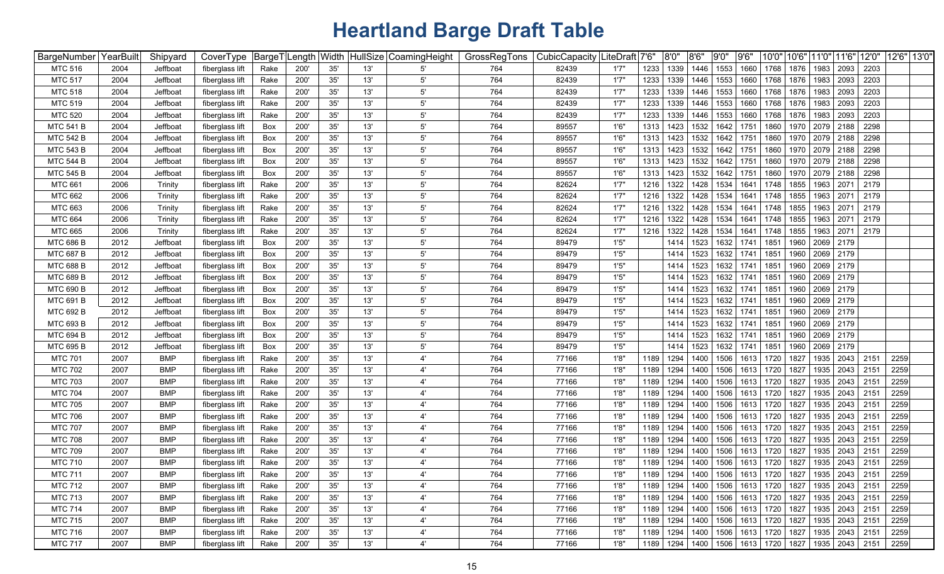| BargeNumber YearBuilt |      | Shipyard   | CoverType       | BargeT <sup> </sup> | Length Width |       | HullSize | CoamingHeight         | GrossRegTons | CubicCapacity | ∣LiteDraft | 7'6' | 8'0'' | 8'6" | 9'0" | 9'6' | 10'0"                                   | 10'6" | 11'0" | 11'6"          | 12'0" | 12'6" 13'0" |  |
|-----------------------|------|------------|-----------------|---------------------|--------------|-------|----------|-----------------------|--------------|---------------|------------|------|-------|------|------|------|-----------------------------------------|-------|-------|----------------|-------|-------------|--|
| <b>MTC 516</b>        | 2004 | Jeffboat   | fiberglass lift | Rake                | <b>200</b>   | 35'   | 13'      | 5                     | 764          | 82439         | 1'7"       | 1233 | 1339  | 1446 | 1553 | 1660 | 1768                                    | 1876  | 1983  | 2093           | 2203  |             |  |
| <b>MTC 517</b>        | 2004 | Jeffboat   | fiberglass lift | Rake                | 200          | 35'   | 13'      | $5^{\prime}$          | 764          | 82439         | 1'7''      | 1233 | 1339  | 1446 | 1553 | 1660 | 1768                                    | 1876  | 1983  | 2093           | 2203  |             |  |
| <b>MTC 518</b>        | 2004 | Jeffboat   | fiberglass lift | Rake                | 200          | 35'   | 13'      | $5^{\prime}$          | 764          | 82439         | 1'7''      | 1233 | 1339  | 1446 | 1553 | 1660 | 1768                                    | 1876  | 1983  | 2093           | 2203  |             |  |
| <b>MTC 519</b>        | 2004 | Jeffboat   | fiberglass lift | Rake                | 200          | 35'   | 13'      | $5^{\prime}$          | 764          | 82439         | 1'7''      | 1233 | 1339  | 1446 | 1553 | 1660 | 1768                                    | 1876  | 1983  | 2093           | 2203  |             |  |
| <b>MTC 520</b>        | 2004 | Jeffboat   | fiberglass lift | Rake                | 200          | 35'   | 13'      | 5'                    | 764          | 82439         | 1'7''      | 1233 | 1339  | 1446 | 1553 | 1660 | 1768                                    | 1876  | 1983  | 2093           | 2203  |             |  |
| <b>MTC 541 B</b>      | 2004 | Jeffboat   | fiberglass lift | Box                 | 200          | 35'   | 13'      | $5^{\prime}$          | 764          | 89557         | 1'6"       | 1313 | 1423  | 1532 | 1642 | 1751 | 1860                                    | 1970  | 2079  | 2188           | 2298  |             |  |
| <b>MTC 542 B</b>      | 2004 | Jeffboat   | fiberglass lift | Box                 | 200          | 35'   | 13'      | $5^{\prime}$          | 764          | 89557         | 1'6''      | 1313 | 1423  | 1532 | 1642 | 1751 | 1860                                    | 1970  | 2079  | 2188           | 2298  |             |  |
| <b>MTC 543 B</b>      | 2004 | Jeffboat   | fiberglass lift | Box                 | 200          | 35'   | 13'      | $5^{\prime}$          | 764          | 89557         | 1'6''      | 1313 | 1423  | 1532 | 1642 | 1751 | 1860                                    | 1970  | 2079  | 2188           | 2298  |             |  |
| <b>MTC 544 B</b>      | 2004 | Jeffboat   | fiberglass lift | Box                 | 200          | 35'   | 13'      | 5'                    | 764          | 89557         | 1'6"       | 1313 | 1423  | 1532 | 1642 | 1751 | 1860                                    | 1970  | 2079  | 2188           | 2298  |             |  |
| <b>MTC 545 B</b>      | 2004 | Jeffboat   | fiberglass lift | Box                 | 200          | 35'   | 13'      | 5'                    | 764          | 89557         | 1'6''      | 1313 | 1423  | 1532 | 1642 | 1751 | 1860                                    | 1970  | 2079  | 2188           | 2298  |             |  |
| <b>MTC 661</b>        | 2006 | Trinity    | fiberglass lift | Rake                | 200          | 35'   | 13'      | 5'                    | 764          | 82624         | 1'7'       | 1216 | 1322  | 1428 | 1534 | 1641 | 1748                                    | 1855  | 1963  | 2071           | 2179  |             |  |
| <b>MTC 662</b>        | 2006 | Trinity    | fiberglass lift | Rake                | 200          | 35'   | 13'      | 5'                    | 764          | 82624         | 1'7'       | 1216 | 1322  | 1428 | 1534 | 1641 | 1748                                    | 1855  | 1963  | 2071           | 2179  |             |  |
| <b>MTC 663</b>        | 2006 | Trinity    | fiberglass lift | Rake                | 200          | 35'   | 13'      | $5^{\circ}$           | 764          | 82624         | 1'7'       | 1216 | 1322  | 1428 | 1534 | 1641 | 1748                                    | 1855  | 1963  | 2071           | 2179  |             |  |
| <b>MTC 664</b>        | 2006 | Trinity    | fiberglass lift | Rake                | 200          | 35'   | 13'      | 5'                    | 764          | 82624         | 1'7''      | 1216 | 1322  | 1428 | 1534 | 1641 | 1748                                    | 1855  | 1963  | 2071           | 2179  |             |  |
| <b>MTC 665</b>        | 2006 | Trinity    | fiberglass lift | Rake                | 200          | 35'   | 13'      | $5^{\prime}$          | 764          | 82624         | 1'7''      | 1216 | 1322  | 1428 | 1534 | 1641 | 1748                                    | 1855  | 1963  | 2071           | 2179  |             |  |
| <b>MTC 686 B</b>      | 2012 | Jeffboat   | fiberglass lift | Box                 | 200          | 35'   | 13'      | $5^{\prime}$          | 764          | 89479         | 1'5''      |      | 1414  | 1523 | 1632 | 1741 | 1851                                    | 1960  | 2069  | 2179           |       |             |  |
| <b>MTC 687 B</b>      | 2012 | Jeffboat   | fiberglass lift | Box                 | 200          | 35'   | 13'      | $5^{\prime}$          | 764          | 89479         | 1'5''      |      | 1414  | 1523 | 1632 | 1741 | 1851                                    | 1960  | 2069  | 2179           |       |             |  |
| <b>MTC 688 B</b>      | 2012 | Jeffboat   | fiberglass lift | Box                 | 200'         | 35'   | 13'      | $5^{\prime}$          | 764          | 89479         | 1'5''      |      | 1414  | 1523 | 1632 | 1741 | 1851                                    | 1960  | 2069  | 2179           |       |             |  |
| <b>MTC 689 B</b>      | 2012 | Jeffboat   | fiberglass lift | Box                 | 200'         | 35'   | 13'      | $5^{\prime}$          | 764          | 89479         | 1'5''      |      | 1414  | 1523 | 1632 | 1741 | 1851                                    | 1960  | 2069  | 2179           |       |             |  |
| <b>MTC 690 B</b>      | 2012 | Jeffboat   | fiberglass lift | Box                 | 200          | 35'   | 13'      | $5^{\prime}$          | 764          | 89479         | 1'5''      |      | 1414  | 1523 | 1632 | 1741 | 1851                                    | 1960  | 2069  | 2179           |       |             |  |
| MTC 691 B             | 2012 | Jeffboat   | fiberglass lift | Box                 | 200          | 35'   | 13'      | $5^{\prime}$          | 764          | 89479         | 1'5''      |      | 1414  | 1523 | 1632 | 1741 | 1851                                    | 1960  | 2069  | 2179           |       |             |  |
| MTC 692 B             | 2012 | Jeffboat   | fiberglass lift | Box                 | 200          | 35'   | 13'      | $5^{\prime}$          | 764          | 89479         | 1'5''      |      | 1414  | 1523 | 1632 | 1741 | 1851                                    | 1960  | 2069  | 2179           |       |             |  |
| <b>MTC 693 B</b>      | 2012 | Jeffboat   | fiberglass lift | Box                 | 200          | 35'   | 13'      | $5^{\prime}$          | 764          | 89479         | 1'5''      |      | 1414  | 1523 | 1632 | 1741 | 1851                                    | 1960  | 2069  | 2179           |       |             |  |
| <b>MTC 694 B</b>      | 2012 | Jeffboat   | fiberglass lift | Box                 | 200          | 35'   | 13'      | $5^{\prime}$          | 764          | 89479         | 1'5''      |      | 1414  | 1523 | 1632 | 1741 | 1851                                    | 1960  | 2069  | 2179           |       |             |  |
| MTC 695 B             | 2012 | Jeffboat   | fiberglass lift | Box                 | 200          | 35'   | 13'      | 5'                    | 764          | 89479         | 1'5''      |      | 1414  | 1523 | 1632 | 1741 | 1851                                    | 1960  | 2069  | 2179           |       |             |  |
| <b>MTC 701</b>        | 2007 | <b>BMP</b> | fiberglass lift | Rake                | 200          | 35'   | 13'      | $\overline{4}$        | 764          | 77166         | 1'8"       | 1189 | 1294  | 1400 | 1506 | 1613 | 1720                                    | 1827  | 1935  | 2043           | 2151  | 2259        |  |
| <b>MTC 702</b>        | 2007 | <b>BMP</b> | fiberglass lift | Rake                | 200          | 35'   | 13'      | $\overline{4}$        | 764          | 77166         | 1'8"       | 1189 | 1294  | 1400 | 1506 | 1613 | 1720                                    | 1827  | 1935  | 2043           | 2151  | 2259        |  |
| <b>MTC 703</b>        | 2007 | <b>BMP</b> | fiberglass lift | Rake                | 200          | 35'   | 13'      | $\overline{4}$        | 764          | 77166         | 1'8'       | 1189 | 1294  | 1400 | 1506 | 1613 | 1720                                    | 1827  | 1935  | 2043           | 2151  | 2259        |  |
| <b>MTC 704</b>        | 2007 | <b>BMP</b> | fiberglass lift | Rake                | 200          | 35'   | 13'      | $\overline{4}$        | 764          | 77166         | 1'8'       | 1189 | 1294  | 1400 | 1506 | 1613 | 1720                                    | 1827  | 1935  | 2043           | 2151  | 2259        |  |
| <b>MTC 705</b>        | 2007 | <b>BMP</b> | fiberglass lift | Rake                | 200          | 35'   | 13'      | 4'                    | 764          | 77166         | 1'8"       | 1189 | 1294  | 1400 | 1506 | 1613 | 1720                                    | 1827  | 1935  | 2043           | 2151  | 2259        |  |
| <b>MTC 706</b>        | 2007 | <b>BMP</b> | fiberglass lift | Rake                | 200'         | 35'   | 13'      | 4'                    | 764          | 77166         | 1'8'       | 1189 | 1294  | 1400 | 1506 | 1613 | 1720                                    | 1827  | 1935  | 2043           | 2151  | 2259        |  |
| <b>MTC 707</b>        | 2007 | <b>BMP</b> | fiberglass lift | Rake                | 200          | 35'   | 13'      | 4'                    | 764          | 77166         | 1'8'       | 1189 | 1294  | 1400 | 1506 | 1613 | 1720                                    | 1827  | 1935  | 2043           | 2151  | 2259        |  |
| <b>MTC 708</b>        | 2007 | <b>BMP</b> | fiberglass lift | Rake                | 200          | 35'   | 13'      | $4^{\prime}$          | 764          | 77166         | 1'8"       | 1189 | 1294  | 1400 | 1506 | 1613 | 1720                                    | 1827  | 1935  | 2043           | 2151  | 2259        |  |
| <b>MTC 709</b>        | 2007 | <b>BMP</b> | fiberglass lift | Rake                | 200          | 35'   | 13'      | $4^{\prime}$          | 764          | 77166         | 1'8'       | 1189 | 1294  | 1400 | 1506 | 1613 | 1720                                    | 1827  | 1935  | 2043           | 2151  | 2259        |  |
| <b>MTC 710</b>        | 2007 | <b>BMP</b> | fiberglass lift | Rake                | 200          | 35'   | 13'      | 4'                    | 764          | 77166         | 1'8"       | 1189 | 1294  | 1400 | 1506 | 1613 | 1720                                    | 1827  | 1935  | 2043           | 2151  | 2259        |  |
| <b>MTC 711</b>        | 2007 | <b>BMP</b> | fiberglass lift | Rake                | 200'         | 35'   | 13'      | $\mathbf{4}^{\prime}$ | 764          | 77166         | 1'8"       | 1189 | 1294  |      |      |      | 1400   1506   1613   1720   1827        |       |       | 1935 2043      | 2151  | 2259        |  |
| <b>MTC 712</b>        | 2007 | <b>BMP</b> | fiberglass lift | Rake                | 200'         | 35'   | 13'      | 4'                    | 764          | 77166         | 1'8"       | 1189 | 1294  | 1400 |      |      | 1506 1613 1720 1827                     |       |       | 1935 2043 2151 |       | 2259        |  |
| <b>MTC 713</b>        | 2007 | <b>BMP</b> | fiberglass lift | Rake                | 200'         | 35'   | 13'      | $4^{\prime}$          | 764          | 77166         | 1'8"       | 1189 | 1294  | 1400 |      |      | 1506 1613 1720 1827                     |       |       | 1935 2043 2151 |       | 2259        |  |
| <b>MTC 714</b>        | 2007 | <b>BMP</b> | fiberglass lift | Rake                | 200'         | 35'   | 13'      | 4'                    | 764          | 77166         | 1'8"       | 1189 | 1294  | 1400 |      |      | 1506   1613   1720   1827               |       | 1935  | 2043           | 2151  | 2259        |  |
| <b>MTC 715</b>        | 2007 | <b>BMP</b> | fiberglass lift | Rake                | 200'         | 35'   | 13'      | 4'                    | 764          | 77166         | 1'8"       | 1189 | 1294  | 1400 |      |      | 1506 1613 1720                          | 1827  | 1935  | 2043           | 2151  | 2259        |  |
| <b>MTC 716</b>        | 2007 | <b>BMP</b> | fiberglass lift | Rake                | 200          | 35'   | 13'      | $4^{\prime}$          | 764          | 77166         | 1'8"       | 1189 | 1294  | 1400 |      |      | 1506 1613 1720                          | 1827  | 1935  | 2043 2151      |       | 2259        |  |
| <b>MTC 717</b>        | 2007 | <b>BMP</b> | fiberglass lift | Rake                | 200'         | $35'$ | 13'      | $4^{\prime}$          | 764          | 77166         | 1'8"       | 1189 |       |      |      |      | 1294   1400   1506   1613   1720   1827 |       |       | 1935 2043      | 2151  | 2259        |  |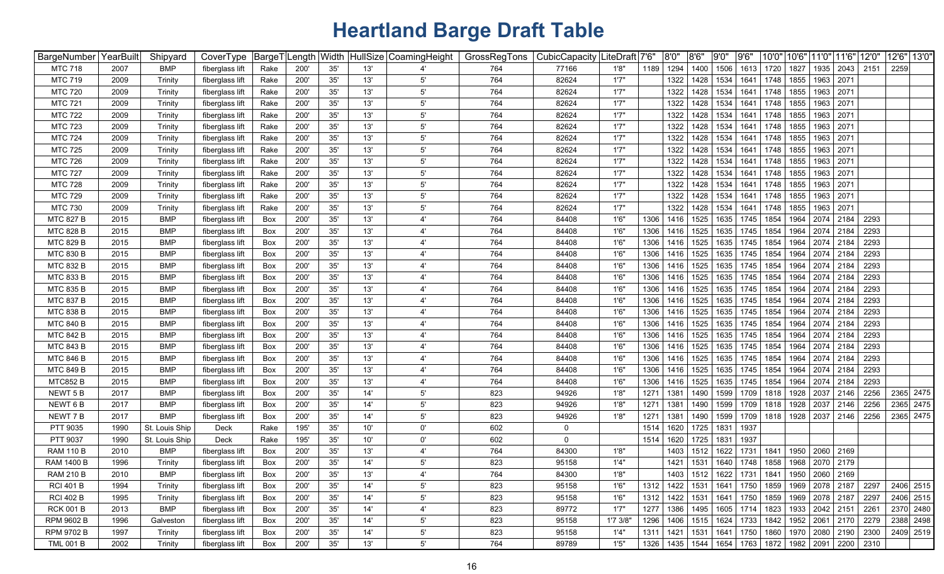| BargeNumber YearBuilt |      | Shipyard       | CoverType       |      | BargeT Length Width |     |     | HullSize CoamingHeight | GrossRegTons | CubicCapacity | ∣LiteDraft | 7'6'<br>8'0''                                                       | 8'6'' | 9'0" | 9'6'      | 10'0" | 10'6" | 11'0"                                          | 11'6"                     | 12'0" | 12'6" 13'0" |           |
|-----------------------|------|----------------|-----------------|------|---------------------|-----|-----|------------------------|--------------|---------------|------------|---------------------------------------------------------------------|-------|------|-----------|-------|-------|------------------------------------------------|---------------------------|-------|-------------|-----------|
| <b>MTC 718</b>        | 2007 | <b>BMP</b>     | fiberglass lift | Rake | 200'                | 35' | 13' |                        | 764          | 77166         | 1'8"       | 1189<br>1294                                                        | 1400  | 1506 | 1613      | 1720  | 1827  | 1935                                           | 2043                      | 2151  | 2259        |           |
| <b>MTC 719</b>        | 2009 | Trinity        | fiberglass lift | Rake | 200'                | 35' | 13' | $5^{\prime}$           | 764          | 82624         | 1'7"       | 1322                                                                | 1428  | 1534 | 1641      | 1748  | 1855  | 1963                                           | 2071                      |       |             |           |
| <b>MTC 720</b>        | 2009 | Trinity        | fiberglass lift | Rake | 200                 | 35' | 13' | $5^{\prime}$           | 764          | 82624         | 1'7''      | 1322                                                                | 1428  | 1534 | 1641      | 1748  | 1855  | 1963                                           | 2071                      |       |             |           |
| <b>MTC 721</b>        | 2009 | Trinity        | fiberglass lift | Rake | 200                 | 35' | 13' | $5^{\prime}$           | 764          | 82624         | 1'7''      | 1322                                                                | 1428  | 1534 | 1641      | 1748  | 1855  | 1963                                           | 2071                      |       |             |           |
| <b>MTC 722</b>        | 2009 | Trinity        | fiberglass lift | Rake | 200                 | 35' | 13' | $5^{\prime}$           | 764          | 82624         | 1'7''      | 1322                                                                | 1428  | 1534 | 1641      | 1748  | 1855  | 1963                                           | 2071                      |       |             |           |
| <b>MTC 723</b>        | 2009 | Trinity        | fiberglass lift | Rake | 200                 | 35' | 13' | $5^{\prime}$           | 764          | 82624         | 1'7''      | 1322                                                                | 1428  | 1534 | 1641      | 1748  | 1855  | 1963                                           | 2071                      |       |             |           |
| <b>MTC 724</b>        | 2009 | Trinity        | fiberglass lift | Rake | 200                 | 35' | 13' | $5^{\prime}$           | 764          | 82624         | 1'7''      | 1322                                                                | 1428  | 1534 | 1641      | 1748  | 1855  | 1963                                           | 2071                      |       |             |           |
| <b>MTC 725</b>        | 2009 | Trinity        | fiberglass lift | Rake | 200                 | 35' | 13' | 5'                     | 764          | 82624         | 1'7''      | 1322                                                                | 1428  | 1534 | 1641      | 1748  | 1855  | 1963                                           | 2071                      |       |             |           |
| <b>MTC 726</b>        | 2009 | Trinity        | fiberglass lift | Rake | 200                 | 35' | 13' | $5^{\prime}$           | 764          | 82624         | 1'7''      | 1322                                                                | 1428  | 1534 | 1641      | 1748  | 1855  | 1963                                           | 2071                      |       |             |           |
| <b>MTC 727</b>        | 2009 | Trinity        | fiberglass lift | Rake | 200                 | 35' | 13' | $5^{\prime}$           | 764          | 82624         | 1'7''      | 1322                                                                | 1428  | 1534 | 1641      | 1748  | 1855  | 1963                                           | 2071                      |       |             |           |
| <b>MTC 728</b>        | 2009 | Trinity        | fiberglass lift | Rake | 200                 | 35' | 13' | 5'                     | 764          | 82624         | 1'7''      | 1322                                                                | 1428  | 1534 | 1641      | 1748  | 1855  | 1963                                           | 2071                      |       |             |           |
| <b>MTC 729</b>        | 2009 | Trinity        | fiberglass lift | Rake | 200                 | 35' | 13' | 5'                     | 764          | 82624         | 1'7''      | 1322                                                                | 1428  | 1534 | 1641      | 1748  | 1855  | 1963                                           | 2071                      |       |             |           |
| <b>MTC 730</b>        | 2009 | Trinity        | fiberglass lift | Rake | 200                 | 35' | 13' | $5^{\prime}$           | 764          | 82624         | 1'7''      | 1322                                                                | 1428  | 1534 | 1641      | 1748  | 1855  | 1963                                           | 2071                      |       |             |           |
| <b>MTC 827 B</b>      | 2015 | <b>BMP</b>     | fiberglass lift | Box  | 200'                | 35' | 13' | $\overline{4}$         | 764          | 84408         | 1'6''      | 1416<br>1306                                                        | 1525  | 1635 | 1745      | 1854  | 1964  | 2074                                           | 2184                      | 2293  |             |           |
| <b>MTC 828 B</b>      | 2015 | <b>BMP</b>     | fiberglass lift | Box  | 200                 | 35' | 13' | 4'                     | 764          | 84408         | 1'6'       | 1416<br>1306                                                        | 1525  | 1635 | 1745      | 1854  | 1964  | 2074                                           | 2184                      | 2293  |             |           |
| <b>MTC 829 B</b>      | 2015 | <b>BMP</b>     | fiberglass lift | Box  | 200                 | 35' | 13' | $4^{\prime}$           | 764          | 84408         | 1'6'       | 1306<br>1416                                                        | 1525  | 1635 | 1745      | 1854  | 1964  | 2074                                           | 2184                      | 2293  |             |           |
| <b>MTC 830 B</b>      | 2015 | <b>BMP</b>     | fiberglass lift | Box  | 200'                | 35' | 13' | 4'                     | 764          | 84408         | 1'6'       | 1306<br>1416                                                        | 1525  | 1635 | 1745      | 1854  | 1964  | 2074                                           | 2184                      | 2293  |             |           |
| <b>MTC 832 B</b>      | 2015 | <b>BMP</b>     | fiberglass lift | Box  | 200                 | 35' | 13' | 4'                     | 764          | 84408         | 1'6'       | 1306<br>1416                                                        | 1525  | 1635 | 1745      | 1854  | 1964  | 2074                                           | 2184                      | 2293  |             |           |
| <b>MTC 833 B</b>      | 2015 | <b>BMP</b>     | fiberglass lift | Box  | 200                 | 35' | 13' | 4'                     | 764          | 84408         | 1'6'       | 1306<br>1416                                                        | 1525  | 1635 | 1745      | 1854  | 1964  | 2074                                           | 2184                      | 2293  |             |           |
| <b>MTC 835 B</b>      | 2015 | <b>BMP</b>     | fiberglass lift | Box  | 200                 | 35' | 13' | $4^{\prime}$           | 764          | 84408         | 1'6'       | 1306<br>1416                                                        | 1525  | 1635 | 1745      | 1854  | 1964  | 2074                                           | 2184                      | 2293  |             |           |
| <b>MTC 837 B</b>      | 2015 | <b>BMP</b>     | fiberglass lift | Box  | 200                 | 35' | 13' | $4^{\prime}$           | 764          | 84408         | 1'6'       | 1306<br>1416                                                        | 1525  | 1635 | 1745      | 1854  | 1964  | 2074                                           | 2184                      | 2293  |             |           |
| <b>MTC 838 B</b>      | 2015 | <b>BMP</b>     | fiberglass lift | Box  | 200                 | 35' | 13' | 4'                     | 764          | 84408         | 1'6'       | 1416<br>1306                                                        | 1525  | 1635 | 1745      | 1854  | 1964  | 2074                                           | 2184                      | 2293  |             |           |
| <b>MTC 840 B</b>      | 2015 | <b>BMP</b>     | fiberglass lift | Box  | 200                 | 35' | 13' | 4'                     | 764          | 84408         | 1'6''      | 1416<br>1306                                                        | 1525  | 1635 | 1745      | 1854  | 1964  | 2074                                           | 2184                      | 2293  |             |           |
| <b>MTC 842 B</b>      | 2015 | <b>BMP</b>     | fiberglass lift | Box  | 200                 | 35' | 13' | 4'                     | 764          | 84408         | 1'6''      | 1306<br>1416                                                        | 1525  | 1635 | 1745      | 1854  | 1964  | 2074                                           | 2184                      | 2293  |             |           |
| <b>MTC 843 B</b>      | 2015 | <b>BMP</b>     | fiberglass lift | Box  | 200'                | 35' | 13' | $\overline{4}$         | 764          | 84408         | 1'6''      | 1306<br>1416                                                        | 1525  | 1635 | 1745      | 1854  | 1964  | 2074                                           | 2184                      | 2293  |             |           |
| <b>MTC 846 B</b>      | 2015 | <b>BMP</b>     | fiberglass lift | Box  | 200                 | 35' | 13' | $\overline{4}$         | 764          | 84408         | 1'6'       | 1306<br>1416                                                        | 1525  | 1635 | 1745      | 1854  | 1964  | 2074                                           | 2184                      | 2293  |             |           |
| <b>MTC 849 B</b>      | 2015 | <b>BMP</b>     | fiberglass lift | Box  | 200                 | 35' | 13' | $\overline{4}$         | 764          | 84408         | 1'6'       | 1306<br>1416                                                        | 1525  | 1635 | 1745      | 1854  | 1964  | 2074                                           | 2184                      | 2293  |             |           |
| <b>MTC852 B</b>       | 2015 | <b>BMP</b>     | fiberglass lift | Box  | 200                 | 35' | 13' | $\overline{4}$         | 764          | 84408         | 1'6'       | 1416<br>1306                                                        | 1525  | 1635 | 1745      | 1854  | 1964  | 2074                                           | 2184                      | 2293  |             |           |
| NEWT 5B               | 2017 | <b>BMP</b>     | fiberglass lift | Box  | 200                 | 35' | 14' | 5'                     | 823          | 94926         | 1'8"       | 1381<br>1271                                                        | 1490  | 1599 | 1709      | 1818  | 1928  | 2037                                           | 2146                      | 2256  |             | 2365 2475 |
| NEWT 6 B              | 2017 | <b>BMP</b>     | fiberglass lift | Box  | 200                 | 35' | 14' | $5^{\prime}$           | 823          | 94926         | 1'8"       | 1271<br>1381                                                        | 1490  | 1599 | 1709      | 1818  | 1928  | 2037                                           | 2146                      | 2256  |             | 2365 2475 |
| NEWT 7B               | 2017 | <b>BMP</b>     | fiberglass lift | Box  | 200                 | 35' | 14' | $5^{\circ}$            | 823          | 94926         | 1'8"       | 1381<br>1271                                                        | 1490  | 1599 | 1709      | 1818  | 1928  | 2037                                           | 2146                      | 2256  |             | 2365 2475 |
| PTT 9035              | 1990 | St. Louis Ship | Deck            | Rake | 195                 | 35' | 10' | $0^{\prime}$           | 602          | 0             |            | 1620<br>1514                                                        | 1725  | 1831 | 1937      |       |       |                                                |                           |       |             |           |
| PTT 9037              | 1990 | St. Louis Ship | Deck            | Rake | 195                 | 35' | 10' | 0'                     | 602          | 0             |            | 1620<br>1514                                                        | 1725  | 1831 | 1937      |       |       |                                                |                           |       |             |           |
| <b>RAM 110 B</b>      | 2010 | <b>BMP</b>     | fiberglass lift | Box  | 200                 | 35' | 13' | $4^{\prime}$           | 764          | 84300         | 1'8"       | 1403                                                                | 1512  | 1622 | 1731      | 1841  | 1950  | 2060                                           | 2169                      |       |             |           |
| <b>RAM 1400 B</b>     | 1996 | Trinity        | fiberglass lift | Box  | 200                 | 35' | 14' | $5^{\prime}$           | 823          | 95158         | 1'4"       | 1421                                                                | 1531  |      | 1640 1748 | 1858  | 1968  | 2070                                           | 2179                      |       |             |           |
| <b>RAM 210 B</b>      | 2010 | <b>BMP</b>     | fiberglass lift | Box  | 200                 | 35' | 13' | $\mathbf{4}^{\prime}$  | 764          | 84300         | 1'8"       | 1403                                                                |       |      |           |       |       | 1512   1622   1731   1841   1950   2060   2169 |                           |       |             |           |
| <b>RCI 401 B</b>      | 1994 | Trinity        | fiberglass lift | Box  | 200'                | 35' | 14' | $5^{\prime}$           | 823          | 95158         | 1'6''      | 1422<br>1312                                                        | 1531  |      | 1641 1750 | 1859  |       |                                                | 1969 2078 2187 2297       |       |             | 2406 2515 |
| <b>RCI 402 B</b>      | 1995 | Trinity        | fiberglass lift | Box  | 200'                | 35' | 14' | $5^{\circ}$            | 823          | 95158         | 1'6''      | 1422<br>1312                                                        | 1531  |      | 1641 1750 | 1859  |       |                                                | 1969 2078 2187            | 2297  |             | 2406 2515 |
| <b>RCK 001 B</b>      | 2013 | <b>BMP</b>     | fiberglass lift | Box  | 200                 | 35' | 14' | $4^{\prime}$           | 823          | 89772         | 1'7"       | 1386<br>1277                                                        | 1495  |      | 1605 1714 | 1823  |       | 1933 2042 2151                                 |                           | 2261  |             | 2370 2480 |
| RPM 9602 B            | 1996 | Galveston      | fiberglass lift | Box  | 200'                | 35' | 14' | $5^{\prime}$           | 823          | 95158         | 1'7 3/8"   | 1296<br>1406                                                        | 1515  |      | 1624 1733 | 1842  |       |                                                | 1952   2061   2170   2279 |       |             | 2388 2498 |
| RPM 9702 B            | 1997 | Trinity        | fiberglass lift | Box  | 200                 | 35' | 14' | $5^{\circ}$            | 823          | 95158         | 1'4"       | 1421<br>1311                                                        | 1531  |      | 1641 1750 | 1860  |       |                                                | 1970 2080 2190            | 2300  |             | 2409 2519 |
| <b>TML 001 B</b>      | 2002 | Trinity        | fiberglass lift | Box  | 200'                | 35' | 13' | $5^{\circ}$            | 764          | 89789         | 1'5''      | 1326   1435   1544   1654   1763   1872   1982   2091   2200   2310 |       |      |           |       |       |                                                |                           |       |             |           |